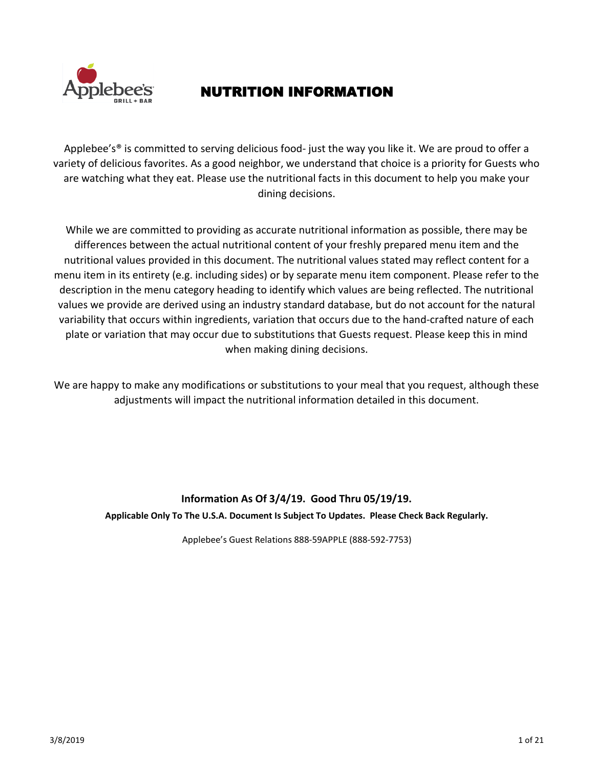

## NUTRITION INFORMATION

Applebee's<sup>®</sup> is committed to serving delicious food- just the way you like it. We are proud to offer a variety of delicious favorites. As a good neighbor, we understand that choice is a priority for Guests who are watching what they eat. Please use the nutritional facts in this document to help you make your dining decisions.

While we are committed to providing as accurate nutritional information as possible, there may be differences between the actual nutritional content of your freshly prepared menu item and the nutritional values provided in this document. The nutritional values stated may reflect content for a menu item in its entirety (e.g. including sides) or by separate menu item component. Please refer to the description in the menu category heading to identify which values are being reflected. The nutritional values we provide are derived using an industry standard database, but do not account for the natural variability that occurs within ingredients, variation that occurs due to the hand-crafted nature of each plate or variation that may occur due to substitutions that Guests request. Please keep this in mind when making dining decisions.

We are happy to make any modifications or substitutions to your meal that you request, although these adjustments will impact the nutritional information detailed in this document.

# **Information As Of 3/4/19. Good Thru 05/19/19.**

**Applicable Only To The U.S.A. Document Is Subject To Updates. Please Check Back Regularly.**

Applebee's Guest Relations 888-59APPLE (888-592-7753)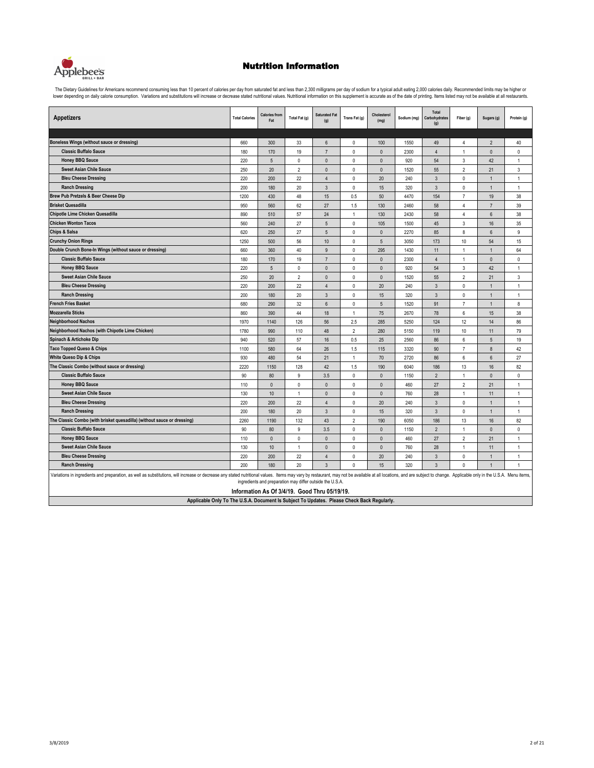

The Dietary Guidelines for Americans recommend consuming less than 10 percent of calories per day from saturated fat and less than 2,300 milligrams per day of sodium for a typical adult eating 2,000 calories daily. Recomme

| <b>Appetizers</b>                                                                                                                                                                                                             | <b>Total Calories</b> | <b>Calories from</b><br>Fat                                                                         | Total Fat (g)   | <b>Saturated Fat</b><br>(g)      | Trans Fat (g)              | Cholesterol<br>(mg)      | Sodium (mg) | Total<br>Carbohydrates<br>(g)    | Fiber (g)                    | Sugars (g)                     | Protein (g)       |
|-------------------------------------------------------------------------------------------------------------------------------------------------------------------------------------------------------------------------------|-----------------------|-----------------------------------------------------------------------------------------------------|-----------------|----------------------------------|----------------------------|--------------------------|-------------|----------------------------------|------------------------------|--------------------------------|-------------------|
|                                                                                                                                                                                                                               |                       |                                                                                                     |                 |                                  |                            |                          |             |                                  |                              |                                |                   |
| Boneless Wings (without sauce or dressing)                                                                                                                                                                                    | 660                   | 300                                                                                                 | 33              | 6                                | 0                          | 100                      | 1550        | 49                               | 4                            | $\overline{2}$                 | 40                |
| <b>Classic Buffalo Sauce</b>                                                                                                                                                                                                  | 180                   | 170                                                                                                 | 19              | $\overline{7}$                   | 0                          | $\mathbf{0}$             | 2300        | $\overline{4}$                   | $\mathbf{1}$                 | $\mathbf{0}$                   | 0                 |
| <b>Honey BBQ Sauce</b>                                                                                                                                                                                                        | 220                   | $\overline{5}$                                                                                      | $\mathbf{0}$    | $\mathbf{0}$                     | 0                          | $\mathbf{0}$             | 920         | 54                               | 3                            | 42                             | $\mathbf{1}$      |
| <b>Sweet Asian Chile Sauce</b><br><b>Bleu Cheese Dressing</b>                                                                                                                                                                 | 250                   | 20                                                                                                  | $\overline{2}$  | $\mathbf{0}$                     | 0                          | $\mathbf{0}$             | 1520        | 55                               | $\overline{2}$               | 21                             | 3                 |
| <b>Ranch Dressing</b>                                                                                                                                                                                                         | 220<br>200            | 200<br>180                                                                                          | 22<br>20        | $\overline{4}$<br>$\overline{3}$ | 0<br>0                     | 20                       | 240<br>320  | $\overline{3}$<br>$\overline{3}$ | $\pmb{0}$<br>$\mathbf 0$     | $\overline{1}$<br>$\mathbf{1}$ | $\mathbf{1}$      |
|                                                                                                                                                                                                                               |                       |                                                                                                     | 48              |                                  |                            | 15                       |             |                                  | $\overline{7}$               |                                | $\mathbf{1}$      |
| Brew Pub Pretzels & Beer Cheese Dip<br><b>Brisket Quesadilla</b>                                                                                                                                                              | 1200                  | 430                                                                                                 |                 | 15                               | 0.5                        | 50                       | 4470        | 154                              |                              | 19                             | 38                |
|                                                                                                                                                                                                                               | 950                   | 560                                                                                                 | 62              | 27                               | 1.5                        | 130                      | 2460        | 58                               | $\overline{4}$               | $\overline{7}$                 | 39                |
| Chipotle Lime Chicken Quesadilla<br><b>Chicken Wonton Tacos</b>                                                                                                                                                               | 890                   | 510                                                                                                 | 57              | 24                               | $\mathbf{1}$               | 130                      | 2430        | 58                               | 4                            | 6                              | 38                |
| <b>Chips &amp; Salsa</b>                                                                                                                                                                                                      | 560                   | 240                                                                                                 | 27              | $\sqrt{5}$                       | 0                          | 105                      | 1500        | 45                               | 3                            | 16                             | 35                |
|                                                                                                                                                                                                                               | 620                   | 250                                                                                                 | 27<br>56        | $\sqrt{5}$                       | $\mathbb O$<br>$\mathbb O$ | $\pmb{0}$                | 2270        | 85                               | 8<br>10                      | $\boldsymbol{6}$<br>54         | 9<br>15           |
| <b>Crunchy Onion Rings</b>                                                                                                                                                                                                    | 1250                  | 500                                                                                                 |                 | 10<br>9                          |                            | 5                        | 3050        | 173                              |                              |                                |                   |
| Double Crunch Bone-In Wings (without sauce or dressing)<br><b>Classic Buffalo Sauce</b>                                                                                                                                       | 660                   | 360                                                                                                 | 40              | $\overline{7}$                   | 0                          | 295                      | 1430        | 11                               | $\mathbf{1}$<br>$\mathbf{1}$ | $\mathbf{1}$                   | 64                |
|                                                                                                                                                                                                                               | 180<br>220            | 170<br>$\overline{5}$                                                                               | 19<br>$\pmb{0}$ | $\mathbf{0}$                     | 0<br>0                     | $\Omega$<br>$\mathbf{0}$ | 2300<br>920 | $\overline{4}$<br>54             | 3                            | $\mathbf{0}$<br>42             | 0<br>$\mathbf{1}$ |
| <b>Honey BBQ Sauce</b><br><b>Sweet Asian Chile Sauce</b>                                                                                                                                                                      |                       |                                                                                                     | $\overline{2}$  | $\mathbf{0}$                     | 0                          | $\mathbf{0}$             |             |                                  | $\overline{2}$               |                                |                   |
| <b>Bleu Cheese Dressing</b>                                                                                                                                                                                                   | 250<br>220            | 20<br>200                                                                                           | 22              | $\overline{4}$                   | $\mathbf 0$                | 20                       | 1520<br>240 | 55<br>$\overline{3}$             | $\mathbf 0$                  | 21<br>$\overline{1}$           | 3<br>1            |
| <b>Ranch Dressing</b>                                                                                                                                                                                                         | 200                   | 180                                                                                                 | 20              | $\mathbf{3}$                     | 0                          | 15                       | 320         | 3                                | 0                            | 1                              | $\mathbf{1}$      |
| <b>French Fries Basket</b>                                                                                                                                                                                                    | 680                   | 290                                                                                                 | 32              | $6\phantom{1}$                   | $\mathbf 0$                | 5                        | 1520        | 91                               | $\overline{7}$               | 1                              | 8                 |
| <b>Mozzarella Sticks</b>                                                                                                                                                                                                      | 860                   | 390                                                                                                 | 44              | 18                               | $\mathbf{1}$               | 75                       | 2670        | 78                               | 6                            | 15                             | 38                |
| <b>Neighborhood Nachos</b>                                                                                                                                                                                                    | 1970                  | 1140                                                                                                | 126             | 56                               | 2.5                        | 285                      | 5250        | 124                              | 12                           | 14                             | 86                |
| <b>Neighborhood Nachos (with Chipotle Lime Chicken)</b>                                                                                                                                                                       | 1780                  | 990                                                                                                 | 110             | 48                               | $\overline{2}$             | 280                      | 5150        | 119                              | 10                           | 11                             | 79                |
| Spinach & Artichoke Dip                                                                                                                                                                                                       | 940                   | 520                                                                                                 | 57              | 16                               | 0.5                        | 25                       | 2560        | 86                               | 6                            | 5                              | 19                |
| <b>Taco Topped Queso &amp; Chips</b>                                                                                                                                                                                          | 1100                  | 580                                                                                                 | 64              | 26                               | 1.5                        | 115                      | 3320        | 90                               | $\overline{7}$               | $\bf 8$                        | 42                |
| <b>White Queso Dip &amp; Chips</b>                                                                                                                                                                                            | 930                   | 480                                                                                                 | 54              | 21                               | 1                          | 70                       | 2720        | 86                               | 6                            | 6                              | 27                |
| The Classic Combo (without sauce or dressing)                                                                                                                                                                                 | 2220                  | 1150                                                                                                | 128             | 42                               | 1.5                        | 190                      | 6040        | 186                              | 13                           | 16                             | 82                |
| <b>Classic Buffalo Sauce</b>                                                                                                                                                                                                  | 90                    | 80                                                                                                  | 9               | 3.5                              | 0                          | $\mathbf{0}$             | 1150        | $\overline{2}$                   | $\mathbf{1}$                 | $\mathbf{0}$                   | 0                 |
| <b>Honey BBQ Sauce</b>                                                                                                                                                                                                        | 110                   | $\mathbf{0}$                                                                                        | $\mathbf{0}$    | $\mathbf{0}$                     | 0                          | $\mathbf{0}$             | 460         | 27                               | $\overline{2}$               | 21                             | $\mathbf{1}$      |
| <b>Sweet Asian Chile Sauce</b>                                                                                                                                                                                                | 130                   | 10                                                                                                  | $\mathbf{1}$    | $\mathbf{0}$                     | 0                          | $\mathbf{0}$             | 760         | 28                               | $\mathbf{1}$                 | 11                             | 1                 |
| <b>Bleu Cheese Dressing</b>                                                                                                                                                                                                   | 220                   | 200                                                                                                 | 22              | $\overline{4}$                   | $\mathbb O$                | 20                       | 240         | $\mathbf{3}$                     | $\mathbb O$                  | $\overline{1}$                 | $\mathbf{1}$      |
| <b>Ranch Dressing</b>                                                                                                                                                                                                         | 200                   | 180                                                                                                 | 20              | $\mathbf{3}$                     | 0                          | 15                       | 320         | 3                                | $\pmb{0}$                    | $\mathbf{1}$                   | $\mathbf{1}$      |
| The Classic Combo (with brisket quesadilla) (without sauce or dressing)                                                                                                                                                       | 2260                  | 1190                                                                                                | 132             | 43                               | $\overline{2}$             | 190                      | 6050        | 186                              | 13                           | 16                             | 82                |
| <b>Classic Buffalo Sauce</b>                                                                                                                                                                                                  | 90                    | 80                                                                                                  | 9               | 3.5                              | 0                          | $\mathbf{0}$             | 1150        | $\overline{2}$                   | $\mathbf{1}$                 | $\mathbf{0}$                   | 0                 |
| <b>Honey BBQ Sauce</b>                                                                                                                                                                                                        | 110                   | $\mathbf{0}$                                                                                        | $\mathbf{0}$    | $\mathbf{0}$                     | $\Omega$                   | $\Omega$                 | 460         | 27                               | $\overline{2}$               | 21                             | $\mathbf{1}$      |
| <b>Sweet Asian Chile Sauce</b>                                                                                                                                                                                                | 130                   | 10                                                                                                  | $\overline{1}$  | $\Omega$                         | 0                          | $\mathbf{0}$             | 760         | 28                               | $\mathbf{1}$                 | 11                             | $\mathbf{1}$      |
| <b>Bleu Cheese Dressing</b>                                                                                                                                                                                                   | 220                   | 200                                                                                                 | 22              | $\overline{4}$                   | 0                          | 20                       | 240         | 3                                | 0                            | $\overline{1}$                 | 1                 |
| <b>Ranch Dressing</b>                                                                                                                                                                                                         | 200                   | 180                                                                                                 | 20              | $\overline{3}$                   | 0                          | 15                       | 320         | 3                                | 0                            | $\overline{1}$                 | 1                 |
| Variations in ingredients and preparation, as well as substitutions, will increase or decrease any stated nutritional values. Items may vary by restaurant, may not be available at all locations, and are subject to change. |                       | ingredients and preparation may differ outside the U.S.A.<br>$\theta$ , A. DENIHA B. J. T., AFIANIA |                 |                                  |                            |                          |             |                                  |                              |                                |                   |

**Information As Of 3/4/19. Good Thru 05/19/19.**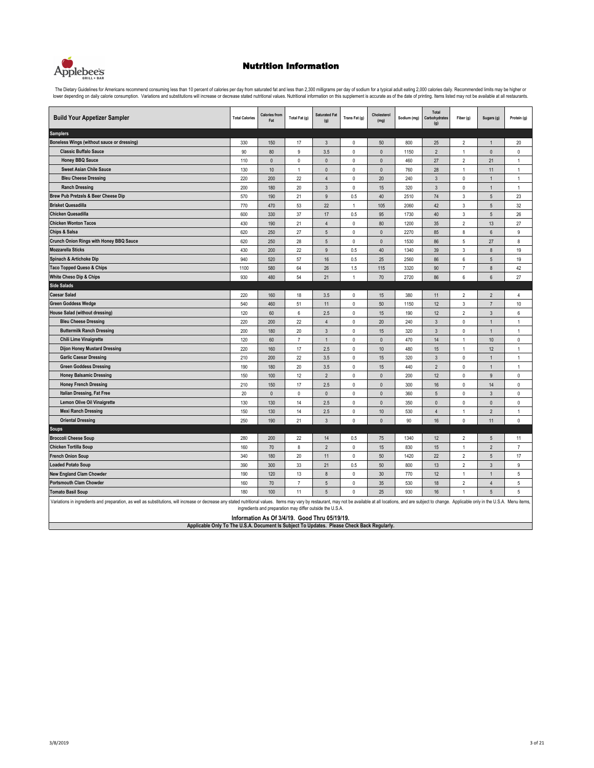

| <b>Build Your Appetizer Sampler</b>                                                                                                                                                                                           | <b>Total Calories</b> | <b>Calories from</b><br>Fat | Total Fat (g)  | <b>Saturated Fat</b><br>(g)                                                                                | Trans Fat (g)  | Cholesterol<br>(mg) | Sodium (mg) | Total<br>Carbohydrates<br>(g) | Fiber (g)        | Sugars (g)      | Protein (g)    |  |
|-------------------------------------------------------------------------------------------------------------------------------------------------------------------------------------------------------------------------------|-----------------------|-----------------------------|----------------|------------------------------------------------------------------------------------------------------------|----------------|---------------------|-------------|-------------------------------|------------------|-----------------|----------------|--|
| <b>Samplers</b>                                                                                                                                                                                                               |                       |                             |                |                                                                                                            |                |                     |             |                               |                  |                 |                |  |
| Boneless Wings (without sauce or dressing)                                                                                                                                                                                    | 330                   | 150                         | 17             | $\mathbf{3}$                                                                                               | $\mathbb O$    | 50                  | 800         | 25                            | $\overline{2}$   | 1               | 20             |  |
| <b>Classic Buffalo Sauce</b>                                                                                                                                                                                                  | 90                    | 80                          | 9              | 3.5                                                                                                        | $\pmb{0}$      | $\Omega$            | 1150        | $\overline{2}$                | $\mathbf{1}$     | $\mathbf{0}$    | 0              |  |
| <b>Honey BBQ Sauce</b>                                                                                                                                                                                                        | 110                   | $\pmb{0}$                   | $\pmb{0}$      | $\pmb{0}$                                                                                                  | $\mathbb O$    | $\pmb{0}$           | 460         | 27                            | $\overline{2}$   | 21              | $\mathbf{1}$   |  |
| <b>Sweet Asian Chile Sauce</b>                                                                                                                                                                                                | 130                   | 10                          | $\overline{1}$ | $\mathbf{0}$                                                                                               | $\mathbf 0$    | $\theta$            | 760         | 28                            | $\mathbf{1}$     | 11              | $\mathbf{1}$   |  |
| <b>Bleu Cheese Dressing</b>                                                                                                                                                                                                   | 220                   | 200                         | 22             | $\overline{4}$                                                                                             | $\mathsf 0$    | 20                  | 240         | $\mathbf{3}$                  | 0                | -1              | 1              |  |
| <b>Ranch Dressing</b>                                                                                                                                                                                                         | 200                   | 180                         | 20             | $\mathbf{3}$                                                                                               | $\mathbb O$    | 15                  | 320         | $\mathbf{3}$                  | $\mathbb O$      | $\mathbf{1}$    | $\mathbf{1}$   |  |
| Brew Pub Pretzels & Beer Cheese Dip                                                                                                                                                                                           | 570                   | 190                         | 21             | 9                                                                                                          | 0.5            | 40                  | 2510        | 74                            | $\mathsf 3$      | $\sqrt{5}$      | 23             |  |
| <b>Brisket Quesadilla</b>                                                                                                                                                                                                     | 770                   | 470                         | 53             | 22                                                                                                         | $\overline{1}$ | 105                 | 2060        | 42                            | $\mathsf 3$      | $\sqrt{5}$      | 32             |  |
| <b>Chicken Quesadilla</b>                                                                                                                                                                                                     | 600                   | 330                         | 37             | 17                                                                                                         | 0.5            | 95                  | 1730        | 40                            | 3                | 5               | 26             |  |
| <b>Chicken Wonton Tacos</b>                                                                                                                                                                                                   | 430                   | 190                         | 21             | $\overline{4}$                                                                                             | $\mathsf 0$    | 80                  | 1200        | 35                            | $\overline{2}$   | 13              | 27             |  |
| Chips & Salsa                                                                                                                                                                                                                 | 620                   | 250                         | 27             | 5                                                                                                          | $\mathbf 0$    | $\mathbf{0}$        | 2270        | 85                            | 8                | $6\phantom{.}6$ | 9              |  |
| <b>Crunch Onion Rings with Honey BBQ Sauce</b>                                                                                                                                                                                | 620                   | 250                         | 28             | 5                                                                                                          | $\mathsf 0$    | $\pmb{0}$           | 1530        | 86                            | 5                | 27              | 8              |  |
| Mozzarella Sticks                                                                                                                                                                                                             | 430                   | 200                         | 22             | 9                                                                                                          | 0.5            | 40                  | 1340        | 39                            | $\mathsf 3$      | $\bf 8$         | 19             |  |
| Spinach & Artichoke Dip                                                                                                                                                                                                       | 940                   | 520                         | 57             | 16                                                                                                         | 0.5            | 25                  | 2560        | 86                            | $\boldsymbol{6}$ | 5               | 19             |  |
| <b>Taco Topped Queso &amp; Chips</b>                                                                                                                                                                                          | 1100                  | 580                         | 64             | 26                                                                                                         | 1.5            | 115                 | 3320        | 90                            | $\overline{7}$   | $\bf 8$         | 42             |  |
| <b>White Cheso Dip &amp; Chips</b>                                                                                                                                                                                            | 930                   | 480                         | 54             | 21                                                                                                         | $\mathbf{1}$   | 70                  | 2720        | 86                            | 6                | $6\overline{6}$ | 27             |  |
| <b>Side Salads</b>                                                                                                                                                                                                            |                       |                             |                |                                                                                                            |                |                     |             |                               |                  |                 |                |  |
| <b>Caesar Salad</b>                                                                                                                                                                                                           | 220                   | 160                         | 18             | 3.5                                                                                                        | 0              | 15                  | 380         | 11                            | 2                | $\overline{2}$  | 4              |  |
| <b>Green Goddess Wedge</b>                                                                                                                                                                                                    | 540                   | 460                         | 51             | 11                                                                                                         | $\mathsf 0$    | 50                  | 1150        | 12                            | 3                | $\overline{7}$  | $10$           |  |
| <b>House Salad (without dressing)</b>                                                                                                                                                                                         | 120                   | 60                          | 6              | 2.5                                                                                                        | $\mathbf 0$    | 15                  | 190         | 12                            | $\overline{2}$   | $\mathbf{3}$    | 6              |  |
| <b>Bleu Cheese Dressing</b>                                                                                                                                                                                                   | 220                   | 200                         | 22             | $\overline{4}$                                                                                             | $\mathbf 0$    | 20                  | 240         | $\overline{3}$                | $\mathbb O$      | $\mathbf{1}$    | $\mathbf{1}$   |  |
| <b>Buttermilk Ranch Dressing</b>                                                                                                                                                                                              | 200                   | 180                         | 20             | $\mathbf{3}$                                                                                               | $\mathbb O$    | 15                  | 320         | $\mathbf{3}$                  | $\mathbb O$      | $\mathbf{1}$    | $\mathbf{1}$   |  |
| Chili Lime Vinaigrette                                                                                                                                                                                                        | 120                   | 60                          | $\overline{7}$ | $\mathbf{1}$                                                                                               | $\mathbf 0$    | $\mathbf{0}$        | 470         | 14                            | $\mathbf{1}$     | $10$            | 0              |  |
| <b>Dijon Honey Mustard Dressing</b>                                                                                                                                                                                           | 220                   | 160                         | 17             | 2.5                                                                                                        | $\mathsf 0$    | 10                  | 480         | 15                            | $\mathbf{1}$     | 12              | $\mathbf{1}$   |  |
| <b>Garlic Caesar Dressing</b>                                                                                                                                                                                                 | 210                   | 200                         | 22             | 3.5                                                                                                        | $\mathbf 0$    | 15                  | 320         | $\mathbf{3}$                  | 0                | $\mathbf{1}$    | $\mathbf{1}$   |  |
| <b>Green Goddess Dressing</b>                                                                                                                                                                                                 | 190                   | 180                         | 20             | 3.5                                                                                                        | $\mathsf 0$    | 15                  | 440         | $\overline{2}$                | $\pmb{0}$        | $\mathbf{1}$    | 1              |  |
| <b>Honey Balsamic Dressing</b>                                                                                                                                                                                                | 150                   | 100                         | 12             | $\overline{2}$                                                                                             | $\mathbf 0$    | $\mathbf{0}$        | 200         | 12                            | $\mathbf 0$      | $\overline{9}$  | $\mathbf{0}$   |  |
| <b>Honey French Dressing</b>                                                                                                                                                                                                  | 210                   | 150                         | 17             | 2.5                                                                                                        | $\pmb{0}$      | $\mathbf{0}$        | 300         | 16                            | $\mathbb O$      | 14              | 0              |  |
| Italian Dressing, Fat Free                                                                                                                                                                                                    | 20                    | $\pmb{0}$                   | $\pmb{0}$      | $\pmb{0}$                                                                                                  | $\pmb{0}$      | $\pmb{0}$           | 360         | 5                             | $\mathbb O$      | $\mathbf{3}$    | 0              |  |
| <b>Lemon Olive Oil Vinaigrette</b>                                                                                                                                                                                            | 130                   | 130                         | 14             | 2.5                                                                                                        | $\pmb{0}$      | $\mathbf{0}$        | 350         | $\mathbf{0}$                  | $\mathbf 0$      | $\mathbf{0}$    | $\mathbf 0$    |  |
| <b>Mexi Ranch Dressing</b>                                                                                                                                                                                                    | 150                   | 130                         | 14             | 2.5                                                                                                        | $\mathbf 0$    | 10                  | 530         | $\overline{4}$                | $\mathbf{1}$     | $\overline{2}$  | $\mathbf{1}$   |  |
| <b>Oriental Dressing</b>                                                                                                                                                                                                      | 250                   | 190                         | 21             | 3                                                                                                          | $\mathbf 0$    | $\theta$            | 90          | 16                            | $\mathbb O$      | 11              | $\mathbf 0$    |  |
| <b>Soups</b>                                                                                                                                                                                                                  |                       |                             |                |                                                                                                            |                |                     |             |                               |                  |                 |                |  |
| <b>Broccoli Cheese Soup</b>                                                                                                                                                                                                   | 280                   | 200                         | 22             | 14                                                                                                         | 0.5            | 75                  | 1340        | 12                            | $\overline{2}$   | 5               | 11             |  |
| Chicken Tortilla Soup                                                                                                                                                                                                         | 160                   | 70                          | 8              | $\overline{2}$                                                                                             | $\pmb{0}$      | 15                  | 830         | 15                            | $\mathbf{1}$     | $\overline{2}$  | $\overline{7}$ |  |
| <b>French Onion Soup</b>                                                                                                                                                                                                      | 340                   | 180                         | 20             | 11                                                                                                         | $\mathbb O$    | 50                  | 1420        | 22                            | $\overline{2}$   | 5               | 17             |  |
| oaded Potato Soup                                                                                                                                                                                                             | 390                   | 300                         | 33             | 21                                                                                                         | 0.5            | 50                  | 800         | 13                            | $\overline{2}$   | $\mathbf{3}$    | 9              |  |
| <b>New England Clam Chowder</b>                                                                                                                                                                                               | 190                   | 120                         | 13             | $\bf 8$                                                                                                    | $\mathbf 0$    | 30                  | 770         | 12                            | $\mathbf{1}$     | $\mathbf{1}$    | 5              |  |
| <b>Portsmouth Clam Chowder</b>                                                                                                                                                                                                | 160                   | 70                          | $\overline{7}$ | 5                                                                                                          | $\mathbf 0$    | 35                  | 530         | 18                            | $\overline{2}$   | $\overline{4}$  | 5              |  |
| <b>Tomato Basil Soup</b><br>5<br>$\mathbf 0$<br>25<br>180<br>100<br>11<br>930<br>16<br>5<br>5<br>$\mathbf{1}$                                                                                                                 |                       |                             |                |                                                                                                            |                |                     |             |                               |                  |                 |                |  |
| Variations in ingredients and preparation, as well as substitutions, will increase or decrease any stated nutritional values. Items may vary by restaurant, may not be available at all locations, and are subject to change. |                       |                             |                | ingredients and preparation may differ outside the U.S.A.<br>Information As Of 3/4/19. Good Thru 05/19/19. |                |                     |             |                               |                  |                 |                |  |
| Applicable Only To The U.S.A. Document Is Subject To Updates. Please Check Back Regularly.                                                                                                                                    |                       |                             |                |                                                                                                            |                |                     |             |                               |                  |                 |                |  |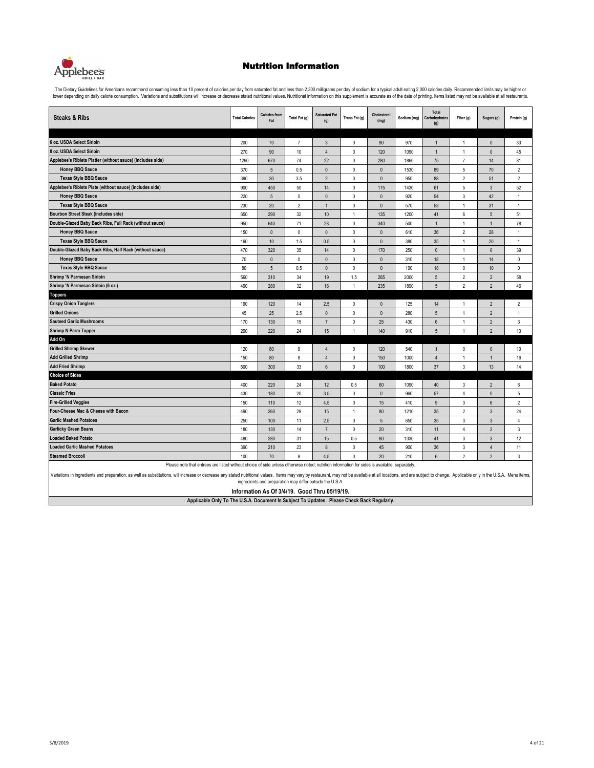

The Dietary Guidelines for Americans recommend consuming less than 10 percent of calories per day from saturated fat and less than 2,300 milligrams per day of sodium for a typical adult eating 2,000 calories daily. Recomme

| <b>Steaks &amp; Ribs</b>                                                                                                                     | <b>Total Calories</b> | <b>Calories from</b><br>Fat | Total Fat (g)  | <b>Saturated Fat</b><br>(g) | Trans Fat (g) | Cholesterol<br>(mg) | Sodium (mg) | Total<br>Carbohydrates<br>(g) | Fiber (g)      | Sugars (g)       | Protein (g)    |
|----------------------------------------------------------------------------------------------------------------------------------------------|-----------------------|-----------------------------|----------------|-----------------------------|---------------|---------------------|-------------|-------------------------------|----------------|------------------|----------------|
|                                                                                                                                              |                       |                             |                |                             |               |                     |             |                               |                |                  |                |
| 6 oz. USDA Select Sirloin                                                                                                                    | 200                   | 70                          | $\overline{7}$ | $\overline{3}$              | 0             | 90                  | 970         | 1                             | $\mathbf{1}$   | $\mathbf{0}$     | 33             |
| 8 oz. USDA Select Sirloin                                                                                                                    | 270                   | 90                          | 10             | $\overline{4}$              | 0             | 120                 | 1090        | 1                             | $\mathbf{1}$   | $\pmb{0}$        | 45             |
| Applebee's Riblets Platter (without sauce) (includes side)                                                                                   | 1290                  | 670                         | 74             | 22                          | 0             | 280                 | 1860        | 75                            | $\overline{7}$ | 14               | 81             |
| <b>Honey BBQ Sauce</b>                                                                                                                       | 370                   | $\overline{5}$              | 0.5            | $\Omega$                    | 0             | $\mathbf{0}$        | 1530        | 89                            | 5              | 70               | $\overline{2}$ |
| <b>Texas Style BBQ Sauce</b>                                                                                                                 | 390                   | 30                          | 3.5            | $\overline{2}$              | 0             | $\mathbf{0}$        | 950         | 88                            | $\overline{2}$ | 51               | $\overline{2}$ |
| Applebee's Riblets Plate (without sauce) (includes side)                                                                                     | 900                   | 450                         | 50             | 14                          | 0             | 175                 | 1430        | 61                            | 5              | $\mathbf{3}$     | 52             |
| <b>Honey BBQ Sauce</b>                                                                                                                       | 220                   | $\overline{5}$              | $\mathbf{0}$   | $\mathbf{0}$                | 0             | $\mathbf{0}$        | 920         | 54                            | $\sqrt{3}$     | 42               | $\mathbf{1}$   |
| <b>Texas Style BBQ Sauce</b>                                                                                                                 | 230                   | 20                          | $\overline{2}$ | $\mathbf{1}$                | $\mathbf 0$   | $\mathbf{0}$        | 570         | 53                            | $\mathbf{1}$   | 31               | $\mathbf{1}$   |
| <b>Bourbon Street Steak (includes side)</b>                                                                                                  | 650                   | 290                         | 32             | 10                          | $\mathbf{1}$  | 135                 | 1200        | 41                            | 6              | $\sqrt{5}$       | 51             |
| Double-Glazed Baby Back Ribs, Full Rack (without sauce)                                                                                      | 950                   | 640                         | 71             | 28                          | 0             | 340                 | 500         |                               | $\mathbf{1}$   | $\mathbf{1}$     | 78             |
| <b>Honey BBQ Sauce</b>                                                                                                                       | 150                   | $\mathbf{0}$                | $\mathbf{0}$   | $\Omega$                    | $\Omega$      | $\Omega$            | 610         | 36                            | $\overline{2}$ | 28               | $\mathbf{1}$   |
| <b>Texas Style BBQ Sauce</b>                                                                                                                 | 160                   | $10$                        | 1.5            | 0.5                         | 0             | $\mathbf{0}$        | 380         | 35                            | $\mathbf{1}$   | 20               | $\mathbf{1}$   |
| Double-Glazed Baby Back Ribs, Half Rack (without sauce)                                                                                      | 470                   | 320                         | 35             | 14                          | 0             | 170                 | 250         | $\mathbf{0}$                  | $\mathbf{1}$   | $\mathbf{0}$     | 39             |
| <b>Honey BBQ Sauce</b>                                                                                                                       | 70                    | $\mathbf{0}$                | $\mathbf{0}$   | $\mathbf{0}$                | 0             | $\mathbf{0}$        | 310         | 18                            | $\mathbf{1}$   | 14               | 0              |
| <b>Texas Style BBQ Sauce</b>                                                                                                                 | 80                    | $\overline{5}$              | 0.5            | $\pmb{0}$                   | $\mathbb O$   | $\pmb{0}$           | 190         | 18                            | $\mathbb O$    | $10$             | 0              |
| <b>Shrimp 'N Parmesan Sirloin</b>                                                                                                            | 560                   | 310                         | 34             | 19                          | 1.5           | 265                 | 2000        | 5                             | $\overline{2}$ | $\overline{2}$   | 58             |
| Shrimp 'N Parmesan Sirloin (6 oz.)                                                                                                           | 490                   | 280                         | 32             | 18                          | $\mathbf{1}$  | 235                 | 1890        | 5                             | $\overline{2}$ | $\overline{2}$   | 46             |
| <b>Toppers</b>                                                                                                                               |                       |                             |                |                             |               |                     |             |                               |                |                  |                |
| <b>Crispy Onion Tanglers</b>                                                                                                                 | 190                   | 120                         | 14             | 2.5                         | 0             | $\pmb{0}$           | 125         | 14                            | $\mathbf{1}$   | $\overline{2}$   | $\overline{2}$ |
| <b>Grilled Onions</b>                                                                                                                        | 45                    | 25                          | 2.5            | $\mathbf{0}$                | $\mathbf 0$   | $\mathbf{0}$        | 280         | 5                             | $\mathbf{1}$   | $\overline{2}$   | $\mathbf{1}$   |
| <b>Sauteed Garlic Mushrooms</b>                                                                                                              | 170                   | 130                         | 15             | $\overline{7}$              | $\mathbf 0$   | 25                  | 430         | $6\overline{6}$               | $\overline{1}$ | $\overline{2}$   | 3              |
| Shrimp N Parm Topper                                                                                                                         | 290                   | 220                         | 24             | 15                          | $\mathbf{1}$  | 140                 | 910         | 5                             | $\mathbf{1}$   | $\overline{2}$   | 13             |
| Add On                                                                                                                                       |                       |                             |                |                             |               |                     |             |                               |                |                  |                |
| <b>Grilled Shrimp Skewer</b>                                                                                                                 | 120                   | 80                          | 9              | $\overline{4}$              | 0             | 120                 | 540         |                               | $\mathsf 0$    | $\pmb{0}$        | 10             |
| <b>Add Grilled Shrimp</b>                                                                                                                    | 150                   | 80                          | 8              | $\overline{4}$              | $\mathbf 0$   | 150                 | 1000        | $\overline{4}$                | $\mathbf{1}$   | $\mathbf{1}$     | 16             |
| <b>Add Fried Shrimp</b>                                                                                                                      | 500                   | 300                         | 33             | $6\phantom{1}$              | $\Omega$      | 100                 | 1800        | 37                            | 3              | 13               | 14             |
| <b>Choice of Sides</b>                                                                                                                       |                       |                             |                |                             |               |                     |             |                               |                |                  |                |
| <b>Baked Potato</b>                                                                                                                          | 400                   | 220                         | 24             | 12                          | 0.5           | 60                  | 1090        | 40                            | 3              | $\overline{2}$   | 6              |
| <b>Classic Fries</b>                                                                                                                         | 430                   | 180                         | 20             | 3.5                         | 0             | $\mathbf{0}$        | 960         | 57                            | 4              | $\mathbf{0}$     | 5              |
| <b>Fire-Grilled Veggies</b>                                                                                                                  | 150                   | 110                         | 12             | 4.5                         | $\mathbf 0$   | 15                  | 410         | 9                             | $\mathbf{3}$   | $\boldsymbol{6}$ | $\overline{2}$ |
| Four-Cheese Mac & Cheese with Bacon                                                                                                          | 490                   | 260                         | 29             | 15                          | $\mathbf{1}$  | 80                  | 1210        | 35                            | $\overline{2}$ | 3                | 24             |
| <b>Garlic Mashed Potatoes</b>                                                                                                                | 250                   | 100                         | 11             | 2.5                         | 0             | 5                   | 650         | 35                            | $\mathbf{3}$   | $\mathbf{3}$     | 4              |
| <b>Garlicky Green Beans</b>                                                                                                                  | 180                   | 130                         | 14             | $\overline{7}$              | $\Omega$      | 20                  | 310         | 11                            | $\overline{4}$ | $\overline{2}$   | 3              |
| <b>Loaded Baked Potato</b>                                                                                                                   | 480                   | 280                         | 31             | 15                          | 0.5           | 80                  | 1330        | 41                            | $\sqrt{3}$     | $\overline{3}$   | 12             |
| <b>Loaded Garlic Mashed Potatoes</b>                                                                                                         | 390                   | 210                         | 23             | 8                           | 0             | 45                  | 900         | 36                            | 3              | $\overline{4}$   | 11             |
| <b>Steamed Broccoli</b>                                                                                                                      | 100                   | 70                          | 8              | 4.5                         | 0             | 20                  | 210         | 6                             | $\overline{2}$ | $\overline{2}$   | 3              |
| Please note that entrees are listed without choice of side unless otherwise noted; nutrition information for sides is available, separately. |                       |                             |                |                             |               |                     |             |                               |                |                  |                |

Variations in ingredients and preparation, as well as substitutions, will increase or decrease any stated nutritional values. Items may vary by restaurant, may not be available at all locations, and are subject to change.

**Information As Of 3/4/19. Good Thru 05/19/19.**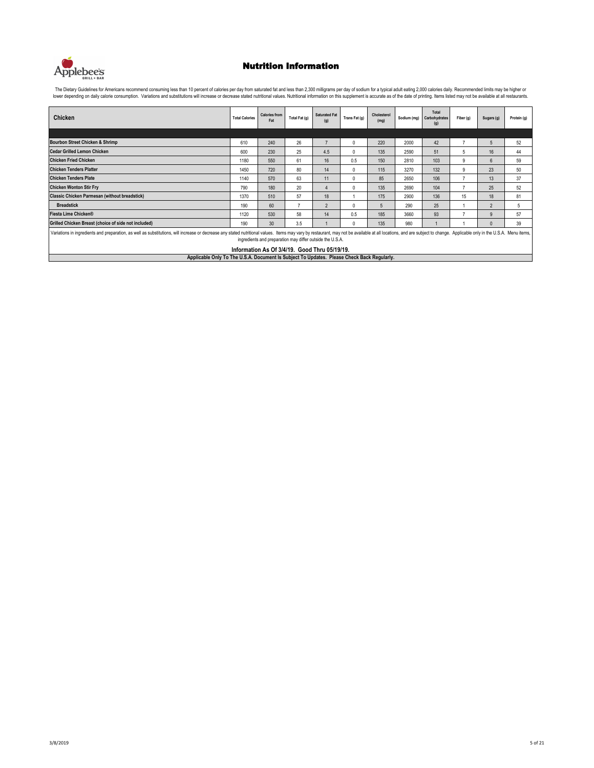

| Chicken                                                                                                                                                                                                                                                                                    | <b>Total Calories</b> | <b>Calories from</b><br>Fat | Total Fat (g)            | <b>Saturated Fat</b><br>(g) | Trans Fat (g) | Cholesterol<br>(mg) |      | Total<br>Sodium (mg) Carbohydrates<br>(g) | Fiber (g) | Sugars (g)     | Protein (g) |
|--------------------------------------------------------------------------------------------------------------------------------------------------------------------------------------------------------------------------------------------------------------------------------------------|-----------------------|-----------------------------|--------------------------|-----------------------------|---------------|---------------------|------|-------------------------------------------|-----------|----------------|-------------|
|                                                                                                                                                                                                                                                                                            |                       |                             |                          |                             |               |                     |      |                                           |           |                |             |
| Bourbon Street Chicken & Shrimp                                                                                                                                                                                                                                                            | 610                   | 240                         | 26                       | $\overline{7}$              | 0             | 220                 | 2000 | 42                                        |           | 5              | 52          |
| <b>Cedar Grilled Lemon Chicken</b>                                                                                                                                                                                                                                                         | 600                   | 230                         | 25                       | 4.5                         | 0             | 135                 | 2590 | 51                                        | 5         | 16             | 44          |
| <b>Chicken Fried Chicken</b>                                                                                                                                                                                                                                                               | 1180                  | 550                         | 61                       | 16                          | 0.5           | 150                 | 2810 | 103                                       | 9         | 6              | 59          |
| <b>Chicken Tenders Platter</b>                                                                                                                                                                                                                                                             | 1450                  | 720                         | 80                       | 14                          | 0             | 115                 | 3270 | 132                                       | 9         | 23             | 50          |
| <b>Chicken Tenders Plate</b>                                                                                                                                                                                                                                                               | 1140                  | 570                         | 63                       | 11                          | 0             | 85                  | 2650 | 106                                       |           | 13             | 37          |
| <b>Chicken Wonton Stir Fry</b>                                                                                                                                                                                                                                                             | 790                   | 180                         | 20                       | $\Delta$                    | 0             | 135                 | 2690 | 104                                       | 7         | 25             | 52          |
| <b>Classic Chicken Parmesan (without breadstick)</b>                                                                                                                                                                                                                                       | 1370                  | 510                         | 57                       | 18                          |               | 175                 | 2900 | 136                                       | 15        | 18             | 81          |
| <b>Breadstick</b>                                                                                                                                                                                                                                                                          | 190                   | 60                          | $\overline{\phantom{a}}$ | $\overline{2}$              | 0             | 5                   | 290  | 25                                        |           | $\overline{2}$ | 5           |
| Fiesta Lime Chicken®                                                                                                                                                                                                                                                                       | 1120                  | 530                         | 58                       | 14                          | 0.5           | 185                 | 3660 | 93                                        |           | 9              | 57          |
| Grilled Chicken Breast (choice of side not included)                                                                                                                                                                                                                                       | 190                   | 30                          | 3.5                      |                             | <sup>0</sup>  | 135                 | 980  |                                           |           | $\Omega$       | 39          |
| Variations in ingredients and preparation, as well as substitutions, will increase or decrease any stated nutritional values. Items may vary by restaurant, may not be available at all locations, and are subject to change.<br>ingredients and preparation may differ outside the U.S.A. |                       |                             |                          |                             |               |                     |      |                                           |           |                |             |
| Information As Of 3/4/19. Good Thru 05/19/19.                                                                                                                                                                                                                                              |                       |                             |                          |                             |               |                     |      |                                           |           |                |             |
| Applicable Only To The U.S.A. Document Is Subject To Updates. Please Check Back Regularly.                                                                                                                                                                                                 |                       |                             |                          |                             |               |                     |      |                                           |           |                |             |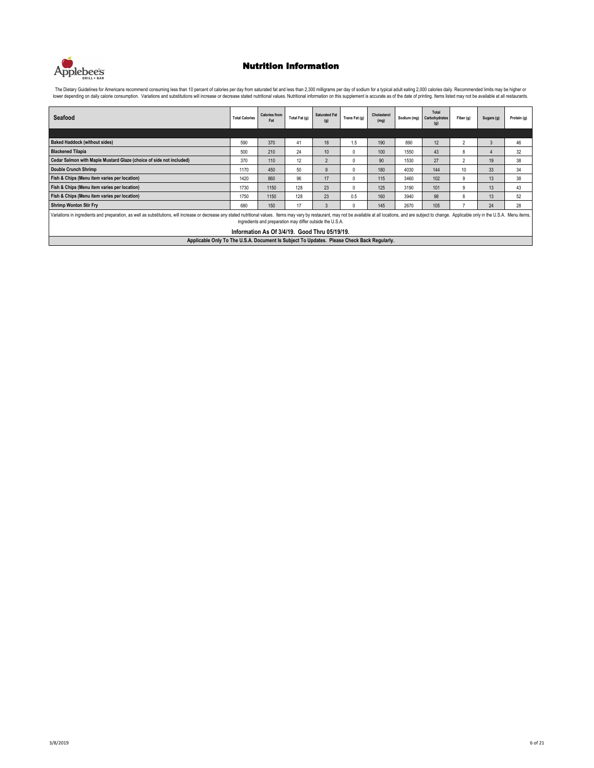

| Seafood                                                                                                                                                                                                                                                                                                                                     | <b>Total Calories</b> | <b>Calories from</b><br>Fat | Total Fat (g) | <b>Saturated Fat</b><br>(g) | Trans Fat (g) | Cholesterol<br>(mg) | Sodium (mg) | Total<br>Carbohydrates<br>(g) | Fiber (g)                | Sugars (g) | Protein (a) |  |
|---------------------------------------------------------------------------------------------------------------------------------------------------------------------------------------------------------------------------------------------------------------------------------------------------------------------------------------------|-----------------------|-----------------------------|---------------|-----------------------------|---------------|---------------------|-------------|-------------------------------|--------------------------|------------|-------------|--|
|                                                                                                                                                                                                                                                                                                                                             |                       |                             |               |                             |               |                     |             |                               |                          |            |             |  |
| <b>Baked Haddock (without sides)</b>                                                                                                                                                                                                                                                                                                        | 590                   | 370                         | 41            | 18                          | 1.5           | 190                 | 890         | 12                            | $\mathfrak{p}$           | 3          | 46          |  |
| <b>Blackened Tilapia</b>                                                                                                                                                                                                                                                                                                                    | 500                   | 210                         | 24            | 10                          | $\theta$      | 100                 | 1550        | 43                            | 8                        |            | 32          |  |
| Cedar Salmon with Maple Mustard Glaze (choice of side not included)                                                                                                                                                                                                                                                                         | 370                   | 110                         | 12            | $\mathfrak{p}$              | $\Omega$      | 90                  | 1530        | 27                            | $\overline{\phantom{a}}$ | 19         | 38          |  |
| Double Crunch Shrimp                                                                                                                                                                                                                                                                                                                        | 1170                  | 450                         | 50            | $\mathsf{q}$                | $\Omega$      | 180                 | 4030        | 144                           | 10 <sup>10</sup>         | 33         | 34          |  |
| Fish & Chips (Menu item varies per location)                                                                                                                                                                                                                                                                                                | 1420                  | 860                         | 96            | 17                          | $\mathbf{0}$  | 115                 | 3460        | 102                           | 9                        | 13         | 38          |  |
| Fish & Chips (Menu item varies per location)                                                                                                                                                                                                                                                                                                | 1730                  | 1150                        | 128           | 23                          | $\Omega$      | 125                 | 3190        | 101                           | 9                        | 13         | 43          |  |
| Fish & Chips (Menu item varies per location)                                                                                                                                                                                                                                                                                                | 1750                  | 1150                        | 128           | 23                          | 0.5           | 160                 | 3940        | 98                            | 8                        | 13         | 52          |  |
| <b>Shrimp Wonton Stir Fry</b>                                                                                                                                                                                                                                                                                                               | 680                   | 150                         | 17            | 3                           | $\Omega$      | 145                 | 2670        | 105                           |                          | 24         | 28          |  |
| Variations in ingredients and preparation, as well as substitutions, will increase or decrease any stated nutritional values. Items may vary by restaurant, may not be available at all locations, and are subject to change.<br>ingredients and preparation may differ outside the U.S.A.<br>Information As Of 3/4/19. Good Thru 05/19/19. |                       |                             |               |                             |               |                     |             |                               |                          |            |             |  |
| Applicable Only To The U.S.A. Document Is Subject To Updates. Please Check Back Regularly.                                                                                                                                                                                                                                                  |                       |                             |               |                             |               |                     |             |                               |                          |            |             |  |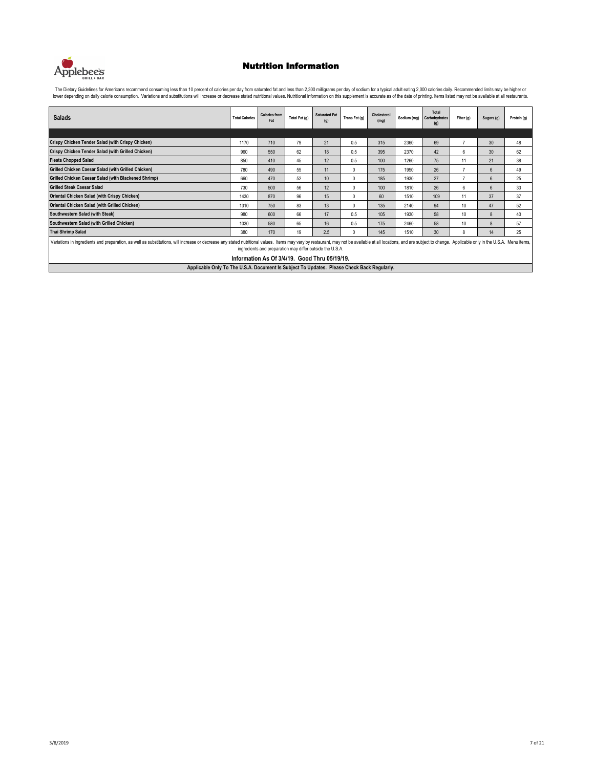

| <b>Salads</b>                                                                                                                                                                                                                                                                              | <b>Total Calories</b>                         | <b>Calories from</b><br>Fat | Total Fat (g) | <b>Saturated Fat</b><br>(q) | Trans Fat (g) | Cholesterol<br>(mg) | Sodium (mg) | Total<br>Carbohydrates<br>(g) | Fiber (g) | Sugars (g)      | Protein (a) |  |
|--------------------------------------------------------------------------------------------------------------------------------------------------------------------------------------------------------------------------------------------------------------------------------------------|-----------------------------------------------|-----------------------------|---------------|-----------------------------|---------------|---------------------|-------------|-------------------------------|-----------|-----------------|-------------|--|
|                                                                                                                                                                                                                                                                                            |                                               |                             |               |                             |               |                     |             |                               |           |                 |             |  |
| Crispy Chicken Tender Salad (with Crispy Chicken)                                                                                                                                                                                                                                          | 1170                                          | 710                         | 79            | 21                          | 0.5           | 315                 | 2360        | 69                            | 7         | 30 <sup>°</sup> | 48          |  |
| Crispy Chicken Tender Salad (with Grilled Chicken)                                                                                                                                                                                                                                         | 960                                           | 550                         | 62            | 18                          | 0.5           | 395                 | 2370        | 42                            | 6         | 30              | 62          |  |
| <b>Fiesta Chopped Salad</b>                                                                                                                                                                                                                                                                | 850                                           | 410                         | 45            | 12                          | 0.5           | 100                 | 1260        | 75                            | 11        | 21              | 38          |  |
| Grilled Chicken Caesar Salad (with Grilled Chicken)                                                                                                                                                                                                                                        | 780                                           | 490                         | 55            | 11                          | $\mathbf{0}$  | 175                 | 1950        | 26                            |           | 6               | 49          |  |
| Grilled Chicken Caesar Salad (with Blackened Shrimp)                                                                                                                                                                                                                                       | 660                                           | 470                         | 52            | 10 <sup>10</sup>            | $\mathbf{0}$  | 185                 | 1930        | 27                            | 7         | 6               | 25          |  |
| <b>Grilled Steak Caesar Salad</b>                                                                                                                                                                                                                                                          | 730                                           | 500                         | 56            | 12                          | $\mathbf{0}$  | 100                 | 1810        | 26                            | 6         | 6               | 33          |  |
| Oriental Chicken Salad (with Crispy Chicken)                                                                                                                                                                                                                                               | 1430                                          | 870                         | 96            | 15                          | $\mathbf{0}$  | 60                  | 1510        | 109                           | 11        | 37              | 37          |  |
| Oriental Chicken Salad (with Grilled Chicken)                                                                                                                                                                                                                                              | 1310                                          | 750                         | 83            | 13                          | $\mathbf{0}$  | 135                 | 2140        | 94                            | 10        | 47              | 52          |  |
| Southwestern Salad (with Steak)                                                                                                                                                                                                                                                            | 980                                           | 600                         | 66            | 17                          | 0.5           | 105                 | 1930        | 58                            | 10        | 8               | 40          |  |
| Southwestern Salad (with Grilled Chicken)                                                                                                                                                                                                                                                  | 1030                                          | 580                         | 65            | 16                          | 0.5           | 175                 | 2460        | 58                            | 10        | 8               | 57          |  |
| <b>Thai Shrimp Salad</b>                                                                                                                                                                                                                                                                   | 380                                           | 170                         | 19            | 2.5                         | $\mathbf{0}$  | 145                 | 1510        | 30 <sup>2</sup>               | 8         | 14              | 25          |  |
| Variations in ingredients and preparation, as well as substitutions, will increase or decrease any stated nutritional values. Items may vary by restaurant, may not be available at all locations, and are subject to change.<br>ingredients and preparation may differ outside the U.S.A. |                                               |                             |               |                             |               |                     |             |                               |           |                 |             |  |
|                                                                                                                                                                                                                                                                                            | Information As Of 3/4/19. Good Thru 05/19/19. |                             |               |                             |               |                     |             |                               |           |                 |             |  |
| Applicable Only To The U.S.A. Document Is Subject To Updates. Please Check Back Regularly.                                                                                                                                                                                                 |                                               |                             |               |                             |               |                     |             |                               |           |                 |             |  |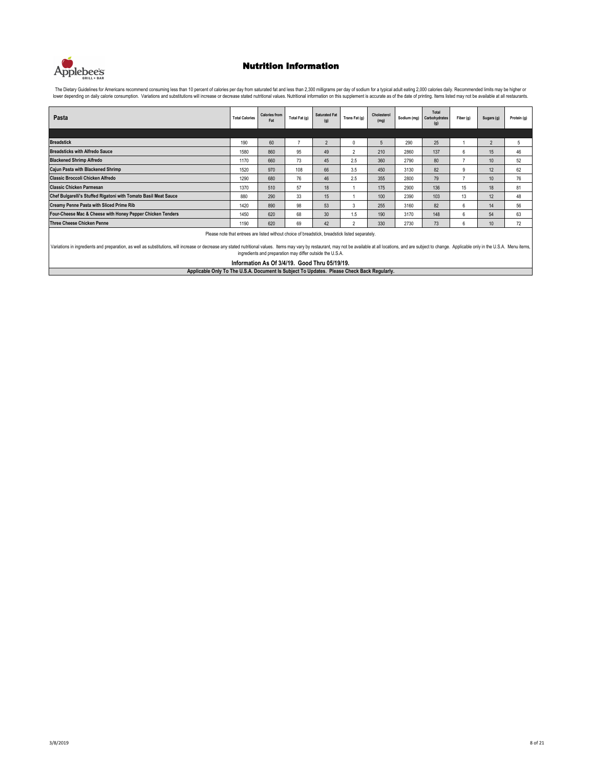

The Dietary Guidelines for Americans recommend consuming less than 10 percent of calories per day from saturated fat and less than 2,300 milligrams per day of sodium for a typical adult eating 2,000 calories daily. Recomme lower depending on daily calorie consumption. Variations and substitutions will increase or decrease stated nutritional values. Nutritional information on this supplement is accurate as of the date of printing. Items liste

| Pasta                                                           | <b>Total Calories</b> | <b>Calories from</b><br>Fat | Total Fat (g)            | <b>Saturated Fat</b><br>(g) | Trans Fat (g) | Cholesterol<br>(mg) | Sodium (mg) | Total<br>Carbohydrates<br>(g) | Fiber (g) | Sugars (g)               | Protein (g) |
|-----------------------------------------------------------------|-----------------------|-----------------------------|--------------------------|-----------------------------|---------------|---------------------|-------------|-------------------------------|-----------|--------------------------|-------------|
|                                                                 |                       |                             |                          |                             |               |                     |             |                               |           |                          |             |
| <b>Breadstick</b>                                               | 190                   | 60                          | $\overline{\phantom{a}}$ | $\overline{2}$              | $\mathbf{0}$  | ÷.                  | 290         | 25                            |           | $\overline{\phantom{a}}$ | 5           |
| <b>Breadsticks with Alfredo Sauce</b>                           | 1580                  | 860                         | 95                       | 49                          | $\sim$        | 210                 | 2860        | 137                           | 6         | 15                       | 46          |
| <b>Blackened Shrimp Alfredo</b>                                 | 1170                  | 660                         | 73                       | 45                          | 2.5           | 360                 | 2790        | 80                            |           | 10 <sup>10</sup>         | 52          |
| Cajun Pasta with Blackened Shrimp                               | 1520                  | 970                         | 108                      | 66                          | 3.5           | 450                 | 3130        | 82                            | 9         | 12                       | 62          |
| <b>Classic Broccoli Chicken Alfredo</b>                         | 1290                  | 680                         | 76                       | 46                          | 2.5           | 355                 | 2800        | 79                            | ۰,        | 10 <sup>10</sup>         | 76          |
| <b>Classic Chicken Parmesan</b>                                 | 1370                  | 510                         | 57                       | 18                          |               | 175                 | 2900        | 136                           | 15        | 18                       | 81          |
| Chef Bulgarelli's Stuffed Rigatoni with Tomato Basil Meat Sauce | 880                   | 290                         | 33                       | 15                          |               | 100                 | 2390        | 103                           | 13        | 12                       | 48          |
| <b>Creamy Penne Pasta with Sliced Prime Rib</b>                 | 1420                  | 890                         | 98                       | 53                          | 3             | 255                 | 3160        | 82                            | 6         | 14                       | 56          |
| Four-Cheese Mac & Cheese with Honey Pepper Chicken Tenders      | 1450                  | 620                         | 68                       | 30                          | 1.5           | 190                 | 3170        | 148                           | 6         | 54                       | 63          |
| <b>Three Cheese Chicken Penne</b>                               | 1190                  | 620                         | 69                       | 42                          | $\sim$        | 330                 | 2730        | 73                            | 6         | 10 <sup>10</sup>         | 72          |

Please note that entrees are listed without choice of breadstick, breadstick listed separately.

Variations in ingredients and preparation, as well as substitutions, will increase or decrease any stated nutritional values. Items may vary by restaurant, may not be available at all locations, and are subject to change.

**Information As Of 3/4/19. Good Thru 05/19/19.**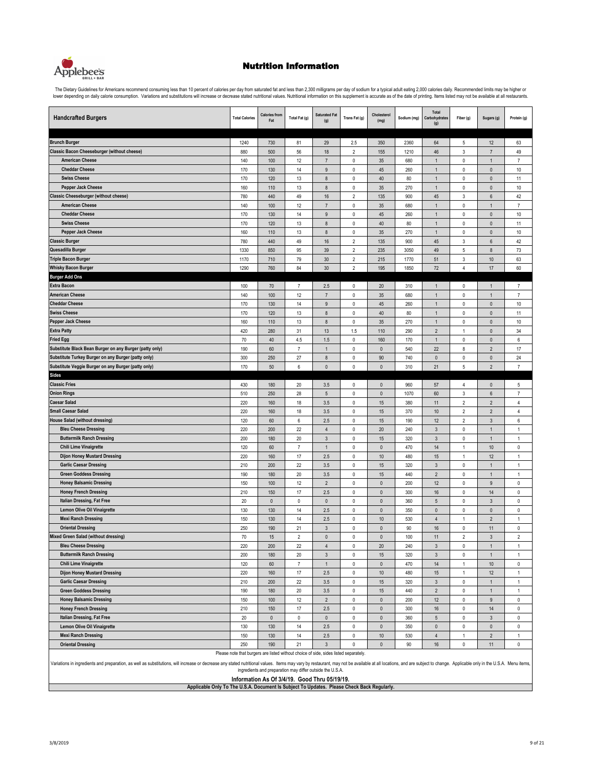

The Dietary Guidelines for Americans recommend consuming less than 10 percent of calories per day from saturated fat and less than 2,300 milligrams per day of sodium for a typical adult eating 2,000 calories daily. Recomme

| <b>Handcrafted Burgers</b>                                           | <b>Total Calories</b>                                                                | <b>Calories from</b><br>Fat | Total Fat (g)            | <b>Saturated Fat</b><br>(g) | Trans Fat (g)            | Cholesterol<br>(mg)    | Sodium (mg) | Total<br>Carbohydrates<br>(g) | Fiber (g)                   | Sugars (g)                   | Protein (g)                  |
|----------------------------------------------------------------------|--------------------------------------------------------------------------------------|-----------------------------|--------------------------|-----------------------------|--------------------------|------------------------|-------------|-------------------------------|-----------------------------|------------------------------|------------------------------|
|                                                                      |                                                                                      |                             |                          |                             |                          |                        |             |                               |                             |                              |                              |
| <b>Brunch Burger</b>                                                 | 1240                                                                                 | 730                         | 81                       | 29                          | 2.5                      | 350                    | 2360        | 64                            | 5                           | 12                           | 63                           |
| <b>Classic Bacon Cheeseburger (without cheese)</b>                   | 880                                                                                  | 500                         | 56                       | 18                          | $\sqrt{2}$               | 155                    | 1210        | 46                            | $\ensuremath{\mathsf{3}}$   | $\overline{7}$               | 49                           |
| <b>American Cheese</b>                                               | 140                                                                                  | $100\,$                     | 12                       | $\overline{7}$              | $\pmb{0}$                | 35                     | 680         | $\overline{1}$                | $\pmb{0}$                   | $\overline{1}$               | $\overline{7}$               |
| <b>Cheddar Cheese</b>                                                | 170                                                                                  | 130                         | 14                       | 9                           | $\pmb{0}$                | 45                     | 260         | 1                             | $\pmb{0}$                   | $\pmb{0}$                    | 10                           |
| <b>Swiss Cheese</b>                                                  | 170                                                                                  | 120                         | 13                       | 8                           | $\mathbb O$              | 40                     | 80          | 1                             | $\mathsf 0$                 | $\pmb{0}$                    | 11                           |
| <b>Pepper Jack Cheese</b>                                            | 160                                                                                  | 110                         | 13                       | $\bf 8$                     | $\mathbb O$              | 35                     | 270         | $\overline{1}$                | $\mathsf 0$                 | $\pmb{0}$                    | $10$                         |
| <b>Classic Cheeseburger (without cheese)</b>                         | 780                                                                                  | 440                         | 49                       | 16                          | $\overline{2}$           | 135                    | 900         | 45                            | 3                           | $\boldsymbol{6}$             | 42                           |
| <b>American Cheese</b>                                               | 140                                                                                  | 100                         | 12                       | $\overline{7}$              | $\pmb{0}$                | 35                     | 680         | 1                             | $\pmb{0}$                   | 1                            | 7                            |
| <b>Cheddar Cheese</b>                                                | 170                                                                                  | 130                         | 14                       | $9\,$                       | $\mathbb O$              | 45                     | 260         | $\mathbf{1}$                  | $\mathbb O$                 | $\mathbb O$                  | $10$                         |
| <b>Swiss Cheese</b>                                                  | 170                                                                                  | 120                         | 13                       | 8                           | $\pmb{0}$                | 40                     | 80          | 1                             | $\pmb{0}$                   | $\pmb{0}$                    | 11                           |
| <b>Pepper Jack Cheese</b>                                            | 160                                                                                  | 110                         | 13                       | $\bf 8$                     | $\pmb{0}$                | 35                     | 270         | $\overline{1}$                | $\pmb{0}$                   | $\pmb{0}$                    | 10                           |
| <b>Classic Burger</b>                                                | 780                                                                                  | 440                         | 49                       | 16                          | $\overline{2}$           | 135                    | 900         | 45                            | 3                           | $\,6\,$                      | 42                           |
| Quesadilla Burger                                                    | 1330                                                                                 | 850                         | 95                       | 39                          | $\sqrt{2}$               | 235                    | 3050        | 49                            | $\sqrt{5}$                  | $\bf 8$                      | 73                           |
| <b>Triple Bacon Burger</b>                                           | 1170                                                                                 | 710                         | 79                       | 30                          | $\sqrt{2}$               | 215                    | 1770        | 51                            | $\ensuremath{\mathsf{3}}$   | $10$                         | 63                           |
| <b>Whisky Bacon Burger</b>                                           | 1290                                                                                 | 760                         | 84                       | 30                          | $\overline{2}$           | 195                    | 1850        | 72                            | $\overline{4}$              | 17                           | 60                           |
| <b>Burger Add Ons</b>                                                |                                                                                      |                             |                          |                             |                          |                        |             |                               |                             |                              |                              |
| <b>Extra Bacon</b><br><b>American Cheese</b>                         | 100                                                                                  | 70                          | $\overline{7}$           | 2.5                         | $\mathbf 0$              | 20                     | 310         | $\overline{1}$                | $\mathsf 0$                 | $\mathbf{1}$                 | 7                            |
| <b>Cheddar Cheese</b>                                                | 140                                                                                  | 100                         | 12                       | $\overline{7}$              | $\mathbb O$              | 35                     | 680         | $\overline{1}$                | $\mathsf 0$                 | $\mathbf{1}$                 | $\overline{7}$               |
| <b>Swiss Cheese</b>                                                  | 170                                                                                  | 130                         | 14                       | $\boldsymbol{9}$            | $\mathbb O$              | 45                     | 260<br>80   | 1                             | $\pmb{0}$                   | $\mathbb O$                  | $10$                         |
| <b>Pepper Jack Cheese</b>                                            | 170<br>160                                                                           | 120<br>110                  | 13<br>13                 | 8<br>$\bf 8$                | $\pmb{0}$<br>$\mathbb O$ | 40<br>35               | 270         | $\mathbf{1}$<br>$\mathbf{1}$  | $\pmb{0}$<br>$\pmb{0}$      | $\mathbb O$<br>$\pmb{0}$     | 11<br>$10$                   |
| <b>Extra Patty</b>                                                   | 420                                                                                  | 280                         | 31                       | 13                          | 1.5                      | 110                    | 290         | $\overline{2}$                | $\mathbf{1}$                | $\mathbb O$                  | 34                           |
| <b>Fried Egg</b>                                                     | 70                                                                                   | 40                          | 4.5                      | 1.5                         | $\pmb{0}$                | 160                    | 170         | $\overline{1}$                | $\pmb{0}$                   | $\pmb{0}$                    | 6                            |
| Substitute Black Bean Burger on any Burger (patty only)              | 190                                                                                  | 60                          | $\overline{7}$           | $\mathbf{1}$                | $\mathbb O$              | $\pmb{0}$              | 540         | 22                            | $\bf 8$                     | $\overline{2}$               | 17                           |
| Substitute Turkey Burger on any Burger (patty only)                  | 300                                                                                  | 250                         | 27                       | $\bf 8$                     | $\pmb{0}$                | 90                     | 740         | $\pmb{0}$                     | $\pmb{0}$                   | $\pmb{0}$                    | 24                           |
| Substitute Veggie Burger on any Burger (patty only)                  | 170                                                                                  | 50                          | $\,6\,$                  | $\pmb{0}$                   | $\pmb{0}$                | $\pmb{0}$              | 310         | 21                            | 5                           | $\overline{2}$               | $\overline{7}$               |
| <b>Sides</b>                                                         |                                                                                      |                             |                          |                             |                          |                        |             |                               |                             |                              |                              |
| <b>Classic Fries</b>                                                 | 430                                                                                  | 180                         | 20                       | 3.5                         | $\mathbf 0$              | $\pmb{0}$              | 960         | 57                            | 4                           | $\mathbf 0$                  | 5                            |
| <b>Onion Rings</b>                                                   | 510                                                                                  | 250                         | 28                       | 5                           | $\pmb{0}$                | $\pmb{0}$              | 1070        | 60                            | 3                           | $\,6\,$                      | $\overline{7}$               |
| <b>Caesar Salad</b>                                                  | 220                                                                                  | 160                         | 18                       | 3.5                         | $\mathbb O$              | 15                     | 380         | 11                            | $\overline{2}$              | $\overline{2}$               | $\overline{4}$               |
| <b>Small Caesar Salad</b>                                            | 220                                                                                  | 160                         | 18                       | 3.5                         | $\mathbb O$              | 15                     | 370         | 10                            | $\sqrt{2}$                  | $\sqrt{2}$                   | $\overline{4}$               |
| House Salad (without dressing)                                       | 120                                                                                  | 60                          | $\boldsymbol{6}$         | 2.5                         | $\pmb{0}$                | 15                     | 190         | 12                            | $\sqrt{2}$                  | $\sqrt{3}$                   | $\boldsymbol{6}$             |
| <b>Bleu Cheese Dressing</b>                                          | 220                                                                                  | 200                         | 22                       | $\sqrt{4}$                  | $\mathbb O$              | 20                     | 240         | $\mathbf{3}$                  | $\mathbb O$                 | $\mathbf{1}$                 | $\mathbf{1}$                 |
| <b>Buttermilk Ranch Dressing</b>                                     | 200                                                                                  | 180                         | 20                       | $\sqrt{3}$                  | $\mathbb O$              | 15                     | 320         | $\mathsf 3$                   | $\pmb{0}$                   | $\overline{1}$               | 1                            |
| Chili Lime Vinaigrette                                               | 120                                                                                  | 60                          | $\overline{7}$           | $\mathbf{1}$                | $\mathbb O$              | $\pmb{0}$              | 470         | 14                            | $\mathbf{1}$                | $10$                         | $\pmb{0}$                    |
| <b>Dijon Honey Mustard Dressing</b>                                  | 220                                                                                  | 160                         | 17                       | 2.5                         | $\pmb{0}$                | $10$                   | 480         | 15                            | $\mathbf{1}$                | 12                           | $\mathbf{1}$                 |
| <b>Garlic Caesar Dressing</b>                                        | 210                                                                                  | 200                         | 22                       | 3.5                         | $\pmb{0}$                | 15                     | 320         | $\sqrt{3}$                    | $\pmb{0}$                   | $\mathbf{1}$                 | $\mathbf{1}$                 |
| <b>Green Goddess Dressing</b>                                        | 190                                                                                  | 180                         | 20                       | 3.5                         | $\pmb{0}$                | 15                     | 440         | $\sqrt{2}$                    | $\pmb{0}$                   | $\overline{1}$               | $\mathbf{1}$                 |
| <b>Honey Balsamic Dressing</b>                                       | 150                                                                                  | 100                         | 12                       | $\overline{2}$              | $\mathbb O$              | $\pmb{0}$              | 200         | 12                            | $\pmb{0}$                   | $\boldsymbol{9}$             | $\mathbb O$                  |
| <b>Honey French Dressing</b>                                         | 210                                                                                  | 150                         | 17                       | 2.5                         | $\pmb{0}$                | $\pmb{0}$              | 300         | 16                            | $\mathbb O$                 | $14$                         | $\pmb{0}$                    |
| Italian Dressing, Fat Free                                           | 20                                                                                   | $\pmb{0}$                   | $\pmb{0}$                | 0                           | 0                        | $\mathbf{0}$           | 360         | 5                             | $\pmb{0}$                   | $\mathbf{3}$                 | $\pmb{0}$                    |
| <b>Lemon Olive Oil Vinaigrette</b>                                   | 130                                                                                  | 130                         | 14                       | 2.5                         | $\mathbb O$              | $\pmb{0}$              | 350         | $\mathbf{0}$                  | $\pmb{0}$                   | $\pmb{0}$                    | $\pmb{0}$                    |
| <b>Mexi Ranch Dressing</b>                                           | 150                                                                                  | 130                         | 14                       | 2.5                         | $\mathbb O$              | 10                     | 530         | $\overline{4}$                | $\mathbf{1}$                | $\overline{2}$               | $\mathbf{1}$                 |
| <b>Oriental Dressing</b>                                             | 250                                                                                  | 190                         | 21                       | $\sqrt{3}$                  | $\mathbb O$              | $\mathbf{0}$           | 90          | 16                            | $\mathbb O$                 | 11                           | $\pmb{0}$                    |
| <b>Mixed Green Salad (without dressing)</b>                          | 70                                                                                   | 15                          | $\overline{2}$           | $\pmb{0}$                   | $\pmb{0}$                | $\mathbf{0}$           | 100         | 11                            | $\overline{2}$              | $\mathbf{3}$                 | $\overline{2}$               |
| <b>Bleu Cheese Dressing</b>                                          | 220                                                                                  | 200                         | 22                       | $\overline{4}$              | 0                        | 20                     | 240         | $\mathbf{3}$                  | $\pmb{0}$                   | $\overline{1}$               | $\mathbf{1}$                 |
| <b>Buttermilk Ranch Dressing</b><br><b>Chili Lime Vinaigrette</b>    | 200                                                                                  | 180                         | $20\,$<br>$\overline{7}$ | $\mathbf{3}$                | $\mathbb O$              | 15                     | 320         | $\mathbf{3}$                  | $\mathbb O$                 | $\overline{1}$               | $\mathbf{1}$                 |
|                                                                      | 120                                                                                  | 60                          |                          | $\mathbf{1}$                | $\mathbb O$              | $\mathbb O$            | 470         | $14$                          | $\mathbf{1}$                | $10$                         | $\pmb{0}$                    |
| <b>Dijon Honey Mustard Dressing</b><br><b>Garlic Caesar Dressing</b> | 220                                                                                  | 160<br>200                  | 17<br>22                 | 2.5                         | $\pmb{0}$                | $10$                   | 480         | 15<br>$\mathbf{3}$            | $\mathbf{1}$<br>$\mathbb O$ | 12                           | $\mathbf{1}$                 |
| <b>Green Goddess Dressing</b>                                        | 210<br>190                                                                           | 180                         | 20                       | 3.5<br>3.5                  | $\pmb{0}$<br>$\pmb{0}$   | 15<br>15               | 320<br>440  | $\overline{2}$                | $\pmb{0}$                   | $\mathbf{1}$<br>$\mathbf{1}$ | $\mathbf{1}$<br>$\mathbf{1}$ |
| <b>Honey Balsamic Dressing</b>                                       |                                                                                      | $100\,$                     | 12                       | $\sqrt{2}$                  | $\mathbf 0$              |                        | 200         | 12                            | $\mathbb O$                 | $\boldsymbol{9}$             | $\pmb{0}$                    |
| <b>Honey French Dressing</b>                                         | 150<br>210                                                                           | 150                         | 17                       | 2.5                         | $\mathbb O$              | $\pmb{0}$<br>$\pmb{0}$ | 300         | 16                            | $\mathbb O$                 | 14                           | $\pmb{0}$                    |
| Italian Dressing, Fat Free                                           | 20                                                                                   | $\mathbf 0$                 | $\mathbb O$              | $\mathsf{O}\xspace$         | $\mathbb O$              | $\pmb{0}$              | 360         | 5                             | $\mathsf 0$                 | $\mathbf{3}$                 | $\mathsf 0$                  |
| Lemon Olive Oil Vinaigrette                                          | 130                                                                                  | 130                         | 14                       | 2.5                         | $\mathbb O$              | $\pmb{0}$              | 350         | $\mathbf 0$                   | $\mathbb O$                 | $\mathbf 0$                  | $\mathsf 0$                  |
| <b>Mexi Ranch Dressing</b>                                           | 150                                                                                  | 130                         | 14                       | 2.5                         | $\mathbb O$              | $10$                   | 530         | $\overline{4}$                | 1                           | $\overline{2}$               | -1                           |
| <b>Oriental Dressing</b>                                             | 250                                                                                  | 190                         | 21                       | $\mathbf{3}$                | $\mathsf 0$              | $\mathbf 0$            | 90          | 16                            | $\mathbb O$                 | 11                           | $\pmb{0}$                    |
|                                                                      | Please note that burgers are listed without choice of side, sides listed separately. |                             |                          |                             |                          |                        |             |                               |                             |                              |                              |

Variations in ingredients and preparation, as well as substitutions, will increase or decrease any stated nutritional values. Items may vary by restaurant, may not be available at all locations, and are subject to change.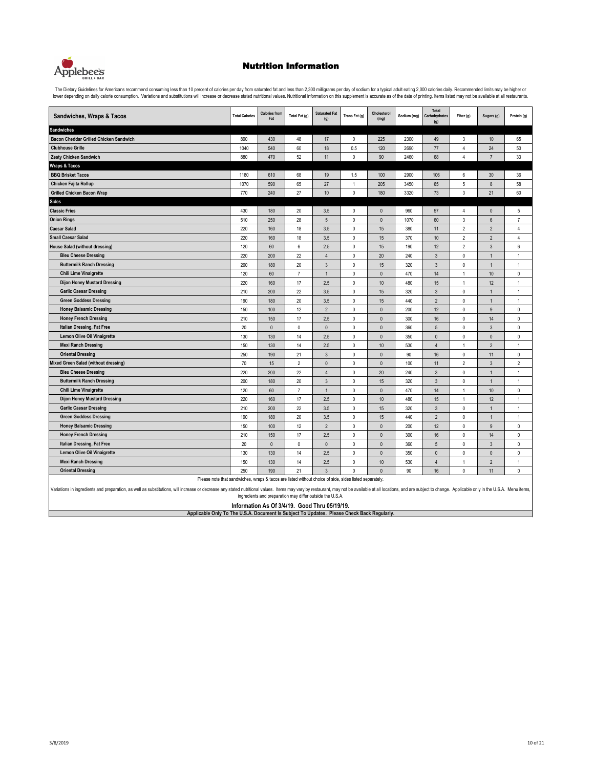

The Dietary Guidelines for Americans recommend consuming less than 10 percent of calories per day from saturated fat and less than 2,300 milligrams per day of sodium for a typical adult eating 2,000 calories daily. Recomme lower depending on daily calorie consumption. Variations and substitutions will increase or decrease stated nutritional values. Nutritional information on this supplement is accurate as of the date of printing. Items liste

| Sandwiches, Wraps & Tacos              | <b>Total Calories</b> | <b>Calories from</b><br>Fat | Total Fat (g)    | <b>Saturated Fat</b><br>(g) | Trans Fat (g) | Cholesterol<br>(mg) | Sodium (mg) | Total<br>Carbohydrates<br>(g) | Fiber (g)      | Sugars (g)       | Protein (g)    |
|----------------------------------------|-----------------------|-----------------------------|------------------|-----------------------------|---------------|---------------------|-------------|-------------------------------|----------------|------------------|----------------|
| <b>Sandwiches</b>                      |                       |                             |                  |                             |               |                     |             |                               |                |                  |                |
| Bacon Cheddar Grilled Chicken Sandwich | 890                   | 430                         | 48               | 17                          | $\pmb{0}$     | 225                 | 2300        | 49                            | $\mathbf{3}$   | 10               | 65             |
| <b>Clubhouse Grille</b>                | 1040                  | 540                         | 60               | 18                          | 0.5           | 120                 | 2690        | 77                            | $\overline{4}$ | 24               | 50             |
| <b>Zesty Chicken Sandwich</b>          | 880                   | 470                         | 52               | 11                          | 0             | 90                  | 2460        | 68                            | $\overline{4}$ | $\overline{7}$   | 33             |
| <b>Wraps &amp; Tacos</b>               |                       |                             |                  |                             |               |                     |             |                               |                |                  |                |
| <b>BBQ Brisket Tacos</b>               | 1180                  | 610                         | 68               | 19                          | 1.5           | 100                 | 2900        | 106                           | 6              | 30               | 36             |
| Chicken Fajita Rollup                  | 1070                  | 590                         | 65               | 27                          | $\mathbf{1}$  | 205                 | 3450        | 65                            | 5              | $\bf 8$          | 58             |
| <b>Grilled Chicken Bacon Wrap</b>      | 770                   | 240                         | 27               | 10                          | 0             | 180                 | 3320        | 73                            | $\mathbf{3}$   | 21               | 60             |
| <b>Sides</b>                           |                       |                             |                  |                             |               |                     |             |                               |                |                  |                |
| <b>Classic Fries</b>                   | 430                   | 180                         | 20               | 3.5                         | 0             | $\pmb{0}$           | 960         | 57                            | 4              | $\mathbf{0}$     | 5              |
| <b>Onion Rings</b>                     | 510                   | 250                         | 28               | $5\,$                       | 0             | $\pmb{0}$           | 1070        | 60                            | $\sqrt{3}$     | $\boldsymbol{6}$ | $\overline{7}$ |
| <b>Caesar Salad</b>                    | 220                   | 160                         | 18               | 3.5                         | 0             | 15                  | 380         | 11                            | $\sqrt{2}$     | $\overline{2}$   | 4              |
| <b>Small Caesar Salad</b>              | 220                   | 160                         | 18               | 3.5                         | $\mathbf 0$   | 15                  | 370         | 10                            | $\overline{2}$ | $\overline{2}$   | $\overline{4}$ |
| <b>House Salad (without dressing)</b>  | 120                   | 60                          | $\boldsymbol{6}$ | 2.5                         | $\mathbf 0$   | 15                  | 190         | 12                            | $\overline{2}$ | $\overline{3}$   | 6              |
| <b>Bleu Cheese Dressing</b>            | 220                   | 200                         | 22               | $\overline{4}$              | 0             | 20                  | 240         | 3                             | $\mathbb O$    | $\overline{1}$   | $\mathbf{1}$   |
| <b>Buttermilk Ranch Dressing</b>       | 200                   | 180                         | 20               | $\mathbf{3}$                | $\pmb{0}$     | 15                  | 320         | $\mathbf{3}$                  | $\mathsf 0$    | $\mathbf{1}$     | 1              |
| <b>Chili Lime Vinaigrette</b>          | 120                   | 60                          | $\overline{7}$   | $\mathbf{1}$                | 0             | $\mathbf{0}$        | 470         | 14                            | $\mathbf{1}$   | 10 <sup>10</sup> | $\mathbf 0$    |
| <b>Dijon Honey Mustard Dressing</b>    | 220                   | 160                         | 17               | 2.5                         | $\mathbf 0$   | 10                  | 480         | 15                            | $\mathbf{1}$   | 12               | $\mathbf{1}$   |
| <b>Garlic Caesar Dressing</b>          | 210                   | 200                         | 22               | 3.5                         | 0             | 15                  | 320         | 3                             | $\mathbf 0$    | $\mathbf{1}$     | $\mathbf{1}$   |
| <b>Green Goddess Dressing</b>          | 190                   | 180                         | 20               | 3.5                         | 0             | 15                  | 440         | $\overline{2}$                | $\mathsf 0$    | $\mathbf{1}$     | 1              |
| <b>Honey Balsamic Dressing</b>         | 150                   | 100                         | 12               | $\overline{2}$              | 0             | $\mathbf{0}$        | 200         | 12                            | $\mathbf 0$    | 9                | 0              |
| <b>Honey French Dressing</b>           | 210                   | 150                         | 17               | 2.5                         | $\mathbf 0$   | $\mathbf{0}$        | 300         | 16                            | $\mathbf 0$    | 14               | $\mathbf 0$    |
| Italian Dressing, Fat Free             | 20                    | $\pmb{0}$                   | $\mathbf{0}$     | $\mathbf{0}$                | $\mathbf 0$   | $\mathbf{0}$        | 360         | 5                             | $\mathbf 0$    | $\overline{3}$   | $\mathbf 0$    |
| Lemon Olive Oil Vinaigrette            | 130                   | 130                         | 14               | 2.5                         | 0             | $\pmb{0}$           | 350         | 0                             | $\mathsf 0$    | $\pmb{0}$        | 0              |
| <b>Mexi Ranch Dressing</b>             | 150                   | 130                         | 14               | 2.5                         | 0             | 10                  | 530         | $\overline{4}$                | 1              | $\overline{2}$   | 1              |
| <b>Oriental Dressing</b>               | 250                   | 190                         | 21               | $\overline{3}$              | $\mathbf 0$   | $\mathbf{0}$        | 90          | 16                            | $\mathbf 0$    | 11               | $\mathbf 0$    |
| Mixed Green Salad (without dressing)   | 70                    | 15                          | $\overline{2}$   | $\mathbf{0}$                | 0             | $\mathbf{0}$        | 100         | 11                            | $\overline{2}$ | $\overline{3}$   | $\overline{2}$ |
| <b>Bleu Cheese Dressing</b>            | 220                   | 200                         | 22               | $\overline{4}$              | 0             | 20                  | 240         | 3                             | $\mathbf 0$    | $\mathbf{1}$     | $\mathbf{1}$   |
| <b>Buttermilk Ranch Dressing</b>       | 200                   | 180                         | 20               | $\mathbf{3}$                | 0             | 15                  | 320         | 3                             | $\mathbb O$    | $\mathbf{1}$     | $\mathbf{1}$   |
| <b>Chili Lime Vinaigrette</b>          | 120                   | 60                          | $\overline{7}$   | $\mathbf{1}$                | $\mathbf{0}$  | $\mathbf{0}$        | 470         | 14                            | $\mathbf{1}$   | 10               | $\mathbf{0}$   |
| <b>Dijon Honey Mustard Dressing</b>    | 220                   | 160                         | 17               | 2.5                         | $\mathbf 0$   | $10$                | 480         | 15                            | $\mathbf{1}$   | 12               | $\mathbf{1}$   |
| <b>Garlic Caesar Dressing</b>          | 210                   | 200                         | 22               | 3.5                         | $\mathbf 0$   | 15                  | 320         | 3                             | $\mathbb O$    | $\mathbf{1}$     | $\mathbf{1}$   |
| <b>Green Goddess Dressing</b>          | 190                   | 180                         | 20               | 3.5                         | 0             | 15                  | 440         | $\overline{2}$                | $\mathbf 0$    | $\overline{1}$   | $\mathbf{1}$   |
| <b>Honey Balsamic Dressing</b>         | 150                   | 100                         | 12               | $\overline{2}$              | 0             | $\mathbf{0}$        | 200         | 12                            | $\mathbf 0$    | $\boldsymbol{9}$ | 0              |
| <b>Honey French Dressing</b>           | 210                   | 150                         | 17               | 2.5                         | $\mathbf 0$   | $\mathbf{0}$        | 300         | 16                            | $\mathbf 0$    | 14               | $\mathbf{0}$   |
| Italian Dressing, Fat Free             | 20                    | $\pmb{0}$                   | $\pmb{0}$        | $\mathbf{0}$                | $\mathbf 0$   | $\pmb{0}$           | 360         | 5                             | $\mathbf 0$    | $\mathbf{3}$     | 0              |
| Lemon Olive Oil Vinaigrette            | 130                   | 130                         | 14               | 2.5                         | 0             | $\mathbf{0}$        | 350         | $\Omega$                      | $\mathbf 0$    | $\mathbf{0}$     | 0              |
| <b>Mexi Ranch Dressing</b>             | 150                   | 130                         | 14               | 2.5                         | 0             | 10                  | 530         | $\overline{4}$                | $\overline{1}$ | $\overline{2}$   | 1              |
| <b>Oriental Dressing</b>               | 250                   | 190                         | 21               | $\overline{3}$              | $\mathbf 0$   | $\mathbf{0}$        | 90          | 16                            | $\mathbf{0}$   | 11               | $\mathbf 0$    |

Please note that sandwiches, wraps & tacos are listed without choice of side, sides listed separately.

Variations in ingredients and preparation, as well as substitutions, will increase or decrease any stated nutritional values. Items may vary by restaurant, may not be available at all locations, and are subject to change. ingredients and preparation may differ outside the U.S.A.

**Information As Of 3/4/19. Good Thru 05/19/19. Applicable Only To The U.S.A. Document Is Subject To Updates. Please Check Back Regularly.**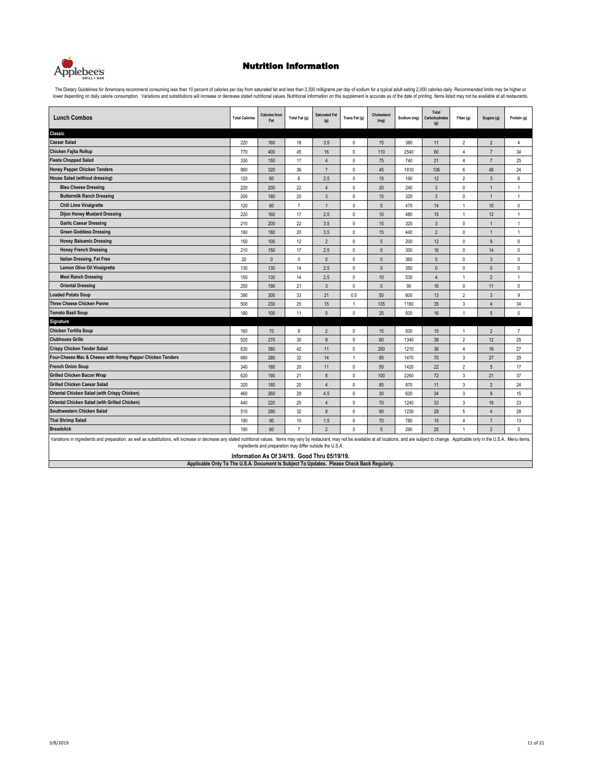

The Dietary Guidelines for Americans recommend consuming less than 10 percent of calories per day from saturated fat and less than 2,300 milligrams per day of sodium for a typical adult eating 2,000 calories daily. Recomme

| <b>Lunch Combos</b>                                                                                                                                                                                                                                                                                                         | <b>Total Calories</b> | <b>Calories from</b><br>Fat                                                                                | Total Fat (g)  | <b>Saturated Fat</b><br>(g) | Trans Fat (g)  | Cholesterol<br>(mg) | Sodium (mg) | Total<br>Carbohydrates<br>(g) | Fiber (g)               | Sugars (g)     | Protein (g)    |  |
|-----------------------------------------------------------------------------------------------------------------------------------------------------------------------------------------------------------------------------------------------------------------------------------------------------------------------------|-----------------------|------------------------------------------------------------------------------------------------------------|----------------|-----------------------------|----------------|---------------------|-------------|-------------------------------|-------------------------|----------------|----------------|--|
| Classic                                                                                                                                                                                                                                                                                                                     |                       |                                                                                                            |                |                             |                |                     |             |                               |                         |                |                |  |
| <b>Caesar Salad</b>                                                                                                                                                                                                                                                                                                         | 220                   | 160                                                                                                        | 18             | 3.5                         | $\mathbf 0$    | 15                  | 380         | 11                            | $\overline{\mathbf{c}}$ | $\overline{2}$ | 4              |  |
| Chicken Fajita Rollup                                                                                                                                                                                                                                                                                                       | 770                   | 400                                                                                                        | 45             | 16                          | $\pmb{0}$      | 110                 | 2540        | 60                            | 4                       | $\overline{7}$ | 34             |  |
| <b>Fiesta Chopped Salad</b>                                                                                                                                                                                                                                                                                                 | 330                   | 150                                                                                                        | 17             | 4                           | $\mathbf 0$    | 75                  | 740         | 21                            | 4                       | $\overline{7}$ | 25             |  |
| <b>Honey Pepper Chicken Tenders</b>                                                                                                                                                                                                                                                                                         | 960                   | 320                                                                                                        | 36             | $\overline{7}$              | $\mathbf 0$    | 45                  | 1810        | 136                           | 6                       | 48             | 24             |  |
| <b>House Salad (without dressing)</b>                                                                                                                                                                                                                                                                                       | 120                   | 60                                                                                                         | 6              | 2.5                         | $\pmb{0}$      | 15                  | 190         | 12                            | $\overline{\mathbf{c}}$ | $\mathbf{3}$   | 6              |  |
| <b>Bleu Cheese Dressing</b>                                                                                                                                                                                                                                                                                                 | 220                   | 200                                                                                                        | 22             | 4                           | $\mathbf 0$    | 20                  | 240         | 3                             | $\mathbf 0$             | $\mathbf{1}$   | 1              |  |
| <b>Buttermilk Ranch Dressing</b>                                                                                                                                                                                                                                                                                            | 200                   | 180                                                                                                        | 20             | $\mathbf{3}$                | $\mathbf 0$    | 15                  | 320         | 3                             | $\mathbf 0$             | $\overline{1}$ | 1              |  |
| <b>Chili Lime Vinaigrette</b>                                                                                                                                                                                                                                                                                               | 120                   | 60                                                                                                         | $\overline{7}$ | $\mathbf{1}$                | $\mathbf 0$    | $\mathbf{0}$        | 470         | 14                            | $\mathbf{1}$            | $10$           | 0              |  |
| <b>Dijon Honey Mustard Dressing</b>                                                                                                                                                                                                                                                                                         | 220                   | 160                                                                                                        | 17             | 2.5                         | $\mathbf 0$    | 10                  | 480         | 15                            | $\mathbf{1}$            | 12             | 1              |  |
| <b>Garlic Caesar Dressing</b>                                                                                                                                                                                                                                                                                               | 210                   | 200                                                                                                        | 22             | 3.5                         | $\mathbf 0$    | 15                  | 320         | 3                             | 0                       | $\mathbf{1}$   | $\overline{1}$ |  |
| <b>Green Goddess Dressing</b>                                                                                                                                                                                                                                                                                               | 190                   | 180                                                                                                        | 20             | 3.5                         | $\mathbf 0$    | 15                  | 440         | $\overline{\phantom{0}}$      | 0                       | $\mathbf{1}$   | $\overline{1}$ |  |
| <b>Honey Balsamic Dressing</b>                                                                                                                                                                                                                                                                                              | 150                   | 100                                                                                                        | 12             | $\overline{2}$              | $\mathbf{0}$   | $\mathbf{0}$        | 200         | 12                            | $\mathbf 0$             | $\overline{9}$ | 0              |  |
| <b>Honey French Dressing</b>                                                                                                                                                                                                                                                                                                | 210                   | 150                                                                                                        | 17             | 2.5                         | $\mathbf 0$    | $\mathbf{0}$        | 300         | 16                            | $\mathbf 0$             | 14             | 0              |  |
| Italian Dressing, Fat Free                                                                                                                                                                                                                                                                                                  | 20                    | $\mathbf{0}$                                                                                               | $\mathbf{0}$   | $\mathbf{0}$                | $\mathbf 0$    | $\theta$            | 360         | 5                             | $\mathbf{0}$            | $\mathbf{3}$   | 0              |  |
| <b>Lemon Olive Oil Vinaigrette</b>                                                                                                                                                                                                                                                                                          | 130                   | 130                                                                                                        | 14             | 2.5                         | $\mathbf 0$    | $\mathbf{0}$        | 350         | $\mathbf{0}$                  | $\mathbf{0}$            | $\mathbf{0}$   | 0              |  |
| <b>Mexi Ranch Dressing</b>                                                                                                                                                                                                                                                                                                  | 150                   | 130                                                                                                        | 14             | 2.5                         | $\mathbf 0$    | 10                  | 530         | $\overline{4}$                | $\mathbf{1}$            | $\overline{2}$ | $\mathbf{1}$   |  |
| <b>Oriental Dressing</b>                                                                                                                                                                                                                                                                                                    | 250                   | 190                                                                                                        | 21             | $\mathbf{3}$                | $\mathbf 0$    | $\mathbf{0}$        | 90          | 16                            | $\mathbf 0$             | 11             | 0              |  |
| oaded Potato Soup                                                                                                                                                                                                                                                                                                           | 390                   | 300                                                                                                        | 33             | 21                          | 0.5            | 50                  | 800         | 13                            | $\overline{c}$          | 3              | 9              |  |
| Three Cheese Chicken Penne                                                                                                                                                                                                                                                                                                  | 500                   | 230                                                                                                        | 25             | 15                          | $\overline{1}$ | 135                 | 1160        | 35                            | 3                       | $\overline{4}$ | 34             |  |
| <b>Tomato Basil Soup</b>                                                                                                                                                                                                                                                                                                    | 180                   | 100                                                                                                        | 11             | 5                           | $\mathbf 0$    | 25                  | 930         | 16                            | 1                       | 5              | 5              |  |
| <b>Signature</b>                                                                                                                                                                                                                                                                                                            |                       |                                                                                                            |                |                             |                |                     |             |                               |                         |                |                |  |
| <b>Chicken Tortilla Soup</b>                                                                                                                                                                                                                                                                                                | 160                   | 70                                                                                                         | 8              | $\overline{2}$              | $\pmb{0}$      | 15                  | 830         | 15                            | 1                       | $\overline{2}$ | $\overline{7}$ |  |
| <b>Clubhouse Grille</b>                                                                                                                                                                                                                                                                                                     | 520                   | 270                                                                                                        | 30             | 9                           | $\mathbf 0$    | 60                  | 1340        | 38                            | $\overline{2}$          | 12             | 25             |  |
| <b>Crispy Chicken Tender Salad</b>                                                                                                                                                                                                                                                                                          | 630                   | 380                                                                                                        | 42             | 11                          | $\mathbf 0$    | 250                 | 1210        | 36                            | 4                       | 16             | 27             |  |
| Four-Cheese Mac & Cheese with Honey Pepper Chicken Tenders                                                                                                                                                                                                                                                                  | 680                   | 280                                                                                                        | 32             | 14                          | $\overline{1}$ | 85                  | 1470        | 70                            | 3                       | 27             | 29             |  |
| <b>French Onion Soup</b>                                                                                                                                                                                                                                                                                                    | 340                   | 180                                                                                                        | 20             | 11                          | $\mathbf 0$    | 50                  | 1420        | 22                            | $\overline{2}$          | 5              | 17             |  |
| <b>Grilled Chicken Bacon Wrap</b>                                                                                                                                                                                                                                                                                           | 620                   | 190                                                                                                        | 21             | 8                           | $\mathbf 0$    | 100                 | 2260        | 72                            | 3                       | 21             | 37             |  |
| <b>Grilled Chicken Caesar Salad</b>                                                                                                                                                                                                                                                                                         | 320                   | 180                                                                                                        | 20             | $\overline{4}$              | $\mathbf 0$    | 85                  | 870         | 11                            | 3                       | $\overline{2}$ | 24             |  |
| Oriental Chicken Salad (with Crispy Chicken)                                                                                                                                                                                                                                                                                | 460                   | 260                                                                                                        | 29             | 4.5                         | $\mathbf 0$    | 30                  | 620         | 34                            | 3                       | 9              | 15             |  |
| Oriental Chicken Salad (with Grilled Chicken)                                                                                                                                                                                                                                                                               | 440                   | 220                                                                                                        | 25             | $\overline{4}$              | $\mathbf 0$    | 70                  | 1240        | 33                            | $\mathbf{3}$            | 19             | 23             |  |
| Southwestern Chicken Salad                                                                                                                                                                                                                                                                                                  | 510                   | 290                                                                                                        | 32             | 8                           | $\mathbf 0$    | 90                  | 1230        | 29                            | 5                       | $\overline{4}$ | 28             |  |
| Thai Shrimp Salad                                                                                                                                                                                                                                                                                                           | 190                   | 90                                                                                                         | 10             | 1.5                         | $\mathbf 0$    | 70                  | 780         | 15                            | 4                       | $\overline{7}$ | 13             |  |
| <b>Breadstick</b><br>$\mathbf{0}$<br>190<br>60<br>$\overline{7}$<br>$\overline{2}$<br>5<br>290<br>25<br>$\overline{2}$<br>5<br>1                                                                                                                                                                                            |                       |                                                                                                            |                |                             |                |                     |             |                               |                         |                |                |  |
| Variations in ingredients and preparation, as well as substitutions, will increase or decrease any stated nutritional values. Items may vary by restaurant, may not be available at all locations, and are subject to change.<br>Applicable Only To The U.S.A. Document Is Subject To Updates. Please Check Back Regularly. |                       | ingredients and preparation may differ outside the U.S.A.<br>Information As Of 3/4/19. Good Thru 05/19/19. |                |                             |                |                     |             |                               |                         |                |                |  |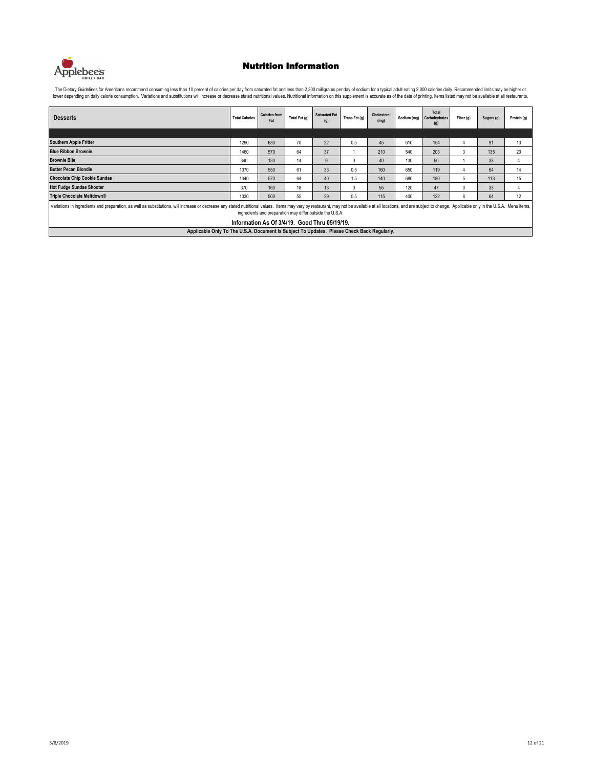

| <b>Desserts</b>                                                                                                                                                                                                                                                                                                                             | <b>Total Calories</b> | <b>Calories from</b><br>Fat | Total Fat (g) | <b>Saturated Fat</b><br>(g) | Trans Fat (g) | Cholesterol<br>(mg) |     | Total<br>Sodium (mg) Carbohydrates<br>(g) | Fiber (g) | Sugars (g) | Protein (g) |  |
|---------------------------------------------------------------------------------------------------------------------------------------------------------------------------------------------------------------------------------------------------------------------------------------------------------------------------------------------|-----------------------|-----------------------------|---------------|-----------------------------|---------------|---------------------|-----|-------------------------------------------|-----------|------------|-------------|--|
|                                                                                                                                                                                                                                                                                                                                             |                       |                             |               |                             |               |                     |     |                                           |           |            |             |  |
| <b>Southern Apple Fritter</b>                                                                                                                                                                                                                                                                                                               | 1290                  | 630                         | 70            | 22                          | 0.5           | 45                  | 610 | 154                                       |           | 91         | 13          |  |
| <b>Blue Ribbon Brownie</b>                                                                                                                                                                                                                                                                                                                  | 1460                  | 570                         | 64            | 37                          |               | 210                 | 540 | 203                                       | 3         | 135        | 20          |  |
| <b>Brownie Bite</b>                                                                                                                                                                                                                                                                                                                         | 340                   | 130                         | 14            | q                           | <sup>0</sup>  | 40                  | 130 | 50                                        |           | 33         |             |  |
| <b>Butter Pecan Blondie</b>                                                                                                                                                                                                                                                                                                                 | 1070                  | 550                         | 61            | 33                          | 0.5           | 160                 | 650 | 119                                       |           | 64         | 14          |  |
| <b>Chocolate Chip Cookie Sundae</b>                                                                                                                                                                                                                                                                                                         | 1340                  | 570                         | 64            | 40                          | 1.5           | 140                 | 680 | 180                                       | 5         | 113        | 15          |  |
| <b>Hot Fudge Sundae Shooter</b>                                                                                                                                                                                                                                                                                                             | 370                   | 160                         | 18            | 13                          | 0             | 55                  | 120 | 47                                        | 0         | 33         |             |  |
| Triple Chocolate Meltdown®                                                                                                                                                                                                                                                                                                                  | 1030                  | 500                         | 55            | 29                          | 0.5           | 115                 | 400 | 122                                       | 8         | 64         | 12          |  |
| Variations in ingredients and preparation, as well as substitutions, will increase or decrease any stated nutritional values. Items may vary by restaurant, may not be available at all locations, and are subject to change.<br>ingredients and preparation may differ outside the U.S.A.<br>Information As Of 3/4/19. Good Thru 05/19/19. |                       |                             |               |                             |               |                     |     |                                           |           |            |             |  |
| Applicable Only To The U.S.A. Document Is Subject To Updates. Please Check Back Regularly.                                                                                                                                                                                                                                                  |                       |                             |               |                             |               |                     |     |                                           |           |            |             |  |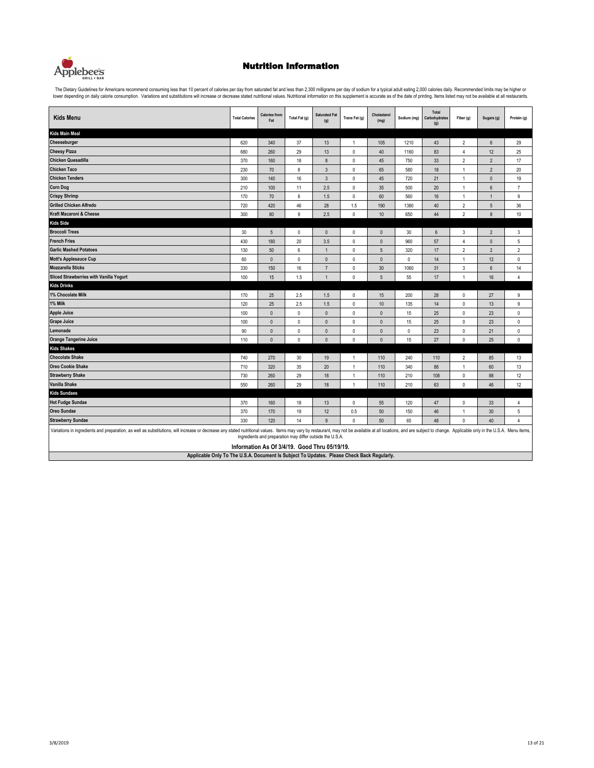

The Dietary Guidelines for Americans recommend consuming less than 10 percent of calories per day from saturated fat and less than 2,300 milligrams per day of sodium for a typical adult eating 2,000 calories daily. Recomme

| <b>Kids Menu</b>                                                                                                                                                                                                              | <b>Total Calories</b> | <b>Calories from</b><br>Fat                                                                                | Total Fat (g) | <b>Saturated Fat</b><br>(g) | Trans Fat (g) | Cholesterol<br>(mg) | Sodium (mg) | Total<br>Carbohydrates<br>(g) | Fiber (g)      | Sugars (g)      | Protein (g)    |  |
|-------------------------------------------------------------------------------------------------------------------------------------------------------------------------------------------------------------------------------|-----------------------|------------------------------------------------------------------------------------------------------------|---------------|-----------------------------|---------------|---------------------|-------------|-------------------------------|----------------|-----------------|----------------|--|
| <b>Kids Main Meal</b>                                                                                                                                                                                                         |                       |                                                                                                            |               |                             |               |                     |             |                               |                |                 |                |  |
| Cheeseburger                                                                                                                                                                                                                  | 620                   | 340                                                                                                        | 37            | 13                          | $\mathbf{1}$  | 105                 | 1210        | 43                            | $\overline{2}$ | $6\phantom{.}6$ | 29             |  |
| <b>Cheesy Pizza</b>                                                                                                                                                                                                           | 680                   | 260                                                                                                        | 29            | 13                          | $\mathbf 0$   | 40                  | 1160        | 83                            | 4              | 12              | 25             |  |
| <b>Chicken Quesadilla</b>                                                                                                                                                                                                     | 370                   | 160                                                                                                        | 18            | $\bf 8$                     | $\pmb{0}$     | 45                  | 750         | 33                            | $\overline{2}$ | $\overline{c}$  | 17             |  |
| <b>Chicken Taco</b>                                                                                                                                                                                                           | 230                   | 70                                                                                                         | 8             | $\overline{3}$              | $\mathbf 0$   | 65                  | 580         | 18                            | $\overline{1}$ | $\overline{2}$  | 20             |  |
| <b>Chicken Tenders</b>                                                                                                                                                                                                        | 300                   | 140                                                                                                        | 16            | $\mathbf{3}$                | $\mathbf 0$   | 45                  | 720         | 21                            | $\mathbf{1}$   | $\mathbf{0}$    | 19             |  |
| <b>Corn Dog</b>                                                                                                                                                                                                               | 210                   | 100                                                                                                        | 11            | 2.5                         | 0             | 35                  | 500         | 20                            | $\mathbf{1}$   | 6               | $\overline{7}$ |  |
| <b>Crispy Shrimp</b>                                                                                                                                                                                                          | 170                   | 70                                                                                                         | 8             | 1.5                         | 0             | 60                  | 560         | 16                            | $\mathbf{1}$   | $\mathbf{1}$    | 9              |  |
| <b>Grilled Chicken Alfredo</b>                                                                                                                                                                                                | 720                   | 420                                                                                                        | 46            | 28                          | 1.5           | 190                 | 1380        | 40                            | $\overline{2}$ | 5               | 36             |  |
| Kraft Macaroni & Cheese                                                                                                                                                                                                       | 300                   | 80                                                                                                         | 9             | 2.5                         | $\mathbf 0$   | 10                  | 650         | 44                            | $\overline{2}$ | 8               | 10             |  |
| <b>Kids Side</b>                                                                                                                                                                                                              |                       |                                                                                                            |               |                             |               |                     |             |                               |                |                 |                |  |
| <b>Broccoli Trees</b>                                                                                                                                                                                                         | 30                    | $\overline{5}$                                                                                             | $\pmb{0}$     | $\mathbf{0}$                | 0             | $\pmb{0}$           | 30          | $6\,$                         | 3              | $\overline{2}$  | 3              |  |
| <b>French Fries</b>                                                                                                                                                                                                           | 430                   | 180                                                                                                        | 20            | 3.5                         | $\mathbf 0$   | $\mathbf{0}$        | 960         | 57                            | $\overline{4}$ | $\pmb{0}$       | 5              |  |
| <b>Garlic Mashed Potatoes</b>                                                                                                                                                                                                 | 130                   | 50                                                                                                         | 6             | $\overline{1}$              | $\mathbf 0$   | 5                   | 320         | 17                            | $\overline{2}$ | $\overline{2}$  | $\overline{2}$ |  |
| <b>Mott's Applesauce Cup</b>                                                                                                                                                                                                  | 60                    | $\mathbf 0$                                                                                                | $\mathbf{0}$  | $\mathbf{0}$                | 0             | $\mathbf{0}$        | $\mathbf 0$ | 14                            | $\mathbf{1}$   | 12              | 0              |  |
| <b>Mozzarella Sticks</b>                                                                                                                                                                                                      | 330                   | 150                                                                                                        | $16\,$        | $\overline{7}$              | 0             | 30                  | 1060        | 31                            | 3              | $\,6\,$         | 14             |  |
| Sliced Strawberries with Vanilla Yogurt                                                                                                                                                                                       | 100                   | 15                                                                                                         | 1.5           | $\overline{1}$              | $\mathbf 0$   | 5                   | 55          | 17                            | $\overline{1}$ | 16              | $\overline{4}$ |  |
| <b>Kids Drinks</b>                                                                                                                                                                                                            |                       |                                                                                                            |               |                             |               |                     |             |                               |                |                 |                |  |
| 1% Chocolate Milk                                                                                                                                                                                                             | 170                   | 25                                                                                                         | 2.5           | 1.5                         | 0             | 15                  | 200         | 28                            | $\pmb{0}$      | 27              | 9              |  |
| 1% Milk                                                                                                                                                                                                                       | 120                   | 25                                                                                                         | 2.5           | 1.5                         | $\mathbf 0$   | 10                  | 135         | 14                            | $\mathbf{0}$   | 13              | 9              |  |
| <b>Apple Juice</b>                                                                                                                                                                                                            | 100                   | $\mathbf{0}$                                                                                               | $\mathbf{0}$  | $\mathbf{0}$                | $\mathbf 0$   | $\mathbf{0}$        | 15          | 25                            | $\mathbf 0$    | 23              | $\mathbf 0$    |  |
| <b>Grape Juice</b>                                                                                                                                                                                                            | 100                   | $\mathbf 0$                                                                                                | $\mathbf{0}$  | $\mathbf{0}$                | 0             | $\mathbf{0}$        | 15          | 25                            | $\pmb{0}$      | 23              | 0              |  |
| Lemonade                                                                                                                                                                                                                      | 90                    | $\mathbf 0$                                                                                                | $\mathbf{0}$  | $\mathbf{0}$                | $\mathbf 0$   | $\mathbf{0}$        | $\mathbf 0$ | 23                            | $\mathbf 0$    | 21              | 0              |  |
| <b>Orange Tangerine Juice</b>                                                                                                                                                                                                 | 110                   | $\mathbf{0}$                                                                                               | $\mathbf{0}$  | $\Omega$                    | $\Omega$      | $\mathbf{0}$        | 15          | 27                            | $\mathbf 0$    | 25              | $\mathbf{0}$   |  |
| <b>Kids Shakes</b>                                                                                                                                                                                                            |                       |                                                                                                            |               |                             |               |                     |             |                               |                |                 |                |  |
| <b>Chocolate Shake</b>                                                                                                                                                                                                        | 740                   | 270                                                                                                        | 30            | 19                          | $\mathbf{1}$  | 110                 | 240         | 110                           | $\overline{2}$ | 85              | 13             |  |
| <b>Oreo Cookie Shake</b>                                                                                                                                                                                                      | 710                   | 320                                                                                                        | 35            | 20                          | $\mathbf{1}$  | 110                 | 340         | 88                            | $\mathbf{1}$   | 60              | 13             |  |
| <b>Strawberry Shake</b>                                                                                                                                                                                                       | 730                   | 260                                                                                                        | 29            | 18                          | $\mathbf{1}$  | 110                 | 210         | 108                           | $\pmb{0}$      | 88              | 12             |  |
| <b>Vanilla Shake</b>                                                                                                                                                                                                          | 550                   | 260                                                                                                        | 29            | 18                          | $\mathbf{1}$  | 110                 | 210         | 63                            | $\mathbf 0$    | 46              | 12             |  |
| <b>Kids Sundaes</b>                                                                                                                                                                                                           |                       |                                                                                                            |               |                             |               |                     |             |                               |                |                 |                |  |
| <b>Hot Fudge Sundae</b>                                                                                                                                                                                                       | 370                   | 160                                                                                                        | 18            | 13                          | 0             | 55                  | 120         | 47                            | 0              | 33              | 4              |  |
| Oreo Sundae                                                                                                                                                                                                                   | 370                   | 170                                                                                                        | 19            | 12                          | 0.5           | 50                  | 150         | 46                            | $\mathbf{1}$   | 30              | 5              |  |
| 14<br><b>Strawberry Sundae</b><br>330<br>120<br>0<br>50<br>65<br>48<br>$\mathbf 0$<br>40<br>$\overline{4}$<br>9                                                                                                               |                       |                                                                                                            |               |                             |               |                     |             |                               |                |                 |                |  |
| Variations in ingredients and preparation, as well as substitutions, will increase or decrease any stated nutritional values. Items may vary by restaurant, may not be available at all locations, and are subject to change. |                       | ingredients and preparation may differ outside the U.S.A.<br>Information As Of 3/4/19. Good Thru 05/19/19. |               |                             |               |                     |             |                               |                |                 |                |  |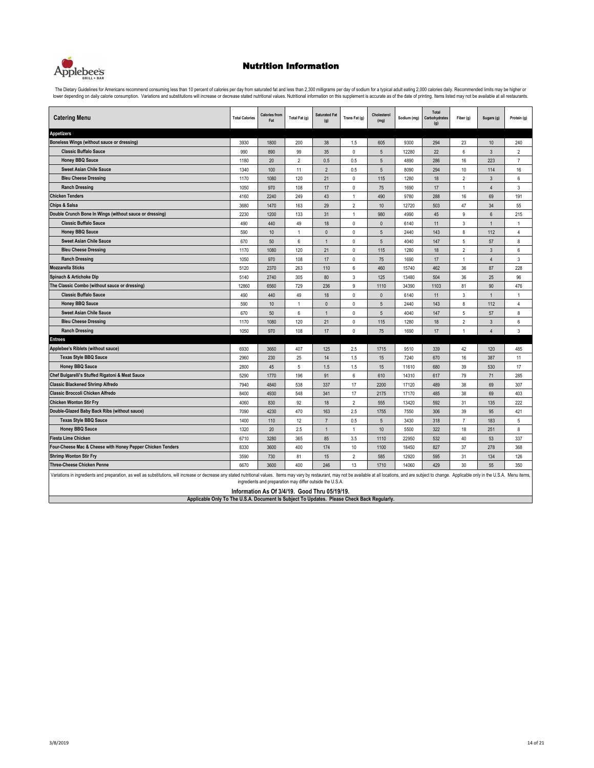

The Dietary Guidelines for Americans recommend consuming less than 10 percent of calories per day from saturated fat and less than 2,300 milligrams per day of sodium for a typical adult eating 2,000 calories daily. Recomme

| <b>Catering Menu</b>                                                                                                                                                                                                          | <b>Total Calories</b> | <b>Calories from</b><br>Fat                                                                                      | Total Fat (g)  | <b>Saturated Fat</b><br>(g) | Trans Fat (g)  | Cholesterol<br>(mg) | Sodium (mg) | Total<br>Carbohydrates<br>(g) | Fiber (g)      | Sugars (g)     | Protein (g)    |
|-------------------------------------------------------------------------------------------------------------------------------------------------------------------------------------------------------------------------------|-----------------------|------------------------------------------------------------------------------------------------------------------|----------------|-----------------------------|----------------|---------------------|-------------|-------------------------------|----------------|----------------|----------------|
| <b>Appetizers</b>                                                                                                                                                                                                             |                       |                                                                                                                  |                |                             |                |                     |             |                               |                |                |                |
| Boneless Wings (without sauce or dressing)                                                                                                                                                                                    | 3930                  | 1800                                                                                                             | 200            | 38                          | 1.5            | 605                 | 9300        | 294                           | 23             | 10             | 240            |
| <b>Classic Buffalo Sauce</b>                                                                                                                                                                                                  | 990                   | 890                                                                                                              | 99             | 35                          | 0              | 5                   | 12280       | 22                            | 6              | 3              | $\overline{2}$ |
| <b>Honey BBQ Sauce</b>                                                                                                                                                                                                        | 1180                  | 20                                                                                                               | $\overline{2}$ | 0.5                         | 0.5            | $\sqrt{5}$          | 4890        | 286                           | 16             | 223            | $\overline{7}$ |
| <b>Sweet Asian Chile Sauce</b>                                                                                                                                                                                                | 1340                  | 100                                                                                                              | 11             | $\overline{2}$              | 0.5            | $\sqrt{5}$          | 8090        | 294                           | 10             | 114            | 16             |
| <b>Bleu Cheese Dressing</b>                                                                                                                                                                                                   | 1170                  | 1080                                                                                                             | 120            | 21                          | 0              | 115                 | 1280        | 18                            | $\overline{2}$ | $\mathbf{3}$   | 6              |
| <b>Ranch Dressing</b>                                                                                                                                                                                                         | 1050                  | 970                                                                                                              | 108            | 17                          | $\mathbf 0$    | 75                  | 1690        | 17                            | $\mathbf{1}$   | $\overline{4}$ | $\mathsf 3$    |
| <b>Chicken Tenders</b>                                                                                                                                                                                                        | 4160                  | 2240                                                                                                             | 249            | 43                          | $\mathbf{1}$   | 490                 | 9780        | 288                           | 16             | 69             | 191            |
| <b>Chips &amp; Salsa</b>                                                                                                                                                                                                      | 3680                  | 1470                                                                                                             | 163            | 29                          | $\overline{2}$ | $10$                | 12720       | 503                           | 47             | 34             | 55             |
| Double Crunch Bone In Wings (without sauce or dressing)                                                                                                                                                                       | 2230                  | 1200                                                                                                             | 133            | 31                          | $\mathbf{1}$   | 980                 | 4990        | 45                            | 9              | 6              | 215            |
| <b>Classic Buffalo Sauce</b>                                                                                                                                                                                                  | 490                   | 440                                                                                                              | 49             | 18                          | 0              | $\Omega$            | 6140        | 11                            | 3              | $\overline{1}$ | 1              |
| <b>Honey BBQ Sauce</b>                                                                                                                                                                                                        | 590                   | $10$                                                                                                             | $\mathbf{1}$   | $\pmb{0}$                   | $\mathbb O$    | $\sqrt{5}$          | 2440        | 143                           | $\bf 8$        | 112            | 4              |
| <b>Sweet Asian Chile Sauce</b>                                                                                                                                                                                                | 670                   | 50                                                                                                               | 6              | $\mathbf{1}$                | 0              | 5                   | 4040        | 147                           | 5              | 57             | 8              |
| <b>Bleu Cheese Dressing</b>                                                                                                                                                                                                   | 1170                  | 1080                                                                                                             | 120            | 21                          | 0              | 115                 | 1280        | 18                            | $\overline{2}$ | $\mathbf{3}$   | 6              |
| <b>Ranch Dressing</b>                                                                                                                                                                                                         | 1050                  | 970                                                                                                              | 108            | 17                          | $\Omega$       | 75                  | 1690        | 17                            | $\mathbf{1}$   | $\overline{4}$ | 3              |
| <b>Mozzarella Sticks</b>                                                                                                                                                                                                      | 5120                  | 2370                                                                                                             | 263            | 110                         | 6              | 460                 | 15740       | 462                           | 36             | 87             | 228            |
| Spinach & Artichoke Dip                                                                                                                                                                                                       | 5140                  | 2740                                                                                                             | 305            | 80                          | 3              | 125                 | 13480       | 504                           | 36             | 25             | 96             |
| The Classic Combo (without sauce or dressing)                                                                                                                                                                                 | 12860                 | 6560                                                                                                             | 729            | 236                         | 9              | 1110                | 34390       | 1103                          | 81             | 90             | 476            |
| <b>Classic Buffalo Sauce</b>                                                                                                                                                                                                  | 490                   | 440                                                                                                              | 49             | 18                          | $\mathbf 0$    | $\mathbf{0}$        | 6140        | 11                            | 3              | $\mathbf{1}$   | $\mathbf{1}$   |
| <b>Honey BBQ Sauce</b>                                                                                                                                                                                                        | 590                   | 10                                                                                                               | $\overline{1}$ | $\mathbf{0}$                | 0              | $\sqrt{5}$          | 2440        | 143                           | $\bf 8$        | 112            | 4              |
| <b>Sweet Asian Chile Sauce</b>                                                                                                                                                                                                | 670                   | 50                                                                                                               | 6              | $\overline{1}$              | 0              | 5                   | 4040        | 147                           | 5              | 57             | 8              |
| <b>Bleu Cheese Dressing</b>                                                                                                                                                                                                   | 1170                  | 1080                                                                                                             | 120            | 21                          | 0              | 115                 | 1280        | 18                            | $\overline{2}$ | $\mathbf{3}$   | 6              |
| <b>Ranch Dressing</b>                                                                                                                                                                                                         | 1050                  | 970                                                                                                              | 108            | 17                          | $\mathbf 0$    | 75                  | 1690        | 17                            | $\mathbf{1}$   | $\overline{4}$ | 3              |
| <b>Entrees</b>                                                                                                                                                                                                                |                       |                                                                                                                  |                |                             |                |                     |             |                               |                |                |                |
| Applebee's Riblets (without sauce)                                                                                                                                                                                            | 6930                  | 3660                                                                                                             | 407            | 125                         | 2.5            | 1715                | 9510        | 339                           | 42             | 120            | 485            |
| <b>Texas Style BBQ Sauce</b>                                                                                                                                                                                                  | 2960                  | 230                                                                                                              | 25             | 14                          | 1.5            | 15                  | 7240        | 670                           | 16             | 387            | 11             |
| <b>Honey BBQ Sauce</b>                                                                                                                                                                                                        | 2800                  | 45                                                                                                               | 5              | 1.5                         | 1.5            | 15                  | 11610       | 680                           | 39             | 530            | 17             |
| Chef Bulgarelli's Stuffed Rigatoni & Meat Sauce                                                                                                                                                                               | 5290                  | 1770                                                                                                             | 196            | 91                          | 6              | 610                 | 14310       | 617                           | 79             | 71             | 285            |
| <b>Classic Blackened Shrimp Alfredo</b>                                                                                                                                                                                       | 7940                  | 4840                                                                                                             | 538            | 337                         | 17             | 2200                | 17120       | 489                           | 38             | 69             | 307            |
| <b>Classic Broccoli Chicken Alfredo</b>                                                                                                                                                                                       | 8400                  | 4930                                                                                                             | 548            | 341                         | 17             | 2175                | 17170       | 485                           | 38             | 69             | 403            |
| <b>Chicken Wonton Stir Fry</b>                                                                                                                                                                                                | 4060                  | 830                                                                                                              | 92             | 18                          | $\overline{2}$ | 555                 | 13420       | 592                           | 31             | 135            | 222            |
| Double-Glazed Baby Back Ribs (without sauce)                                                                                                                                                                                  | 7090                  | 4230                                                                                                             | 470            | 163                         | 2.5            | 1755                | 7550        | 306                           | 39             | 95             | 421            |
| <b>Texas Style BBQ Sauce</b>                                                                                                                                                                                                  | 1400                  | 110                                                                                                              | 12             | $\overline{7}$              | 0.5            | 5                   | 3430        | 318                           | $\overline{7}$ | 183            | 5              |
| <b>Honey BBQ Sauce</b>                                                                                                                                                                                                        | 1320                  | 20                                                                                                               | 2.5            | $\mathbf{1}$                | $\mathbf{1}$   | 10                  | 5500        | 322                           | 18             | 251            | 8              |
| <b>Fiesta Lime Chicken</b>                                                                                                                                                                                                    | 6710                  | 3280                                                                                                             | 365            | 85                          | 3.5            | 1110                | 22950       | 532                           | 40             | 53             | 337            |
| Four-Cheese Mac & Cheese with Honey Pepper Chicken Tenders                                                                                                                                                                    | 8330                  | 3600                                                                                                             | 400            | 174                         | 10             | 1100                | 18450       | 827                           | 37             | 278            | 368            |
| <b>Shrimp Wonton Stir Fry</b>                                                                                                                                                                                                 | 3590                  | 730                                                                                                              | 81             | 15                          | $\overline{2}$ | 585                 | 12920       | 595                           | 31             | 134            | 126            |
| <b>Three-Cheese Chicken Penne</b>                                                                                                                                                                                             | 6670                  | 3600                                                                                                             | 400            | 246                         | 13             | 1710                | 14060       | 429                           | 30             | 55             | 350            |
| Variations in ingredients and preparation, as well as substitutions, will increase or decrease any stated nutritional values. Items may vary by restaurant, may not be available at all locations, and are subject to change. |                       | ingredients and preparation may differ outside the U.S.A.<br>Information $A \circ 2I4I40$ , Cand Thur $0E140I40$ |                |                             |                |                     |             |                               |                |                |                |

**Applicable Only To The U.S.A. Document Is Subject To Updates. Please Check Back Regularly. Information As Of 3/4/19. Good Thru 05/19/19.**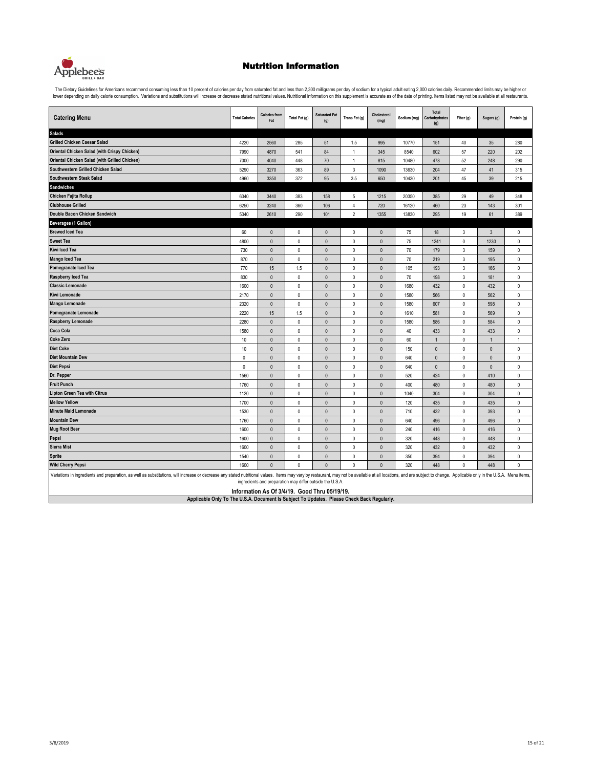

The Dietary Guidelines for Americans recommend consuming less than 10 percent of calories per day from saturated fat and less than 2,300 milligrams per day of sodium for a typical adult eating 2,000 calories daily. Recomme

| <b>Catering Menu</b>                                                                                                                                                                                                          | <b>Total Calories</b> | <b>Calories from</b><br>Fat                               | Total Fat (g) | <b>Saturated Fat</b><br>(g) | Trans Fat (g)  | Cholesterol<br>(mg) | Sodium (mg) | Total<br>Carbohydrates<br>(g) | Fiber (g)                 | Sugars (g)   | Protein (g)  |
|-------------------------------------------------------------------------------------------------------------------------------------------------------------------------------------------------------------------------------|-----------------------|-----------------------------------------------------------|---------------|-----------------------------|----------------|---------------------|-------------|-------------------------------|---------------------------|--------------|--------------|
| <b>Salads</b>                                                                                                                                                                                                                 |                       |                                                           |               |                             |                |                     |             |                               |                           |              |              |
| <b>Grilled Chicken Caesar Salad</b>                                                                                                                                                                                           | 4220                  | 2560                                                      | 285           | 51                          | 1.5            | 995                 | 10770       | 151                           | 40                        | 35           | 280          |
| Oriental Chicken Salad (with Crispy Chicken)                                                                                                                                                                                  | 7990                  | 4870                                                      | 541           | 84                          | $\overline{1}$ | 345                 | 8540        | 602                           | 57                        | 220          | 202          |
| Oriental Chicken Salad (with Grilled Chicken)                                                                                                                                                                                 | 7000                  | 4040                                                      | 448           | 70                          | $\mathbf{1}$   | 815                 | 10480       | 478                           | 52                        | 248          | 290          |
| Southwestern Grilled Chicken Salad                                                                                                                                                                                            | 5290                  | 3270                                                      | 363           | 89                          | $\sqrt{3}$     | 1090                | 13630       | 204                           | 47                        | 41           | 315          |
| Southwestern Steak Salad                                                                                                                                                                                                      | 4960                  | 3350                                                      | 372           | 95                          | 3.5            | 650                 | 10430       | 201                           | 45                        | $39\,$       | 215          |
| <b>Sandwiches</b>                                                                                                                                                                                                             |                       |                                                           |               |                             |                |                     |             |                               |                           |              |              |
| Chicken Fajita Rollup                                                                                                                                                                                                         | 6340                  | 3440                                                      | 383           | 158                         | 5              | 1215                | 20350       | 385                           | 29                        | 49           | 348          |
| <b>Clubhouse Grilled</b>                                                                                                                                                                                                      | 6250                  | 3240                                                      | 360           | 106                         | $\overline{4}$ | 720                 | 16120       | 460                           | 23                        | 143          | 301          |
| Double Bacon Chicken Sandwich                                                                                                                                                                                                 | 5340                  | 2610                                                      | 290           | 101                         | $\overline{2}$ | 1355                | 13830       | 295                           | 19                        | 61           | 389          |
| <b>Beverages (1 Gallon)</b>                                                                                                                                                                                                   |                       |                                                           |               |                             |                |                     |             |                               |                           |              |              |
| <b>Brewed Iced Tea</b>                                                                                                                                                                                                        | 60                    | $\mathbf{0}$                                              | $\pmb{0}$     | $\mathbf{0}$                | $\mathbf 0$    | $\mathbf{0}$        | 75          | 18                            | $\mathbf{3}$              | $\mathbf{3}$ | $\mathbf 0$  |
| <b>Sweet Tea</b>                                                                                                                                                                                                              | 4800                  | $\pmb{0}$                                                 | $\pmb{0}$     | $\mathbf 0$                 | $\pmb{0}$      | $\pmb{0}$           | 75          | 1241                          | $\mathbb O$               | 1230         | 0            |
| Kiwi Iced Tea                                                                                                                                                                                                                 | 730                   | $\mathbf{0}$                                              | $\pmb{0}$     | $\pmb{0}$                   | $\pmb{0}$      | $\mathbf{0}$        | 70          | 179                           | $\ensuremath{\mathsf{3}}$ | 159          | 0            |
| <b>Mango Iced Tea</b>                                                                                                                                                                                                         | 870                   | $\mathbf 0$                                               | $\pmb{0}$     | $\mathbf 0$                 | $\pmb{0}$      | $\pmb{0}$           | 70          | 219                           | $\ensuremath{\mathsf{3}}$ | 195          | 0            |
| Pomegranate Iced Tea                                                                                                                                                                                                          | 770                   | 15                                                        | 1.5           | $\mathbf{0}$                | $\mathbf 0$    | $\mathbf{0}$        | 105         | 193                           | $\sqrt{3}$                | 166          | 0            |
| <b>Raspberry Iced Tea</b>                                                                                                                                                                                                     | 830                   | $\mathbf{0}$                                              | $\mathbf{0}$  | $\mathbf{0}$                | $\mathbf{0}$   | $\mathbf{0}$        | 70          | 198                           | $\sqrt{3}$                | 181          | $\mathbf 0$  |
| <b>Classic Lemonade</b>                                                                                                                                                                                                       | 1600                  | $\mathbf{0}$                                              | $\mathbf{0}$  | $\mathbf{0}$                | $\mathbf{0}$   | $\mathbf{0}$        | 1680        | 432                           | $\mathbf 0$               | 432          | 0            |
| Kiwi Lemonade                                                                                                                                                                                                                 | 2170                  | $\mathbf{0}$                                              | $\pmb{0}$     | $\mathbf{0}$                | $\mathbf 0$    | $\mathbf{0}$        | 1580        | 566                           | $\mathbf 0$               | 562          | $\mathbf 0$  |
| <b>Mango Lemonade</b>                                                                                                                                                                                                         | 2320                  | $\mathbf{0}$                                              | $\pmb{0}$     | $\mathbf{0}$                | $\mathbf{0}$   | $\mathbf{0}$        | 1580        | 607                           | $\mathbf 0$               | 598          | 0            |
| Pomegranate Lemonade                                                                                                                                                                                                          | 2220                  | 15                                                        | 1.5           | $\mathbf{0}$                | $\mathbf{0}$   | $\mathbf{0}$        | 1610        | 581                           | $\mathbf 0$               | 569          | 0            |
| Raspberry Lemonade                                                                                                                                                                                                            | 2280                  | $\pmb{0}$                                                 | $\pmb{0}$     | $\mathbf 0$                 | $\pmb{0}$      | $\pmb{0}$           | 1580        | 586                           | $\mathsf 0$               | 584          | 0            |
| Coca Cola                                                                                                                                                                                                                     | 1580                  | $\mathbf 0$                                               | $\pmb{0}$     | $\pmb{0}$                   | $\mathsf 0$    | $\pmb{0}$           | 40          | 433                           | $\mathbb O$               | 433          | 0            |
| <b>Coke Zero</b>                                                                                                                                                                                                              | 10                    | $\mathbf{0}$                                              | $\mathbf{0}$  | $\mathbf{0}$                | $\mathbf{0}$   | $\mathbf{0}$        | 60          | $\overline{1}$                | $\mathbf 0$               | $\mathbf{1}$ | $\mathbf{1}$ |
| <b>Diet Coke</b>                                                                                                                                                                                                              | 10                    | $\mathbf{0}$                                              | $\mathbf{0}$  | $\mathbf{0}$                | $\mathbf{0}$   | $\mathbf{0}$        | 150         | $\mathbf{0}$                  | $\mathbf 0$               | $\mathbf{0}$ | $\mathbf 0$  |
| <b>Diet Mountain Dew</b>                                                                                                                                                                                                      | $\mathbf{0}$          | $\mathbf{0}$                                              | $\mathbf{0}$  | $\mathbf{0}$                | $\mathbf 0$    | $\mathbf{0}$        | 640         | $\mathbf{0}$                  | $\mathbf 0$               | $\mathbf{0}$ | $\mathbf 0$  |
| <b>Diet Pepsi</b>                                                                                                                                                                                                             | $\pmb{0}$             | $\mathbf{0}$                                              | $\mathbf{0}$  | $\mathbf{0}$                | $\mathbf{0}$   | $\mathbf{0}$        | 640         | $\mathbf{0}$                  | $\mathbf 0$               | $\mathbf{0}$ | 0            |
| Dr. Pepper                                                                                                                                                                                                                    | 1560                  | $\mathbf{0}$                                              | $\mathbf{0}$  | $\mathbf{0}$                | $\mathbf 0$    | $\mathbf{0}$        | 520         | 424                           | $\mathbf 0$               | 410          | $\mathbf 0$  |
| <b>Fruit Punch</b>                                                                                                                                                                                                            | 1760                  | $\pmb{0}$                                                 | $\pmb{0}$     | $\mathbf{0}$                | $\mathbf{0}$   | $\mathbf{0}$        | 400         | 480                           | $\mathbf 0$               | 480          | 0            |
| <b>Lipton Green Tea with Citrus</b>                                                                                                                                                                                           | 1120                  | $\pmb{0}$                                                 | $\pmb{0}$     | $\mathbf{0}$                | $\mathbf 0$    | $\mathbf{0}$        | 1040        | 304                           | $\mathsf 0$               | 304          | $\mathbf 0$  |
| <b>Mellow Yellow</b>                                                                                                                                                                                                          | 1700                  | $\mathbf{0}$                                              | $\mathbf{0}$  | $\mathbf{0}$                | $\mathbf{0}$   | $\mathbf{0}$        | 120         | 435                           | $\mathsf 0$               | 435          | 0            |
| <b>Minute Maid Lemonade</b>                                                                                                                                                                                                   | 1530                  | $\pmb{0}$                                                 | $\mathbf{0}$  | $\mathbf{0}$                | $\mathbf{0}$   | $\mathbf{0}$        | 710         | 432                           | $\mathbb O$               | 393          | $\mathbf 0$  |
| <b>Mountain Dew</b>                                                                                                                                                                                                           | 1760                  | $\pmb{0}$                                                 | $\pmb{0}$     | $\mathbf 0$                 | $\pmb{0}$      | $\mathbf{0}$        | 640         | 496                           | $\mathbb O$               | 496          | 0            |
| <b>Mug Root Beer</b>                                                                                                                                                                                                          | 1600                  | $\mathbf{0}$                                              | $\mathbf{0}$  | $\Omega$                    | $\mathbf 0$    | $\mathbf{0}$        | 240         | 416                           | $\mathbf 0$               | 416          | $\mathbf 0$  |
| Pepsi                                                                                                                                                                                                                         | 1600                  | $\mathbf{0}$                                              | $\mathbf{0}$  | $\mathbf{0}$                | $\mathbf{0}$   | $\mathbf{0}$        | 320         | 448                           | $\mathbf 0$               | 448          | $\mathbf 0$  |
| <b>Sierra Mist</b>                                                                                                                                                                                                            | 1600                  | $\pmb{0}$                                                 | $\pmb{0}$     | $\mathbf{0}$                | $\mathbf{0}$   | $\mathbf{0}$        | 320         | 432                           | $\mathbf 0$               | 432          | 0            |
| <b>Sprite</b>                                                                                                                                                                                                                 | 1540                  | $\mathbf{0}$                                              | $\mathbf{0}$  | $\mathbf{0}$                | $\mathbf 0$    | $\mathbf{0}$        | 350         | 394                           | $\mathbf 0$               | 394          | $\mathbf 0$  |
| <b>Wild Cherry Pepsi</b>                                                                                                                                                                                                      | 1600                  | $\Omega$                                                  | $\mathbf{0}$  | $\mathbf{0}$                | $\mathbf{0}$   | $\mathbf{0}$        | 320         | 448                           | $\mathbf 0$               | 448          | $\mathbf{0}$ |
| Variations in ingredients and preparation, as well as substitutions, will increase or decrease any stated nutritional values. Items may vary by restaurant, may not be available at all locations, and are subject to change. |                       | ingredients and preparation may differ outside the U.S.A. |               |                             |                |                     |             |                               |                           |              |              |
|                                                                                                                                                                                                                               |                       | Information As Of 3/4/19. Good Thru 05/19/19.             |               |                             |                |                     |             |                               |                           |              |              |

**Applicable Only To The U.S.A. Document Is Subject To Updates. Please Check Back Regularly. Information As Of 3/4/19. Good Thru 05/19/19.**

Л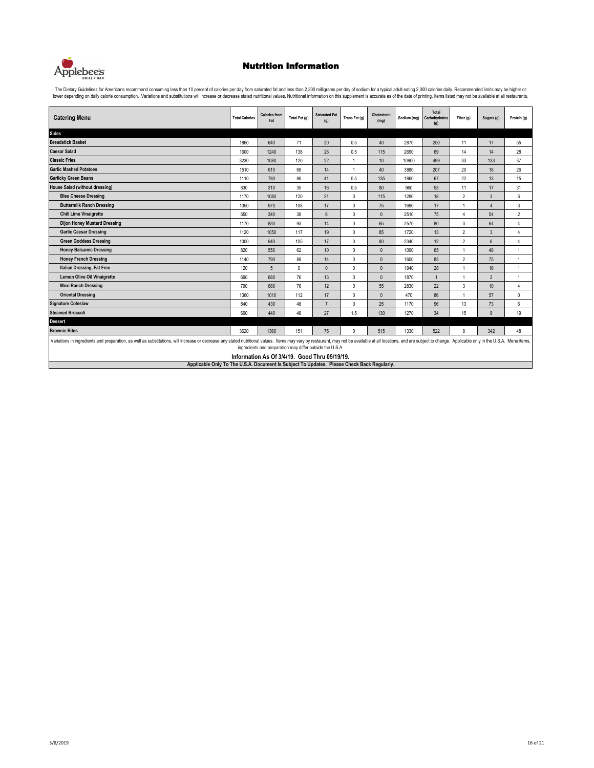

The Dietary Guidelines for Americans recommend consuming less than 10 percent of calories per day from saturated fat and less than 2,300 milligrams per day of sodium for a typical adult eating 2,000 calories daily. Recomme

| <b>Catering Menu</b>                                                                                                                                                                                                          | <b>Total Calories</b> | <b>Calories from</b><br>Fat | Total Fat (g) | <b>Saturated Fat</b><br>(q)                               | Trans Fat (g)  | Cholesterol<br>(mq) | Sodium (mg) | Total<br>Carbohydrates<br>(g) | Fiber (g)      | Sugars (g)       | Protein (g)    |
|-------------------------------------------------------------------------------------------------------------------------------------------------------------------------------------------------------------------------------|-----------------------|-----------------------------|---------------|-----------------------------------------------------------|----------------|---------------------|-------------|-------------------------------|----------------|------------------|----------------|
| <b>Sides</b>                                                                                                                                                                                                                  |                       |                             |               |                                                           |                |                     |             |                               |                |                  |                |
| <b>Breadstick Basket</b>                                                                                                                                                                                                      | 1860                  | 640                         | 71            | 20                                                        | 0.5            | 40                  | 2870        | 250                           | 11             | 17               | 55             |
| <b>Caesar Salad</b>                                                                                                                                                                                                           | 1600                  | 1240                        | 138           | 26                                                        | 0.5            | 115                 | 2690        | 69                            | 14             | 14               | 28             |
| <b>Classic Fries</b>                                                                                                                                                                                                          | 3230                  | 1080                        | 120           | 22                                                        | 1              | 10                  | 10900       | 499                           | 33             | 133              | 37             |
| <b>Garlic Mashed Potatoes</b>                                                                                                                                                                                                 | 1510                  | 610                         | 68            | 14                                                        | $\overline{1}$ | 40                  | 3880        | 207                           | 20             | 18               | 26             |
| <b>Garlicky Green Beans</b>                                                                                                                                                                                                   | 1110                  | 780                         | 86            | 41                                                        | 0.5            | 135                 | 1860        | 67                            | 22             | 13               | 15             |
| House Salad (without dressing)                                                                                                                                                                                                | 630                   | 310                         | 35            | 16                                                        | 0.5            | 80                  | 960         | 53                            | 11             | 17               | 31             |
| <b>Bleu Cheese Dressing</b>                                                                                                                                                                                                   | 1170                  | 1080                        | 120           | 21                                                        | $\mathbf{0}$   | 115                 | 1280        | 18                            | $\overline{2}$ | 3                | 6              |
| <b>Buttermilk Ranch Dressing</b>                                                                                                                                                                                              | 1050                  | 970                         | 108           | 17                                                        | $\mathbf{0}$   | 75                  | 1690        | 17                            |                | $\overline{4}$   | 3              |
| <b>Chili Lime Vinaigrette</b>                                                                                                                                                                                                 | 650                   | 340                         | 38            | $6 \overline{6}$                                          | $\mathbf{0}$   | $\mathbf{0}$        | 2510        | 75                            | $\overline{4}$ | 54               | $\overline{2}$ |
| <b>Dijon Honey Mustard Dressing</b>                                                                                                                                                                                           | 1170                  | 830                         | 93            | 14                                                        | $\mathbf{0}$   | 65                  | 2570        | 80                            | 3              | 64               | $\Delta$       |
| <b>Garlic Caesar Dressing</b>                                                                                                                                                                                                 | 1120                  | 1050                        | 117           | 19                                                        | $\mathbf 0$    | 85                  | 1720        | 13                            | $\overline{2}$ | 3                | $\overline{A}$ |
| <b>Green Goddess Dressing</b>                                                                                                                                                                                                 | 1000                  | 940                         | 105           | 17                                                        | $\mathbf{0}$   | 80                  | 2340        | 12                            | $\overline{2}$ | $6\phantom{.}6$  | $\overline{A}$ |
| <b>Honey Balsamic Dressing</b>                                                                                                                                                                                                | 820                   | 550                         | 62            | 10                                                        | $\mathbf 0$    | $\mathbf{0}$        | 1090        | 65                            | 1              | 48               | 1              |
| <b>Honey French Dressing</b>                                                                                                                                                                                                  | 1140                  | 790                         | 88            | 14                                                        | $\mathbf{0}$   | $\mathbf{0}$        | 1600        | 85                            | $\overline{2}$ | 75               | $\overline{1}$ |
| Italian Dressing, Fat Free                                                                                                                                                                                                    | 120                   | $5\overline{5}$             | $\mathbf{0}$  | $\Omega$                                                  | $\mathbf{0}$   | $\mathbf{0}$        | 1940        | 28                            | 1              | 16               | $\overline{1}$ |
| <b>Lemon Olive Oil Vinaigrette</b>                                                                                                                                                                                            | 690                   | 680                         | 76            | 13                                                        | $\mathbf{0}$   | $\mathbf{0}$        | 1870        |                               | $\overline{1}$ | $\overline{2}$   | 1              |
| <b>Mexi Ranch Dressing</b>                                                                                                                                                                                                    | 790                   | 680                         | 76            | 12                                                        | $\mathbf{0}$   | 55                  | 2830        | 22                            | 3              | 10 <sup>10</sup> | $\overline{4}$ |
| <b>Oriental Dressing</b>                                                                                                                                                                                                      | 1360                  | 1010                        | 112           | 17                                                        | $\mathbf{0}$   | $\mathbf{0}$        | 470         | 86                            | 1              | 57               | $\mathbf{0}$   |
| <b>Signature Coleslaw</b>                                                                                                                                                                                                     | 840                   | 430                         | 48            | $\overline{7}$                                            | $\mathbf{0}$   | 25                  | 1170        | 96                            | 13             | 73               | 6              |
| <b>Steamed Broccoli</b>                                                                                                                                                                                                       | 600                   | 440                         | 48            | 27                                                        | 1.5            | 130                 | 1270        | 34                            | 15             | 9                | 19             |
| <b>Dessert</b>                                                                                                                                                                                                                |                       |                             |               |                                                           |                |                     |             |                               |                |                  |                |
| <b>Brownie Bites</b>                                                                                                                                                                                                          | 3620                  | 1360                        | 151           | 75                                                        | $\mathbf{0}$   | 515                 | 1330        | 522                           | 8              | 342              | 48             |
| Variations in ingredients and preparation, as well as substitutions, will increase or decrease any stated nutritional values. Items may vary by restaurant, may not be available at all locations, and are subject to change. |                       |                             |               | ingredients and preparation may differ outside the U.S.A. |                |                     |             |                               |                |                  |                |

**Applicable Only To The U.S.A. Document Is Subject To Updates. Please Check Back Regularly. Information As Of 3/4/19. Good Thru 05/19/19.**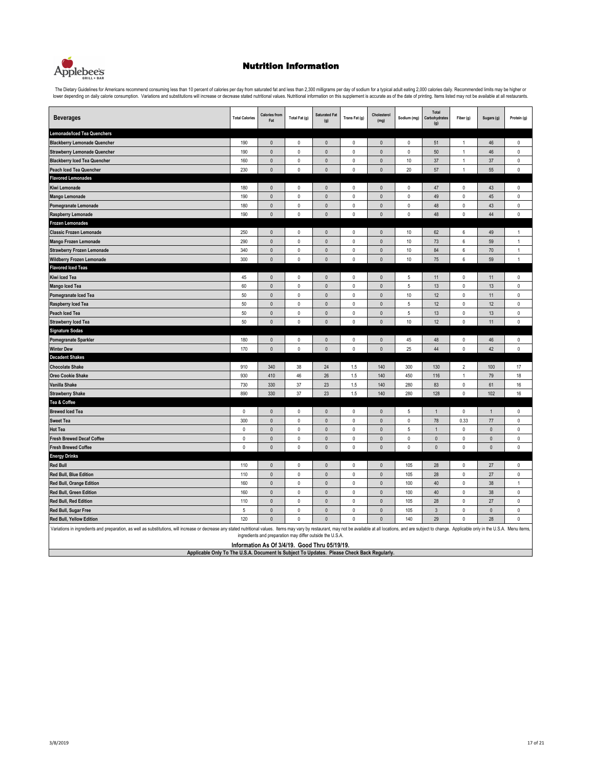

The Dietary Guidelines for Americans recommend consuming less than 10 percent of calories per day from saturated fat and less than 2,300 milligrams per day of sodium for a typical adult eating 2,000 calories daily. Recomme

| <b>Beverages</b>                                                                                                                                                                                                                                                                                                            | <b>Total Calories</b> | <b>Calories from</b><br>Fat                                                                               | Total Fat (g) | <b>Saturated Fat</b><br>(g) | Trans Fat (g) | Cholesterol<br>(mg) | Sodium (mg) | Total<br>Carbohydrates<br>(g) | Fiber (g)        | Sugars (g)   | Protein (g)    |
|-----------------------------------------------------------------------------------------------------------------------------------------------------------------------------------------------------------------------------------------------------------------------------------------------------------------------------|-----------------------|-----------------------------------------------------------------------------------------------------------|---------------|-----------------------------|---------------|---------------------|-------------|-------------------------------|------------------|--------------|----------------|
| Lemonade/Iced Tea Quenchers                                                                                                                                                                                                                                                                                                 |                       |                                                                                                           |               |                             |               |                     |             |                               |                  |              |                |
| <b>Blackberry Lemonade Quencher</b>                                                                                                                                                                                                                                                                                         | 190                   | $\mathbf 0$                                                                                               | 0             | $\pmb{0}$                   | 0             | $\pmb{0}$           | 0           | 51                            | 1                | 46           | $\mathbb O$    |
| <b>Strawberry Lemonade Quencher</b>                                                                                                                                                                                                                                                                                         | 190                   | $\pmb{0}$                                                                                                 | $\pmb{0}$     | $\pmb{0}$                   | 0             | 0                   | 0           | 50                            | 1                | 46           | $\mathbb O$    |
| <b>Blackberry Iced Tea Quencher</b>                                                                                                                                                                                                                                                                                         | 160                   | $\mathbf 0$                                                                                               | $\mathbb O$   | $\pmb{0}$                   | $\pmb{0}$     | $\pmb{0}$           | 10          | 37                            | $\mathbf{1}$     | 37           | $\mathbb O$    |
| <b>Peach Iced Tea Quencher</b>                                                                                                                                                                                                                                                                                              | 230                   | $\pmb{0}$                                                                                                 | $\mathbb O$   | $\pmb{0}$                   | $\pmb{0}$     | $\pmb{0}$           | 20          | 57                            | $\mathbf{1}$     | 55           | $\mathbb O$    |
| <b>Flavored Lemonades</b>                                                                                                                                                                                                                                                                                                   |                       |                                                                                                           |               |                             |               |                     |             |                               |                  |              |                |
| Kiwi Lemonade                                                                                                                                                                                                                                                                                                               | 180                   | $\mathbb O$                                                                                               | $\pmb{0}$     | $\pmb{0}$                   | 0             | $\pmb{0}$           | 0           | 47                            | 0                | 43           | $\mathbb O$    |
| <b>Mango Lemonade</b>                                                                                                                                                                                                                                                                                                       | 190                   | $\pmb{0}$                                                                                                 | $\pmb{0}$     | $\pmb{0}$                   | $\pmb{0}$     | $\pmb{0}$           | $\mathbf 0$ | 49                            | 0                | 45           | $\mathbb O$    |
| Pomegranate Lemonade                                                                                                                                                                                                                                                                                                        | 180                   | $\mathbf 0$                                                                                               | $\mathbb O$   | $\pmb{0}$                   | $\pmb{0}$     | $\pmb{0}$           | $\mathbb O$ | 48                            | 0                | 43           | $\mathbb O$    |
| Raspberry Lemonade                                                                                                                                                                                                                                                                                                          | 190                   | $\mathbf 0$                                                                                               | $\mathbb O$   | $\pmb{0}$                   | $\pmb{0}$     | $\pmb{0}$           | $\mathbb O$ | 48                            | 0                | 44           | $\pmb{0}$      |
| <b>Frozen Lemonades</b>                                                                                                                                                                                                                                                                                                     |                       |                                                                                                           |               |                             |               |                     |             |                               |                  |              |                |
| <b>Classic Frozen Lemonade</b>                                                                                                                                                                                                                                                                                              | 250                   | $\pmb{0}$                                                                                                 | $\pmb{0}$     | $\pmb{0}$                   | 0             | $\pmb{0}$           | $10$        | 62                            | 6                | 49           | $\mathbf{1}$   |
| Mango Frozen Lemonade                                                                                                                                                                                                                                                                                                       | 290                   | $\mathbb O$                                                                                               | $\pmb{0}$     | $\mathbf 0$                 | $\pmb{0}$     | $\pmb{0}$           | $10$        | $73$                          | $\boldsymbol{6}$ | 59           | $\mathbf{1}$   |
| <b>Strawberry Frozen Lemonade</b>                                                                                                                                                                                                                                                                                           | 340                   | $\mathbf 0$                                                                                               | $\mathbb O$   | $\pmb{0}$                   | $\pmb{0}$     | $\pmb{0}$           | 10          | 84                            | 6                | 70           | $\mathbf{1}$   |
| <b>Wildberry Frozen Lemonade</b>                                                                                                                                                                                                                                                                                            | 300                   | $\mathbf 0$                                                                                               | $\mathbb O$   | $\pmb{0}$                   | $\pmb{0}$     | $\pmb{0}$           | $10$        | 75                            | $\boldsymbol{6}$ | 59           | $\mathbf{1}$   |
| <b>Flavored Iced Teas</b>                                                                                                                                                                                                                                                                                                   |                       |                                                                                                           |               |                             |               |                     |             |                               |                  |              |                |
| Kiwi Iced Tea                                                                                                                                                                                                                                                                                                               | 45                    | $\mathbf 0$                                                                                               | $\pmb{0}$     | $\mathsf{O}\xspace$         | $\pmb{0}$     | $\mathsf{0}$        | 5           | 11                            | 0                | 11           | $\mathbb O$    |
| <b>Mango Iced Tea</b>                                                                                                                                                                                                                                                                                                       | 60                    | $\mathbf{0}$                                                                                              | $\pmb{0}$     | $\mathbf{0}$                | $\pmb{0}$     | $\mathbf{0}$        | 5           | 13                            | $\mathbb O$      | 13           | $\mathbb O$    |
| Pomegranate Iced Tea                                                                                                                                                                                                                                                                                                        | $50\,$                | $\mathbb O$                                                                                               | $\mathbb O$   | $\mathbf 0$                 | $\pmb{0}$     | $\pmb{0}$           | 10          | 12                            | $\pmb{0}$        | 11           | $\mathbb O$    |
| Raspberry Iced Tea                                                                                                                                                                                                                                                                                                          | 50                    | $\mathbf{0}$                                                                                              | $\pmb{0}$     | $\mathbf{0}$                | $\pmb{0}$     | $\Omega$            | 5           | 12                            | 0                | 12           | $\pmb{0}$      |
| Peach Iced Tea                                                                                                                                                                                                                                                                                                              | 50                    | $\mathbf{0}$                                                                                              | $\pmb{0}$     | $\mathbf{0}$                | $\mathbf 0$   | $\mathbf{0}$        | 5           | 13                            | 0                | 13           | $\mathbf{0}$   |
| <b>Strawberry Iced Tea</b>                                                                                                                                                                                                                                                                                                  | 50                    | $\mathbf{0}$                                                                                              | $\pmb{0}$     | $\mathbf{0}$                | $\mathbf 0$   | $\mathbf{0}$        | 10          | 12                            | $\mathbf 0$      | 11           | $\mathbf 0$    |
| <b>Signature Sodas</b>                                                                                                                                                                                                                                                                                                      |                       |                                                                                                           |               |                             |               |                     |             |                               |                  |              |                |
| <b>Pomegranate Sparkler</b>                                                                                                                                                                                                                                                                                                 | 180                   | $\mathbb O$                                                                                               | $\pmb{0}$     | $\pmb{0}$                   | $\pmb{0}$     | $\pmb{0}$           | 45          | 48                            | 0                | 46           | $\mathbb O$    |
| <b>Winter Dew</b>                                                                                                                                                                                                                                                                                                           | 170                   | $\mathbf{0}$                                                                                              | $\mathbf{0}$  | $\mathbf{0}$                | $\mathbf 0$   | $\mathbf{0}$        | 25          | 44                            | $\mathbf{0}$     | 42           | $\mathbf{0}$   |
| <b>Decadent Shakes</b>                                                                                                                                                                                                                                                                                                      |                       |                                                                                                           |               |                             |               |                     |             |                               |                  |              |                |
| <b>Chocolate Shake</b>                                                                                                                                                                                                                                                                                                      | 910                   | 340                                                                                                       | 38            | 24                          | 1.5           | 140                 | 300         | 130                           | $\overline{c}$   | 100          | 17             |
| <b>Oreo Cookie Shake</b>                                                                                                                                                                                                                                                                                                    | 930                   | 410                                                                                                       | 46            | 26                          | 1.5           | 140                 | 450         | 116                           | 1                | 79           | 18             |
| Vanilla Shake                                                                                                                                                                                                                                                                                                               | 730                   | 330                                                                                                       | 37            | $23\,$                      | $1.5\,$       | 140                 | 280         | 83                            | 0                | 61           | 16             |
| <b>Strawberry Shake</b>                                                                                                                                                                                                                                                                                                     | 890                   | 330                                                                                                       | 37            | 23                          | 1.5           | 140                 | 280         | 128                           | $\mathbb O$      | 102          | 16             |
| Tea & Coffee                                                                                                                                                                                                                                                                                                                |                       |                                                                                                           |               |                             |               |                     |             |                               |                  |              |                |
| <b>Brewed Iced Tea</b>                                                                                                                                                                                                                                                                                                      | $\mathbb O$           | $\mathsf 0$                                                                                               | $\pmb{0}$     | $\pmb{0}$                   | 0             | $\mathbf 0$         | 5           | $\overline{1}$                | $\mathbb O$      | $\mathbf{1}$ | $\mathbb O$    |
| <b>Sweet Tea</b>                                                                                                                                                                                                                                                                                                            | 300                   | $\mathbb O$                                                                                               | $\mathbb O$   | $\pmb{0}$                   | $\pmb{0}$     | $\pmb{0}$           | $\mathbf 0$ | 78                            | 0.33             | 77           | $\mathbf 0$    |
| <b>Hot Tea</b>                                                                                                                                                                                                                                                                                                              | $\pmb{0}$             | $\pmb{0}$                                                                                                 | $\pmb{0}$     | $\pmb{0}$                   | $\pmb{0}$     | $\pmb{0}$           | 5           | $\overline{1}$                | 0                | $\pmb{0}$    | $\mathbb O$    |
| <b>Fresh Brewed Decaf Coffee</b>                                                                                                                                                                                                                                                                                            | $\mathbb O$           | $\mathbf 0$                                                                                               | $\pmb{0}$     | $\pmb{0}$                   | $\pmb{0}$     | $\pmb{0}$           | $\pmb{0}$   | $\pmb{0}$                     | $\mathbf 0$      | $\mathbb O$  | $\mathbb O$    |
| <b>Fresh Brewed Coffee</b>                                                                                                                                                                                                                                                                                                  | $\mathbf{0}$          | $\mathbf{0}$                                                                                              | $\pmb{0}$     | $\mathbf{0}$                | $\pmb{0}$     | $\mathbf{0}$        | $\mathbf 0$ | $\mathbf{0}$                  | 0                | $\pmb{0}$    | $\mathbf 0$    |
| <b>Energy Drinks</b>                                                                                                                                                                                                                                                                                                        |                       |                                                                                                           |               |                             |               |                     |             |                               |                  |              |                |
| <b>Red Bull</b>                                                                                                                                                                                                                                                                                                             | 110                   | $\mathbf 0$                                                                                               | $\mathbb O$   | $\pmb{0}$                   | $\pmb{0}$     | $\pmb{0}$           | 105         | 28                            | $\mathbf 0$      | $27\,$       | $\mathbb O$    |
| Red Bull, Blue Edition                                                                                                                                                                                                                                                                                                      | 110                   | $\mathbb O$                                                                                               | $\pmb{0}$     | $\pmb{0}$                   | $\pmb{0}$     | $\pmb{0}$           | 105         | 28                            | 0                | 27           | $\mathbf 0$    |
| <b>Red Bull, Orange Edition</b>                                                                                                                                                                                                                                                                                             | 160                   | $\mathbf 0$                                                                                               | $\pmb{0}$     | $\pmb{0}$                   | $\pmb{0}$     | $\pmb{0}$           | 100         | 40                            | $\mathbf 0$      | 38           | $\overline{1}$ |
| Red Bull, Green Edition                                                                                                                                                                                                                                                                                                     | 160                   | $\mathsf 0$                                                                                               | $\pmb{0}$     | $\pmb{0}$                   | $\pmb{0}$     | $\pmb{0}$           | 100         | 40                            | 0                | 38           | $\mathbb O$    |
| Red Bull, Red Edition                                                                                                                                                                                                                                                                                                       | 110                   | $\mathbb O$                                                                                               | $\pmb{0}$     | $\pmb{0}$                   | 0             | $\pmb{0}$           | 105         | 28                            | 0                | 27           | $\mathbb O$    |
| Red Bull, Sugar Free                                                                                                                                                                                                                                                                                                        | $\mathbf 5$           | $\pmb{0}$                                                                                                 | $\pmb{0}$     | $\mathbf{0}$                | $\pmb{0}$     | $\pmb{0}$           | 105         | $\mathbf{3}$                  | $\mathbf 0$      | $\mathbf 0$  | $\mathbb O$    |
| Red Bull, Yellow Edition                                                                                                                                                                                                                                                                                                    | 120                   | $\pmb{0}$                                                                                                 | $\pmb{0}$     | $\pmb{0}$                   | $\pmb{0}$     | $\pmb{0}$           | 140         | 29                            | 0                | 28           | $\mathbf 0$    |
| Variations in ingredients and preparation, as well as substitutions, will increase or decrease any stated nutritional values. Items may vary by restaurant, may not be available at all locations, and are subject to change.<br>Applicable Only To The U.S.A. Document Is Subject To Updates. Please Check Back Regularly. |                       | ingredients and preparation may differ outside the U.S.A<br>Information As Of 3/4/19. Good Thru 05/19/19. |               |                             |               |                     |             |                               |                  |              |                |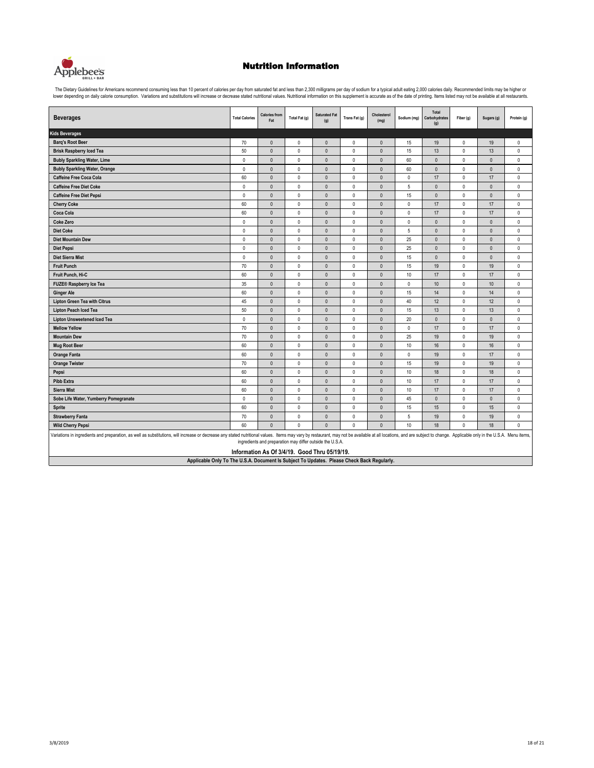

The Dietary Guidelines for Americans recommend consuming less than 10 percent of calories per day from saturated fat and less than 2,300 milligrams per day of sodium for a typical adult eating 2,000 calories daily. Recomme

| <b>Beverages</b>                                                                                                                                                                                                              | <b>Total Calories</b> | <b>Calories from</b><br>Fat                                                                                                                                                                                                                                                                                                                                                                     | Total Fat (g) | Saturated Fat<br>(g) | Trans Fat (g) | Cholesterol<br>(mg) | Sodium (mg) | Total<br>Carbohydrates<br>(g) | Fiber (g)    | Sugars (g)   | Protein (g)  |
|-------------------------------------------------------------------------------------------------------------------------------------------------------------------------------------------------------------------------------|-----------------------|-------------------------------------------------------------------------------------------------------------------------------------------------------------------------------------------------------------------------------------------------------------------------------------------------------------------------------------------------------------------------------------------------|---------------|----------------------|---------------|---------------------|-------------|-------------------------------|--------------|--------------|--------------|
| <b>Kids Beverages</b>                                                                                                                                                                                                         |                       |                                                                                                                                                                                                                                                                                                                                                                                                 |               |                      |               |                     |             |                               |              |              |              |
| <b>Barq's Root Beer</b>                                                                                                                                                                                                       | 70                    | $\mathbf{0}$                                                                                                                                                                                                                                                                                                                                                                                    | $\mathbf 0$   | $\mathbf{0}$         | $\mathbf 0$   | $\mathbf{0}$        | 15          | 19                            | $\mathbf 0$  | 19           | $\mathbf{0}$ |
| <b>Brisk Raspberry Iced Tea</b>                                                                                                                                                                                               | 50                    | $\pmb{0}$                                                                                                                                                                                                                                                                                                                                                                                       | $\mathbf{0}$  | $\mathbf{0}$         | $\mathbf 0$   | $\mathbf{0}$        | 15          | 13                            | $\pmb{0}$    | 13           | $\mathbf 0$  |
| <b>Bubly Sparkling Water, Lime</b>                                                                                                                                                                                            | $\mathbf{0}$          | $\mathbf{0}$                                                                                                                                                                                                                                                                                                                                                                                    | $\mathbf{0}$  | $\Omega$             | $\mathbf{0}$  | $\Omega$            | 60          | $\mathbf{0}$                  | $\mathbf 0$  | $\mathbf{0}$ | $\mathbf 0$  |
| <b>Bubly Sparkling Water, Orange</b>                                                                                                                                                                                          | $\mathbf{0}$          | $\mathbf{0}$                                                                                                                                                                                                                                                                                                                                                                                    | $\mathbf{0}$  | $\mathbf{0}$         | $\mathbf 0$   | $\mathbf{0}$        | 60          | $\mathbf{0}$                  | $\mathbf 0$  | $\mathbf{0}$ | 0            |
| <b>Caffeine Free Coca Cola</b>                                                                                                                                                                                                | 60                    | $\mathbf 0$                                                                                                                                                                                                                                                                                                                                                                                     | $\pmb{0}$     | $\mathbf{0}$         | 0             | $\mathbf{0}$        | $\mathbf 0$ | 17                            | $\pmb{0}$    | 17           | $\mathbf 0$  |
| <b>Caffeine Free Diet Coke</b>                                                                                                                                                                                                | $\mathbf{0}$          | $\mathbf{0}$                                                                                                                                                                                                                                                                                                                                                                                    | $\mathbf{0}$  | $\mathbf{0}$         | $\mathbf 0$   | $\mathbf{0}$        | 5           | $\mathbf{0}$                  | $\mathbf 0$  | $\mathbf{0}$ | 0            |
| <b>Caffeine Free Diet Pepsi</b>                                                                                                                                                                                               | $\mathbf{0}$          | $\mathbf{0}$                                                                                                                                                                                                                                                                                                                                                                                    | $\mathbf{0}$  | $\mathbf{0}$         | $\mathbf 0$   | $\mathbf{0}$        | 15          | $\mathbf{0}$                  | $\mathbf{0}$ | $\pmb{0}$    | $\mathbf{0}$ |
| <b>Cherry Coke</b>                                                                                                                                                                                                            | 60                    | $\mathbf{0}$                                                                                                                                                                                                                                                                                                                                                                                    | $\mathbf{0}$  | $\mathbf{0}$         | $\mathbf 0$   | $\mathbf{0}$        | $\mathbf 0$ | 17                            | $\mathbf 0$  | 17           | 0            |
| Coca Cola                                                                                                                                                                                                                     | 60                    | $\mathbf{0}$                                                                                                                                                                                                                                                                                                                                                                                    | $\mathbf{0}$  | $\Omega$             | $\mathbf 0$   | $\mathbf{0}$        | $\mathbf 0$ | 17                            | $\mathbf 0$  | 17           | $\mathbf 0$  |
| <b>Coke Zero</b>                                                                                                                                                                                                              | $\mathbf{0}$          | $\mathbf{0}$                                                                                                                                                                                                                                                                                                                                                                                    | $\mathbf{0}$  | $\mathbf{0}$         | $\mathbf 0$   | $\mathbf{0}$        | $\mathbf 0$ | $\mathbf{0}$                  | $\mathbf{0}$ | $\pmb{0}$    | $\mathbf 0$  |
| <b>Diet Coke</b>                                                                                                                                                                                                              | $\mathbf{0}$          | $\mathbf{0}$                                                                                                                                                                                                                                                                                                                                                                                    | $\mathbf{0}$  | $\mathbf{0}$         | $\mathbf 0$   | $\mathbf{0}$        | 5           | $\mathbf{0}$                  | $\mathbf 0$  | $\mathbf{0}$ | $\mathbf 0$  |
| <b>Diet Mountain Dew</b>                                                                                                                                                                                                      | $\mathbf{0}$          | $\mathbf{0}$                                                                                                                                                                                                                                                                                                                                                                                    | $\theta$      | $\Omega$             | $\mathbf 0$   | $\mathbf{0}$        | 25          | $\mathbf{0}$                  | $\mathbf{0}$ | $\mathbf{0}$ | 0            |
| <b>Diet Pepsi</b>                                                                                                                                                                                                             | $\mathbf{0}$          | $\mathbf{0}$                                                                                                                                                                                                                                                                                                                                                                                    | $\mathbf{0}$  | $\mathbf{0}$         | $\mathbf 0$   | $\mathbf{0}$        | 25          | $\mathbf{0}$                  | $\mathbf{0}$ | $\mathbf{0}$ | 0            |
| <b>Diet Sierra Mist</b>                                                                                                                                                                                                       | $\mathbf{0}$          | $\mathbf{0}$                                                                                                                                                                                                                                                                                                                                                                                    | $\mathbf{0}$  | $\Omega$             | 0             | $\mathbf{0}$        | 15          | $\theta$                      | $\mathbf 0$  | $\mathbf{0}$ | 0            |
| <b>Fruit Punch</b>                                                                                                                                                                                                            | 70                    | $\mathbf{0}$                                                                                                                                                                                                                                                                                                                                                                                    | $\mathbf{0}$  | $\mathbf{0}$         | $\mathbf 0$   | $\mathbf{0}$        | 15          | 19                            | $\mathbf{0}$ | 19           | $\mathbf{0}$ |
| Fruit Punch, Hi-C                                                                                                                                                                                                             | 60                    | $\mathbf 0$                                                                                                                                                                                                                                                                                                                                                                                     | $\mathbf{0}$  | $\mathbf{0}$         | $\mathbf 0$   | $\pmb{0}$           | 10          | 17                            | $\pmb{0}$    | 17           | $\pmb{0}$    |
| <b>FUZE® Raspberry Ice Tea</b>                                                                                                                                                                                                | 35                    | $\mathbf 0$                                                                                                                                                                                                                                                                                                                                                                                     | $\mathbf{0}$  | $\mathbf{0}$         | 0             | $\mathbf{0}$        | $\mathbf 0$ | $10$                          | $\mathbf 0$  | $10$         | 0            |
| <b>Ginger Ale</b>                                                                                                                                                                                                             | 60                    | $\mathbf{0}$                                                                                                                                                                                                                                                                                                                                                                                    | $\mathbf{0}$  | $\Omega$             | $\mathbf 0$   | $\mathbf{0}$        | 15          | 14                            | $\mathbf{0}$ | 14           | 0            |
| <b>Lipton Green Tea with Citrus</b>                                                                                                                                                                                           | 45                    | $\pmb{0}$                                                                                                                                                                                                                                                                                                                                                                                       | $\mathbf{0}$  | $\mathbf{0}$         | $\mathbf 0$   | $\mathbf{0}$        | 40          | 12                            | $\pmb{0}$    | 12           | 0            |
| <b>Lipton Peach Iced Tea</b>                                                                                                                                                                                                  | 50                    | $\pmb{0}$                                                                                                                                                                                                                                                                                                                                                                                       | $\mathbf{0}$  | $\Omega$             | 0             | $\mathbf{0}$        | 15          | 13                            | $\mathbf 0$  | 13           | 0            |
| <b>Lipton Unsweetened Iced Tea</b>                                                                                                                                                                                            | $\mathbf 0$           | $\mathbf{0}$                                                                                                                                                                                                                                                                                                                                                                                    | $\mathbf{0}$  | $\mathbf{0}$         | $\mathbf 0$   | $\mathbf{0}$        | 20          | $\mathbf{0}$                  | $\mathbf{0}$ | $\mathbf{0}$ | $\mathbf{0}$ |
| <b>Mellow Yellow</b>                                                                                                                                                                                                          | 70                    | $\mathbf{0}$                                                                                                                                                                                                                                                                                                                                                                                    | $\mathbf{0}$  | $\mathbf{0}$         | 0             | $\mathbf{0}$        | $\mathbf 0$ | 17                            | $\mathbf 0$  | 17           | 0            |
| <b>Mountain Dew</b>                                                                                                                                                                                                           | 70                    | $\pmb{0}$                                                                                                                                                                                                                                                                                                                                                                                       | $\mathbf{0}$  | $\mathbf{0}$         | $\mathbf 0$   | $\mathbf{0}$        | 25          | 19                            | $\mathbf 0$  | 19           | 0            |
| <b>Mug Root Beer</b>                                                                                                                                                                                                          | 60                    | $\mathbf{0}$                                                                                                                                                                                                                                                                                                                                                                                    | $\mathbf{0}$  | $\Omega$             | $\mathbf 0$   | $\mathbf{0}$        | 10          | 16                            | $\mathbf 0$  | 16           | 0            |
| <b>Orange Fanta</b>                                                                                                                                                                                                           | 60                    | $\mathbf{0}$                                                                                                                                                                                                                                                                                                                                                                                    | $\mathbf{0}$  | $\mathbf{0}$         | $\mathbf 0$   | $\mathbf{0}$        | $\mathbf 0$ | 19                            | $\mathbf 0$  | 17           | 0            |
| <b>Orange Twister</b>                                                                                                                                                                                                         | 70                    | $\mathbf{0}$                                                                                                                                                                                                                                                                                                                                                                                    | $\mathbf{0}$  | $\Omega$             | $\mathbf 0$   | $\mathbf{0}$        | 15          | 19                            | $\pmb{0}$    | 19           | 0            |
| Pepsi                                                                                                                                                                                                                         | 60                    | $\mathbf{0}$                                                                                                                                                                                                                                                                                                                                                                                    | $\mathbf{0}$  | $\mathbf{0}$         | $\mathbf 0$   | $\mathbf{0}$        | 10          | 18                            | $\mathbf 0$  | 18           | $\mathbf 0$  |
| <b>Pibb Extra</b>                                                                                                                                                                                                             | 60                    | $\mathbf{0}$                                                                                                                                                                                                                                                                                                                                                                                    | $\mathbf{0}$  | $\mathbf{0}$         | 0             | $\mathbf{0}$        | 10          | 17                            | $\mathbf 0$  | 17           | 0            |
| <b>Sierra Mist</b>                                                                                                                                                                                                            | 60                    | $\pmb{0}$                                                                                                                                                                                                                                                                                                                                                                                       | $\pmb{0}$     | $\pmb{0}$            | $\mathbf 0$   | $\pmb{0}$           | 10          | 17                            | $\pmb{0}$    | 17           | 0            |
| Sobe Life Water, Yumberry Pomegranate                                                                                                                                                                                         | $\mathbf 0$           | $\mathbf{0}$                                                                                                                                                                                                                                                                                                                                                                                    | $\mathbf{0}$  | $\mathbf{0}$         | 0             | $\mathbf{0}$        | 45          | $\mathbf{0}$                  | $\mathbf 0$  | $\mathbf{0}$ | 0            |
| <b>Sprite</b>                                                                                                                                                                                                                 | 60                    | $\mathbf{0}$                                                                                                                                                                                                                                                                                                                                                                                    | $\mathbf{0}$  | $\mathbf{0}$         | $\mathbf 0$   | $\mathbf{0}$        | 15          | 15                            | $\mathbf 0$  | 15           | 0            |
| <b>Strawberry Fanta</b>                                                                                                                                                                                                       | 70                    | $\pmb{0}$                                                                                                                                                                                                                                                                                                                                                                                       | $\pmb{0}$     | $\mathbf{0}$         | $\mathbf 0$   | $\mathbf{0}$        | 5           | 19                            | $\pmb{0}$    | 19           | 0            |
| <b>Wild Cherry Pepsi</b>                                                                                                                                                                                                      | 60                    | $\mathbf{0}$                                                                                                                                                                                                                                                                                                                                                                                    | $\mathbf{0}$  | $\mathbf{0}$         | 0             | $\theta$            | 10          | 18                            | $\mathbf 0$  | 18           | 0            |
| Variations in ingredients and preparation, as well as substitutions, will increase or decrease any stated nutritional values. Items may vary by restaurant, may not be available at all locations, and are subject to change. |                       | ingredients and preparation may differ outside the U.S.A.<br>$\mathbf{r}$ $\mathbf{r}$ $\mathbf{r}$ $\mathbf{r}$ $\mathbf{r}$ $\mathbf{r}$ $\mathbf{r}$ $\mathbf{r}$ $\mathbf{r}$ $\mathbf{r}$ $\mathbf{r}$ $\mathbf{r}$ $\mathbf{r}$ $\mathbf{r}$ $\mathbf{r}$ $\mathbf{r}$ $\mathbf{r}$ $\mathbf{r}$ $\mathbf{r}$ $\mathbf{r}$ $\mathbf{r}$ $\mathbf{r}$ $\mathbf{r}$ $\mathbf{r}$ $\mathbf{$ |               |                      |               |                     |             |                               |              |              |              |

**Information As Of 3/4/19. Good Thru 05/19/19.**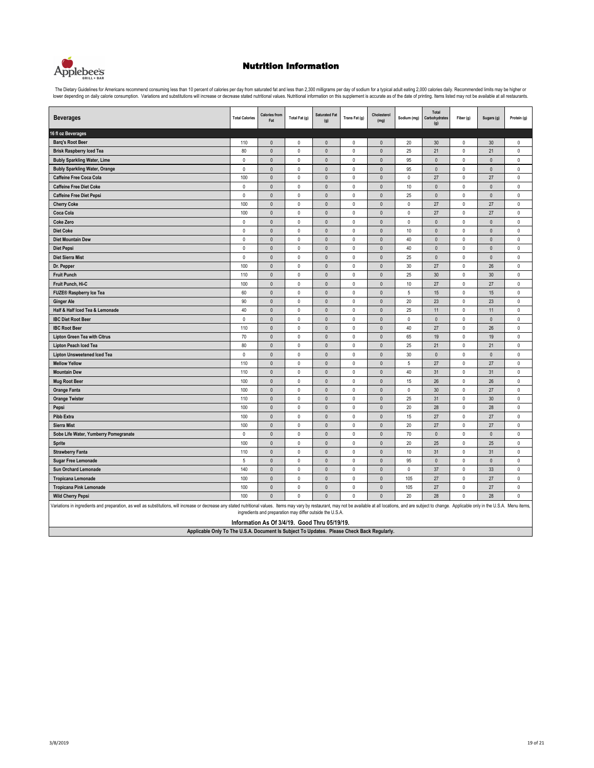

| <b>Beverages</b>                                                                                                                                                                                                              | <b>Total Calories</b> | <b>Calories from</b><br>Fat | Total Fat (g)            | Saturated Fat<br>(g)                                      | Trans Fat (g)          | Cholesterol<br>(mg)    | Sodium (mg)  | Total<br>Carbohydrates<br>(g) | Fiber (g)              | Sugars (g)   | Protein (g)            |
|-------------------------------------------------------------------------------------------------------------------------------------------------------------------------------------------------------------------------------|-----------------------|-----------------------------|--------------------------|-----------------------------------------------------------|------------------------|------------------------|--------------|-------------------------------|------------------------|--------------|------------------------|
| 16 fl oz Beverages                                                                                                                                                                                                            |                       |                             |                          |                                                           |                        |                        |              |                               |                        |              |                        |
| <b>Barq's Root Beer</b>                                                                                                                                                                                                       | 110                   | $\mathbb O$                 | $\mathbb O$              | $\mathsf{O}\xspace$                                       | $\mathsf 0$            | $\mathbb O$            | 20           | 30                            | $\mathbb O$            | $30\,$       | $\pmb{0}$              |
| <b>Brisk Raspberry Iced Tea</b>                                                                                                                                                                                               | 80                    | $\mathbb O$                 | $\pmb{0}$                | $\pmb{0}$                                                 | $\pmb{0}$              | $\pmb{0}$              | 25           | 21                            | $\pmb{0}$              | 21           | $\pmb{0}$              |
| <b>Bubly Sparkling Water, Lime</b>                                                                                                                                                                                            | $\pmb{0}$             | $\mathbb O$                 | $\mathbf 0$              | $\pmb{0}$                                                 | $\pmb{0}$              | $\pmb{0}$              | 95           | $\pmb{0}$                     | $\pmb{0}$              | $\pmb{0}$    | $\pmb{0}$              |
| <b>Bubly Sparkling Water, Orange</b>                                                                                                                                                                                          | $\pmb{0}$             | $\bullet$                   | $\pmb{0}$                | $\pmb{0}$                                                 | $\pmb{0}$              | $\pmb{0}$              | 95           | $\pmb{0}$                     | $\pmb{0}$              | $\pmb{0}$    | $\pmb{0}$              |
| Caffeine Free Coca Cola                                                                                                                                                                                                       | 100                   | $\mathbb O$                 | $\pmb{0}$                | $\pmb{0}$                                                 | $\pmb{0}$              | $\pmb{0}$              | $\mathbb O$  | 27                            | $\pmb{0}$              | $27\,$       | $\pmb{0}$              |
| <b>Caffeine Free Diet Coke</b>                                                                                                                                                                                                | $\pmb{0}$             | $\mathbb O$                 | $\mathbf 0$              | $\pmb{0}$                                                 | $\pmb{0}$              | $\pmb{0}$              | 10           | $\pmb{0}$                     | $\pmb{0}$              | $\pmb{0}$    | $\pmb{0}$              |
| <b>Caffeine Free Diet Pepsi</b>                                                                                                                                                                                               | $\pmb{0}$             | $\mathbb O$                 | $\pmb{0}$                | $\pmb{0}$                                                 | $\pmb{0}$              | $\pmb{0}$              | 25           | $\pmb{0}$                     | $\pmb{0}$              | $\mathbb O$  | $\pmb{0}$              |
| <b>Cherry Coke</b>                                                                                                                                                                                                            | 100                   | $\pmb{0}$                   | $\mathbf 0$              | $\mathbf{0}$                                              | $\pmb{0}$              | $\mathbf{0}$           | $\pmb{0}$    | 27                            | $\pmb{0}$              | 27           | $\pmb{0}$              |
| Coca Cola                                                                                                                                                                                                                     | 100                   | $\mathbf{0}$                | $\mathbf{0}$             | $\Omega$                                                  | $\mathbf 0$            | $\mathbf{0}$           | $\mathbf{0}$ | 27                            | $\mathbf 0$            | 27           | $\mathbf 0$            |
| <b>Coke Zero</b>                                                                                                                                                                                                              | $\mathbf 0$           | $\mathbf{0}$                | $\mathbf 0$              | $\Omega$                                                  | $\mathbf 0$            | $\mathbf{0}$           | $\mathbf{0}$ | $\theta$                      | $\mathbf 0$            | $\mathbf{0}$ | $\mathbf 0$            |
| <b>Diet Coke</b>                                                                                                                                                                                                              | $\pmb{0}$             | $\mathbb O$                 | $\pmb{0}$                | $\pmb{0}$                                                 | $\pmb{0}$              | $\pmb{0}$              | $10$         | $\pmb{0}$                     | $\mathbb O$            | $\pmb{0}$    | $\pmb{0}$              |
| <b>Diet Mountain Dew</b>                                                                                                                                                                                                      | $\mathbb O$           | $\mathbb O$                 | $\pmb{0}$                | $\pmb{0}$                                                 | $\pmb{0}$              | $\pmb{0}$              | 40           | $\pmb{0}$                     | $\mathbb O$            | $\mathsf{0}$ | $\pmb{0}$              |
| <b>Diet Pepsi</b>                                                                                                                                                                                                             | $\mathbb O$           | $\mathbb O$                 | $\mathbb O$              | $\mathbf 0$                                               | $\mathbb O$            | $\mathbb O$            | 40           | $\mathbf 0$                   | $\mathbb O$            | $\mathbf 0$  | $\pmb{0}$              |
| Diet Sierra Mist                                                                                                                                                                                                              | $\mathbb O$           | $\mathbb O$                 | $\mathbb O$              | $\pmb{0}$                                                 | $\pmb{0}$              | $\pmb{0}$              | 25           | $\pmb{0}$                     | $\mathsf 0$            | $\mathsf{0}$ | $\pmb{0}$              |
| Dr. Pepper                                                                                                                                                                                                                    | 100                   | $\mathbf{0}$                | $\mathbf 0$              | $\mathbf{0}$                                              | $\mathbf{0}$           | $\mathbf{0}$           | 30           | 27                            | $\mathbf 0$            | 26           | $\mathbf 0$            |
| <b>Fruit Punch</b>                                                                                                                                                                                                            | 110                   | $\mathbb O$                 | $\mathbf{0}$             | $\pmb{0}$                                                 | $\pmb{0}$              | $\pmb{0}$              | 25           | 30                            | $\pmb{0}$              | 30           | $\mathbf 0$            |
| Fruit Punch, Hi-C                                                                                                                                                                                                             | 100                   | $\mathbb O$                 | $\mathbb O$              | $\pmb{0}$                                                 | $\pmb{0}$              | $\pmb{0}$              | $10$         | 27                            | $\mathbb O$            | $27\,$       | $\pmb{0}$              |
| <b>FUZE® Raspberry Ice Tea</b>                                                                                                                                                                                                | 60                    | $\mathbb O$                 | $\pmb{0}$                | $\pmb{0}$                                                 | $\pmb{0}$              | $\pmb{0}$              | 5            | 15                            | $\pmb{0}$              | 15           | $\pmb{0}$              |
| <b>Ginger Ale</b>                                                                                                                                                                                                             | 90                    | $\mathbb O$                 | $\pmb{0}$                | $\pmb{0}$                                                 | $\pmb{0}$              | $\pmb{0}$              | 20           | 23                            | $\pmb{0}$              | 23           | $\pmb{0}$              |
| Half & Half Iced Tea & Lemonade                                                                                                                                                                                               | 40                    | $\pmb{0}$                   | $\pmb{0}$                | $\pmb{0}$                                                 | $\pmb{0}$              | $\pmb{0}$              | 25           | 11                            | $\pmb{0}$              | 11           | $\pmb{0}$              |
| <b>IBC Diet Root Beer</b>                                                                                                                                                                                                     | $\mathbf 0$           | $\mathbf{0}$                | $\mathbf{0}$             | $\Omega$                                                  | $\mathbf 0$            | $\theta$               | $\mathbf{0}$ | $\mathbf{0}$                  | $\mathbf 0$            | $\mathbf{0}$ | $\mathbf 0$            |
| <b>IBC Root Beer</b>                                                                                                                                                                                                          | 110                   | $\mathbf{0}$                | $\mathbf{0}$             | $\mathbf{0}$                                              | $\mathbf 0$            | $\mathbf{0}$           | 40           | 27                            | $\mathbf 0$            | 26           | $\mathbf 0$            |
| <b>Lipton Green Tea with Citrus</b>                                                                                                                                                                                           | 70                    | $\mathbb O$                 | $\pmb{0}$                | $\mathbf{0}$                                              | $\pmb{0}$              | $\pmb{0}$              | 65           | 19                            | $\mathbb O$            | 19           | $\pmb{0}$              |
| Lipton Peach Iced Tea                                                                                                                                                                                                         | 80                    | $\mathbb O$                 | $\pmb{0}$                | $\pmb{0}$                                                 | $\pmb{0}$              | $\pmb{0}$              | 25           | 21                            | $\mathbb O$            | 21           | $\pmb{0}$              |
| <b>Lipton Unsweetened Iced Tea</b>                                                                                                                                                                                            | $\mathbb O$           | $\mathbb O$                 | $\mathbb O$              | $\pmb{0}$                                                 | $\mathbb O$            | $\mathbb O$            | 30           | $\pmb{0}$                     | $\mathbb O$            | $\mathbb O$  | $\pmb{0}$              |
| <b>Mellow Yellow</b>                                                                                                                                                                                                          | 110                   | $\mathbb O$                 | $\pmb{0}$                | $\pmb{0}$                                                 | $\pmb{0}$              | $\pmb{0}$              | 5            | 27                            | $\mathbb O$            | 27           | $\pmb{0}$              |
| <b>Mountain Dew</b>                                                                                                                                                                                                           | 110                   | $\mathbf{0}$                | $\mathbf 0$              | $\mathbf{0}$                                              | $\mathbf 0$            | $\mathbf{0}$           | 40           | 31                            | $\mathbf 0$            | 31           | $\mathbf 0$            |
| <b>Mug Root Beer</b>                                                                                                                                                                                                          | 100                   | $\mathbf{0}$                | $\mathbf{0}$             | $\pmb{0}$                                                 | $\mathbf{0}$           | $\mathbf{0}$           | 15           | 26                            | $\mathbf 0$            | 26           | $\mathbf 0$            |
| <b>Orange Fanta</b>                                                                                                                                                                                                           | 100                   | $\mathbb O$                 | $\pmb{0}$                | $\pmb{0}$                                                 | $\pmb{0}$              | $\pmb{0}$              | $\pmb{0}$    | 30                            | $\mathbb O$            | $27\,$       | $\pmb{0}$              |
| <b>Orange Twister</b>                                                                                                                                                                                                         | 110<br>100            | $\mathbb O$<br>$\mathbf 0$  | $\mathbf 0$<br>$\pmb{0}$ | $\pmb{0}$<br>$\pmb{0}$                                    | $\pmb{0}$<br>$\pmb{0}$ | $\pmb{0}$<br>$\pmb{0}$ | 25<br>20     | 31<br>28                      | $\pmb{0}$<br>$\pmb{0}$ | 30<br>28     | $\pmb{0}$<br>$\pmb{0}$ |
| Pepsi<br><b>Pibb Extra</b>                                                                                                                                                                                                    | 100                   | $\pmb{0}$                   | $\mathbf 0$              | $\mathbf{0}$                                              | $\pmb{0}$              | $\pmb{0}$              | 15           | 27                            | $\mathsf 0$            | 27           | $\pmb{0}$              |
| <b>Sierra Mist</b>                                                                                                                                                                                                            | 100                   | $\mathbf{0}$                | $\mathbf{0}$             | $\mathbf{0}$                                              | $\mathbf 0$            | $\mathbf{0}$           | 20           | 27                            | $\mathbf 0$            | 27           | $\mathbf 0$            |
| Sobe Life Water, Yumberry Pomegranate                                                                                                                                                                                         | $\mathbf{0}$          | $\mathbf{0}$                | $\theta$                 | $\Omega$                                                  | $\mathbf 0$            | $\mathbf{0}$           | 70           | $\mathbf{0}$                  | $\mathbf 0$            | $\mathbf{0}$ | $\mathbf 0$            |
| <b>Sprite</b>                                                                                                                                                                                                                 | 100                   | $\mathbb O$                 | $\pmb{0}$                | $\pmb{0}$                                                 | $\pmb{0}$              | $\pmb{0}$              | 20           | 25                            | $\mathbb O$            | 25           | $\pmb{0}$              |
| <b>Strawberry Fanta</b>                                                                                                                                                                                                       | 110                   | $\mathbb O$                 | $\mathbb O$              | $\pmb{0}$                                                 | $\mathsf 0$            | $\pmb{0}$              | 10           | 31                            | $\mathbb O$            | 31           | $\pmb{0}$              |
| <b>Sugar Free Lemonade</b>                                                                                                                                                                                                    | $\sqrt{5}$            | $\mathbb O$                 | $\mathbb O$              | $\mathbf 0$                                               | $\mathbb O$            | $\mathbb O$            | 95           | $\mathbf 0$                   | $\mathbb O$            | $\mathbb O$  | $\pmb{0}$              |
| <b>Sun Orchard Lemonade</b>                                                                                                                                                                                                   | 140                   | $\mathbb O$                 | $\mathbb O$              | $\pmb{0}$                                                 | $\mathsf 0$            | $\pmb{0}$              | $\pmb{0}$    | 37                            | $\mathbb O$            | 33           | $\pmb{0}$              |
| <b>Tropicana Lemonade</b>                                                                                                                                                                                                     | 100                   | $\mathbb O$                 | $\pmb{0}$                | $\pmb{0}$                                                 | $\pmb{0}$              | $\pmb{0}$              | 105          | 27                            | $\pmb{0}$              | 27           | $\pmb{0}$              |
| <b>Tropicana Pink Lemonade</b>                                                                                                                                                                                                | 100                   | $\mathbf 0$                 | $\mathbf{0}$             | $\pmb{0}$                                                 | $\mathbf{0}$           | $\mathbf{0}$           | 105          | 27                            | $\mathbf 0$            | 27           | $\mathbf 0$            |
| <b>Wild Cherry Pepsi</b>                                                                                                                                                                                                      | 100                   | $\pmb{0}$                   | $\pmb{0}$                | $\pmb{0}$                                                 | $\pmb{0}$              | $\mathbf{0}$           | 20           | 28                            | $\pmb{0}$              | 28           | $\theta$               |
| Variations in ingredients and preparation, as well as substitutions, will increase or decrease any stated nutritional values. Items may vary by restaurant, may not be available at all locations, and are subject to change. |                       |                             |                          | ingredients and preparation may differ outside the U.S.A. |                        |                        |              |                               |                        |              |                        |
| Applicable Only To The U.S.A. Document Is Subject To Updates. Please Check Back Regularly.                                                                                                                                    |                       |                             |                          | Information As Of 3/4/19. Good Thru 05/19/19.             |                        |                        |              |                               |                        |              |                        |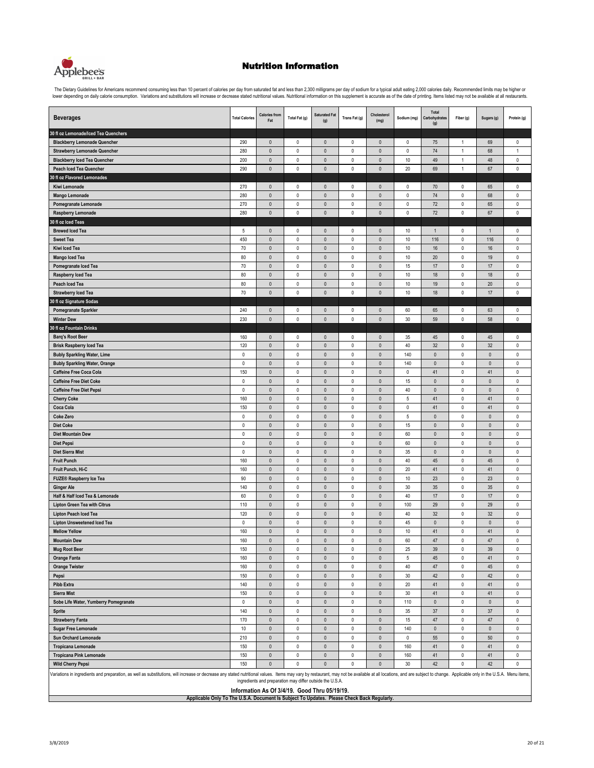

The Dietary Guidelines for Americans recommend consuming less than 10 percent of calories per day from saturated fat and less than 2,300 milligrams per day of sodium for a typical adult eating 2,000 calories dally. Recomme

| <b>Beverages</b>                                                                                                                                                                                                              | <b>Total Calories</b>                       | <b>Calories from</b><br>Fat                               | Total Fat (g)          | <b>Saturated Fat</b><br>(g)  | Trans Fat (g)            | Cholesterol<br>(mg)          | Sodium (mg)        | Total<br>Carbohydrates<br>(g) | Fiber (g)                  | Sugars (g)      | Protein (g)            |
|-------------------------------------------------------------------------------------------------------------------------------------------------------------------------------------------------------------------------------|---------------------------------------------|-----------------------------------------------------------|------------------------|------------------------------|--------------------------|------------------------------|--------------------|-------------------------------|----------------------------|-----------------|------------------------|
| 30 fl oz Lemonade/Iced Tea Quenchers                                                                                                                                                                                          |                                             |                                                           |                        |                              |                          |                              |                    |                               |                            |                 |                        |
| <b>Blackberry Lemonade Quencher</b>                                                                                                                                                                                           | 290                                         | $\pmb{0}$                                                 | $\pmb{0}$              | $\mathbf 0$                  | 0                        | $\pmb{0}$                    | 0                  | 75                            | $\mathbf{1}$               | 69              | 0                      |
| <b>Strawberry Lemonade Quencher</b>                                                                                                                                                                                           | 280                                         | $\pmb{0}$                                                 | $\pmb{0}$              | $\pmb{0}$                    | $\pmb{0}$                | $\pmb{0}$                    | $\mathsf 0$        | 74                            | $\mathbf{1}$               | 68              | 1                      |
| <b>Blackberry Iced Tea Quencher</b>                                                                                                                                                                                           | 200                                         | $\pmb{0}$                                                 | $\pmb{0}$              | $\pmb{0}$                    | $\pmb{0}$                | $\pmb{0}$                    | 10                 | 49                            | $\mathbf{1}$               | 48              | $\pmb{0}$              |
| <b>Peach Iced Tea Quencher</b>                                                                                                                                                                                                | 290                                         | $\mathbf{0}$                                              | $\pmb{0}$              | $\mathbf{0}$                 | $\mathbf 0$              | $\mathbf{0}$                 | 20                 | 69                            | $\mathbf{1}$               | 67              | 0                      |
| 30 fl oz Flavored Lemonades                                                                                                                                                                                                   |                                             |                                                           |                        |                              |                          |                              |                    |                               |                            |                 |                        |
| Kiwi Lemonade                                                                                                                                                                                                                 | 270                                         | $\mathbf{0}$                                              | $\mathbf 0$            | $\mathbf{0}$                 | $\pmb{0}$                | $\mathbf{0}$                 | $\mathbf{0}$       | 70                            | $\mathsf 0$                | 65              | $\mathbf 0$            |
| <b>Mango Lemonade</b>                                                                                                                                                                                                         | 280                                         | $\pmb{0}$                                                 | $\pmb{0}$              | $\pmb{0}$                    | $\pmb{0}$                | $\mathbf{0}$                 | $\pmb{0}$          | 74                            | $\mathbb O$                | 68              | 0                      |
| Pomegranate Lemonade                                                                                                                                                                                                          | 270                                         | $\pmb{0}$                                                 | $\pmb{0}$              | $\pmb{0}$                    | $\pmb{0}$                | $\pmb{0}$                    | $\pmb{0}$          | $72\,$                        | $\mathbb O$                | 65              | $\mathbb O$            |
| Raspberry Lemonade<br>30 fl oz Iced Teas                                                                                                                                                                                      | 280                                         | $\pmb{0}$                                                 | $\pmb{0}$              | $\mathbf 0$                  | $\pmb{0}$                | $\pmb{0}$                    | $\pmb{0}$          | 72                            | $\pmb{0}$                  | 67              | $\pmb{0}$              |
| <b>Brewed Iced Tea</b>                                                                                                                                                                                                        | 5                                           | $\mathbf 0$                                               | 0                      | $\mathbf 0$                  | 0                        | $\pmb{0}$                    | $10$               | $\mathbf{1}$                  | $\pmb{0}$                  | $\mathbf{1}$    | $\mathsf 0$            |
| <b>Sweet Tea</b>                                                                                                                                                                                                              | 450                                         | $\pmb{0}$                                                 | $\pmb{0}$              | $\pmb{0}$                    | $\pmb{0}$                | $\pmb{0}$                    | 10                 | 116                           | $\mathbb O$                | 116             | $\mathbb O$            |
| Kiwi Iced Tea                                                                                                                                                                                                                 | 70                                          | $\pmb{0}$                                                 | $\pmb{0}$              | $\pmb{0}$                    | $\pmb{0}$                | $\pmb{0}$                    | $10$               | 16                            | $\mathbb O$                | $16\,$          | $\pmb{0}$              |
| <b>Mango Iced Tea</b>                                                                                                                                                                                                         | 80                                          | $\pmb{0}$                                                 | $\pmb{0}$              | $\pmb{0}$                    | $\pmb{0}$                | $\pmb{0}$                    | $10$               | 20                            | $\mathsf 0$                | 19              | 0                      |
| Pomegranate Iced Tea                                                                                                                                                                                                          | 70                                          | $\pmb{0}$                                                 | $\pmb{0}$              | $\pmb{0}$                    | $\pmb{0}$                | $\pmb{0}$                    | 15                 | 17                            | $\mathbb O$                | 17              | 0                      |
| Raspberry Iced Tea                                                                                                                                                                                                            | 80                                          | $\pmb{0}$                                                 | $\pmb{0}$              | $\pmb{0}$                    | 0                        | $\pmb{0}$                    | 10                 | 18                            | $\pmb{0}$                  | 18              | 0                      |
| Peach Iced Tea                                                                                                                                                                                                                | 80                                          | $\pmb{0}$                                                 | $\pmb{0}$              | $\mathbf{0}$                 | $\pmb{0}$                | $\mathbf{0}$                 | 10                 | 19                            | $\mathsf 0$                | 20              | 0                      |
| <b>Strawberry Iced Tea</b>                                                                                                                                                                                                    | 70                                          | $\mathbf{0}$                                              | $\pmb{0}$              | $\mathbf{0}$                 | $\pmb{0}$                | $\mathbf{0}$                 | 10                 | 18                            | $\mathsf 0$                | 17              | $\mathbf 0$            |
| 30 fl oz Signature Sodas                                                                                                                                                                                                      |                                             |                                                           |                        |                              |                          |                              |                    |                               |                            |                 |                        |
| <b>Pomegranate Sparkler</b>                                                                                                                                                                                                   | 240                                         | $\pmb{0}$                                                 | $\pmb{0}$              | $\pmb{0}$                    | $\pmb{0}$                | $\pmb{0}$                    | 60                 | 65                            | $\pmb{0}$                  | 63              | 0                      |
| <b>Winter Dew</b>                                                                                                                                                                                                             | 230                                         | $\pmb{0}$                                                 | $\pmb{0}$              | $\mathbf{0}$                 | $\pmb{0}$                | $\mathbf{0}$                 | 30                 | 59                            | $\mathbb O$                | 58              | $\pmb{0}$              |
| 30 fl oz Fountain Drinks                                                                                                                                                                                                      |                                             |                                                           |                        |                              |                          |                              |                    |                               |                            |                 |                        |
| <b>Barq's Root Beer</b>                                                                                                                                                                                                       | 160                                         | $\pmb{0}$                                                 | 0                      | $\mathbf 0$                  | 0                        | $\pmb{0}$                    | 35                 | 45                            | $\mathsf 0$                | 45              | 0                      |
| <b>Brisk Raspberry Iced Tea</b>                                                                                                                                                                                               | 120                                         | $\pmb{0}$                                                 | $\pmb{0}$              | $\pmb{0}$                    | $\pmb{0}$                | $\pmb{0}$                    | 40                 | 32                            | $\mathbb O$                | 32              | $\mathbb O$            |
| <b>Bubly Sparkling Water, Lime</b>                                                                                                                                                                                            | $\mathbb O$                                 | $\pmb{0}$                                                 | $\pmb{0}$              | $\mathsf{0}$                 | $\pmb{0}$                | $\pmb{0}$                    | 140                | $\pmb{0}$                     | $\mathbb O$                | $\pmb{0}$       | $\pmb{0}$              |
| <b>Bubly Sparkling Water, Orange</b><br><b>Caffeine Free Coca Cola</b>                                                                                                                                                        | $\mathbb O$<br>150                          | $\pmb{0}$<br>$\pmb{0}$                                    | $\pmb{0}$<br>$\pmb{0}$ | $\pmb{0}$<br>$\mathsf{0}$    | $\pmb{0}$<br>$\pmb{0}$   | $\pmb{0}$<br>$\pmb{0}$       | 140<br>$\mathsf 0$ | $\pmb{0}$<br>41               | $\mathbb O$<br>$\mathbb O$ | $\pmb{0}$<br>41 | $\pmb{0}$<br>$\pmb{0}$ |
| <b>Caffeine Free Diet Coke</b>                                                                                                                                                                                                | $\mathbb O$                                 | $\pmb{0}$                                                 | $\pmb{0}$              | $\pmb{0}$                    | $\pmb{0}$                | $\pmb{0}$                    | 15                 | $\pmb{0}$                     | $\mathbb O$                | $\pmb{0}$       | 0                      |
| <b>Caffeine Free Diet Pepsi</b>                                                                                                                                                                                               | $\mathbb O$                                 | $\mathbf{0}$                                              | $\pmb{0}$              | $\mathbf{0}$                 | $\pmb{0}$                | $\mathbf{0}$                 | 40                 | $\mathbf{0}$                  | $\mathsf 0$                | $\mathbf{0}$    | $\pmb{0}$              |
| <b>Cherry Coke</b>                                                                                                                                                                                                            | 160                                         | $\pmb{0}$                                                 | $\pmb{0}$              | $\mathsf{0}$                 | $\pmb{0}$                | $\mathbf{0}$                 | 5                  | 41                            | $\mathsf 0$                | 41              | 0                      |
| Coca Cola                                                                                                                                                                                                                     | 150                                         | $\mathbf{0}$                                              | $\pmb{0}$              | $\mathbf{0}$                 | $\pmb{0}$                | $\mathbf{0}$                 | $\mathbf{0}$       | 41                            | $\mathbb O$                | 41              | 0                      |
| <b>Coke Zero</b>                                                                                                                                                                                                              | $\mathbb O$                                 | $\pmb{0}$                                                 | $\pmb{0}$              | $\pmb{0}$                    | $\pmb{0}$                | $\pmb{0}$                    | $\,$ 5 $\,$        | $\pmb{0}$                     | $\mathbb O$                | $\pmb{0}$       | $\mathbb O$            |
| <b>Diet Coke</b>                                                                                                                                                                                                              | $\mathbb O$                                 | $\pmb{0}$                                                 | $\pmb{0}$              | $\pmb{0}$                    | $\pmb{0}$                | $\pmb{0}$                    | 15                 | $\pmb{0}$                     | $\mathbb O$                | $\pmb{0}$       | 0                      |
| Diet Mountain Dew                                                                                                                                                                                                             | $\mathbb O$                                 | $\pmb{0}$                                                 | $\pmb{0}$              | $\mathbf 0$                  | $\pmb{0}$                | $\pmb{0}$                    | 60                 | $\pmb{0}$                     | $\mathbb O$                | $\pmb{0}$       | $\mathbb O$            |
| <b>Diet Pepsi</b>                                                                                                                                                                                                             | $\mathbb O$                                 | $\pmb{0}$                                                 | $\pmb{0}$              | $\pmb{0}$                    | $\pmb{0}$                | $\pmb{0}$                    | 60                 | $\pmb{0}$                     | $\mathbb O$                | $\pmb{0}$       | 0                      |
| <b>Diet Sierra Mist</b>                                                                                                                                                                                                       | $\mathbb O$                                 | $\pmb{0}$                                                 | $\pmb{0}$              | $\pmb{0}$                    | $\pmb{0}$                | $\pmb{0}$                    | 35                 | $\pmb{0}$                     | $\mathsf 0$                | $\pmb{0}$       | 0                      |
| <b>Fruit Punch</b>                                                                                                                                                                                                            | 160                                         | $\pmb{0}$                                                 | $\pmb{0}$              | $\pmb{0}$                    | $\pmb{0}$                | $\pmb{0}$                    | 40                 | 45                            | $\mathbb O$                | 45              | $\mathbb O$            |
| Fruit Punch, Hi-C                                                                                                                                                                                                             | 160                                         | $\pmb{0}$                                                 | $\pmb{0}$              | $\pmb{0}$                    | $\pmb{0}$                | $\pmb{0}$                    | 20                 | 41                            | $\mathbb O$                | 41              | 0                      |
| <b>FUZE® Raspberry Ice Tea</b>                                                                                                                                                                                                | 90                                          | $\pmb{0}$                                                 | $\pmb{0}$              | $\pmb{0}$                    | $\pmb{0}$                | $\pmb{0}$                    | 10                 | 23                            | $\mathbb O$                | 23              | $\mathbb O$            |
| <b>Ginger Ale</b>                                                                                                                                                                                                             | 140                                         | $\pmb{0}$                                                 | $\pmb{0}$              | $\pmb{0}$                    | 0                        | $\pmb{0}$                    | 30                 | 35                            | $\pmb{0}$                  | 35              | 0                      |
| Half & Half Iced Tea & Lemonade                                                                                                                                                                                               | 60<br>110                                   | $\pmb{0}$<br>$\mathbf{0}$                                 | $\pmb{0}$<br>$\pmb{0}$ | $\mathbf{0}$<br>$\mathbf{0}$ | $\pmb{0}$<br>$\mathbf 0$ | $\mathbf{0}$<br>$\mathbf{0}$ | 40<br>100          | 17<br>29                      | $\mathsf 0$<br>$\mathsf 0$ | 17<br>29        | 0<br>$\mathbf 0$       |
| <b>Lipton Green Tea with Citrus</b><br><b>Lipton Peach Iced Tea</b>                                                                                                                                                           | 120                                         | $\pmb{0}$                                                 | $\pmb{0}$              | $\mathbf{0}$                 | $\pmb{0}$                | $\mathbf{0}$                 | 40                 | 32                            | $\mathbb O$                | 32              | $\mathbf 0$            |
| <b>Lipton Unsweetened Iced Tea</b>                                                                                                                                                                                            | $\mathbf{0}$                                | $\mathbf{0}$                                              | $\pmb{0}$              | $\mathbf{0}$                 | $\mathbf 0$              | $\mathbf{0}$                 | 45                 | $\mathbf{0}$                  | $\mathbf 0$                | $\mathbf{0}$    | 0                      |
| <b>Mellow Yellow</b>                                                                                                                                                                                                          | 160                                         | $\mathbf{0}$                                              | $\mathbf 0$            | $\mathbf{0}$                 | $\mathbf 0$              | $\mathbf{0}$                 | $10$               | 41                            | $\mathbf 0$                | 41              | $\mathbf 0$            |
| <b>Mountain Dew</b>                                                                                                                                                                                                           | 160                                         | $\mathbf 0$                                               | 0                      | $\mathbf{0}$                 | 0                        | $\mathbf{0}$                 | 60                 | 47                            | 0                          | 47              | 0                      |
| Mug Root Beer                                                                                                                                                                                                                 | 150                                         | $\mathbb O$                                               | $\pmb{0}$              | $\pmb{0}$                    | $\pmb{0}$                | $\mathbb O$                  | 25                 | $39\,$                        | $\mathbb O$                | 39              | $\pmb{0}$              |
| <b>Orange Fanta</b>                                                                                                                                                                                                           | 160                                         | $\mathbb O$                                               | $\pmb{0}$              | $\mathbf 0$                  | $\mathsf 0$              | $\mathsf{O}\xspace$          | 5                  | 45                            | $\pmb{0}$                  | 41              | $\pmb{0}$              |
| <b>Orange Twister</b>                                                                                                                                                                                                         | 160                                         | $\mathbb O$                                               | $\pmb{0}$              | $\mathsf{O}\xspace$          | $\mathbf 0$              | $\mathsf{O}\xspace$          | $40\,$             | 47                            | $\pmb{0}$                  | 45              | $\mathbb O$            |
| Pepsi                                                                                                                                                                                                                         | 150                                         | $\pmb{0}$                                                 | $\pmb{0}$              | $\mathbf 0$                  | $\mathbf 0$              | $\mathbf 0$                  | $30\,$             | 42                            | $\mathbb O$                | 42              | $\pmb{0}$              |
| <b>Pibb Extra</b>                                                                                                                                                                                                             | 140                                         | $\mathbb O$                                               | $\pmb{0}$              | $\mathbf 0$                  | $\mathbf 0$              | $\mathbf 0$                  | $20\,$             | 41                            | $\mathbb O$                | 41              | $\pmb{0}$              |
| <b>Sierra Mist</b>                                                                                                                                                                                                            | 150                                         | $\mathbb O$                                               | $\pmb{0}$              | $\mathbf 0$                  | $\pmb{0}$                | $\pmb{0}$                    | $30\,$             | 41                            | $\mathbb O$                | 41              | $\pmb{0}$              |
| Sobe Life Water, Yumberry Pomegranate                                                                                                                                                                                         | $\mathbb O$                                 | $\mathbb O$                                               | $\pmb{0}$              | $\mathbf 0$                  | $\pmb{0}$                | $\mathsf{O}\xspace$          | 110                | $\pmb{0}$                     | $\mathbb O$                | $\pmb{0}$       | $\pmb{0}$              |
| <b>Sprite</b>                                                                                                                                                                                                                 | 140                                         | $\pmb{0}$                                                 | $\pmb{0}$              | $\mathsf 0$                  | $\pmb{0}$                | $\pmb{0}$                    | 35                 | 37                            | $\pmb{0}$                  | 37              | $\pmb{0}$              |
| <b>Strawberry Fanta</b>                                                                                                                                                                                                       | 170                                         | $\pmb{0}$                                                 | $\pmb{0}$              | $\mathbb O$                  | $\pmb{0}$                | $\pmb{0}$                    | 15                 | 47                            | $\mathsf 0$                | 47              | 0                      |
| <b>Sugar Free Lemonade</b>                                                                                                                                                                                                    | $10$                                        | $\pmb{0}$                                                 | $\pmb{0}$              | $\mathbf 0$                  | $\pmb{0}$                | $\pmb{0}$                    | 140                | $\pmb{0}$                     | $\mathbb O$                | $\pmb{0}$       | 0                      |
| Sun Orchard Lemonade                                                                                                                                                                                                          | 210                                         | $\pmb{0}$                                                 | $\pmb{0}$              | $\mathbb O$                  | $\pmb{0}$                | $\pmb{0}$                    | $\mathbf 0$        | 55                            | $\mathbb O$                | $50\,$          | $\mathbb O$            |
| <b>Tropicana Lemonade</b>                                                                                                                                                                                                     | 150<br>150                                  | $\pmb{0}$<br>$\mathbb O$                                  | $\pmb{0}$<br>$\pmb{0}$ | $\mathbf 0$<br>$\mathbb O$   | $\pmb{0}$<br>$\pmb{0}$   | $\pmb{0}$<br>$\pmb{0}$       | 160<br>160         | 41<br>41                      | $\mathbb O$<br>$\mathbb O$ | 41<br>41        | 0<br>$\pmb{0}$         |
| <b>Tropicana Pink Lemonade</b><br><b>Wild Cherry Pepsi</b>                                                                                                                                                                    | 150                                         | $\pmb{0}$                                                 | $\pmb{0}$              | $\mathbf 0$                  | $\pmb{0}$                | $\pmb{0}$                    | 30                 | 42                            | $\pmb{0}$                  | 42              | 0                      |
|                                                                                                                                                                                                                               |                                             |                                                           |                        |                              |                          |                              |                    |                               |                            |                 |                        |
| /ariations in ingredients and preparation, as well as substitutions, will increase or decrease any stated nutritional values. Items may vary by restaurant, may not be available at all locations, and are subject to change. | Information An Of 2/4/10 Cood Thru 05/10/10 | ingredients and preparation may differ outside the U.S.A. |                        |                              |                          |                              |                    |                               |                            |                 |                        |

**Applicable Only To The U.S.A. Document Is Subject To Updates. Please Check Back Regularly. Information As Of 3/4/19. Good Thru 05/19/19.**

ľ